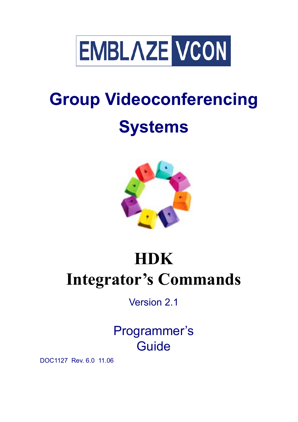

# **Group Videoconferencing Systems**



# **HDK Integrator's Commands**

Version 2.1

# Programmer's **Guide**

DOC1127 Rev. 6.0 11.06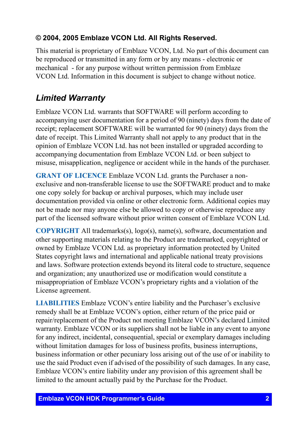#### **© 2004, 2005 Emblaze VCON Ltd. All Rights Reserved.**

This material is proprietary of Emblaze VCON, Ltd. No part of this document can be reproduced or transmitted in any form or by any means - electronic or mechanical - for any purpose without written permission from Emblaze VCON Ltd. Information in this document is subject to change without notice.

## <span id="page-1-0"></span>*Limited Warranty*

Emblaze VCON Ltd. warrants that SOFTWARE will perform according to accompanying user documentation for a period of 90 (ninety) days from the date of receipt; replacement SOFTWARE will be warranted for 90 (ninety) days from the date of receipt. This Limited Warranty shall not apply to any product that in the opinion of Emblaze VCON Ltd. has not been installed or upgraded according to accompanying documentation from Emblaze VCON Ltd. or been subject to misuse, misapplication, negligence or accident while in the hands of the purchaser.

**GRANT OF LICENCE** Emblaze VCON Ltd. grants the Purchaser a nonexclusive and non-transferable license to use the SOFTWARE product and to make one copy solely for backup or archival purposes, which may include user documentation provided via online or other electronic form. Additional copies may not be made nor may anyone else be allowed to copy or otherwise reproduce any part of the licensed software without prior written consent of Emblaze VCON Ltd.

**COPYRIGHT** All trademarks(s), logo(s), name(s), software, documentation and other supporting materials relating to the Product are trademarked, copyrighted or owned by Emblaze VCON Ltd. as proprietary information protected by United States copyright laws and international and applicable national treaty provisions and laws. Software protection extends beyond its literal code to structure, sequence and organization; any unauthorized use or modification would constitute a misappropriation of Emblaze VCON's proprietary rights and a violation of the License agreement.

**LIABILITIES** Emblaze VCON's entire liability and the Purchaser's exclusive remedy shall be at Emblaze VCON's option, either return of the price paid or repair/replacement of the Product not meeting Emblaze VCON's declared Limited warranty. Emblaze VCON or its suppliers shall not be liable in any event to anyone for any indirect, incidental, consequential, special or exemplary damages including without limitation damages for loss of business profits, business interruptions, business information or other pecuniary loss arising out of the use of or inability to use the said Product even if advised of the possibility of such damages. In any case, Emblaze VCON's entire liability under any provision of this agreement shall be limited to the amount actually paid by the Purchase for the Product.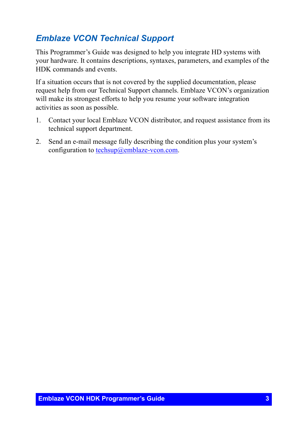### <span id="page-2-0"></span>*Emblaze VCON Technical Support*

This Programmer's Guide was designed to help you integrate HD systems with your hardware. It contains descriptions, syntaxes, parameters, and examples of the HDK commands and events.

If a situation occurs that is not covered by the supplied documentation, please request help from our Technical Support channels. Emblaze VCON's organization will make its strongest efforts to help you resume your software integration activities as soon as possible.

- 1. Contact your local Emblaze VCON distributor, and request assistance from its technical support department.
- 2. Send an e-mail message fully describing the condition plus your system's configuration to [techsup@emblaze-vcon.com.](mailto:zapi@vcon.com)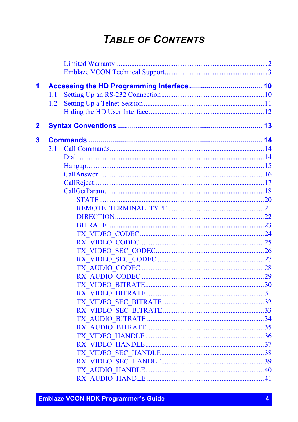## **TABLE OF CONTENTS**

| 1           |     |  |
|-------------|-----|--|
|             | 1.1 |  |
|             | 1.2 |  |
|             |     |  |
| $\mathbf 2$ |     |  |
| 3           |     |  |
|             | 3.1 |  |
|             |     |  |
|             |     |  |
|             |     |  |
|             |     |  |
|             |     |  |
|             |     |  |
|             |     |  |
|             |     |  |
|             |     |  |
|             |     |  |
|             |     |  |
|             |     |  |
|             |     |  |
|             |     |  |
|             |     |  |
|             |     |  |
|             |     |  |
|             |     |  |
|             |     |  |
|             |     |  |
|             |     |  |
|             |     |  |
|             |     |  |
|             |     |  |
|             |     |  |
|             |     |  |
|             |     |  |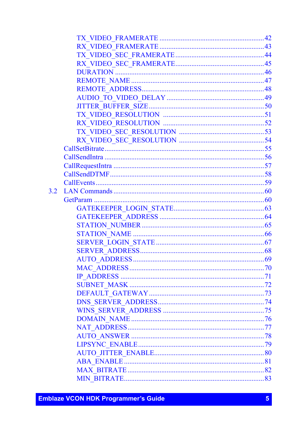| 3.2 |  |
|-----|--|
|     |  |
|     |  |
|     |  |
|     |  |
|     |  |
|     |  |
|     |  |
|     |  |
|     |  |
|     |  |
|     |  |
|     |  |
|     |  |
|     |  |
|     |  |
|     |  |
|     |  |
|     |  |
|     |  |
|     |  |
|     |  |
|     |  |

**Emblaze VCON HDK Programmer's Guide**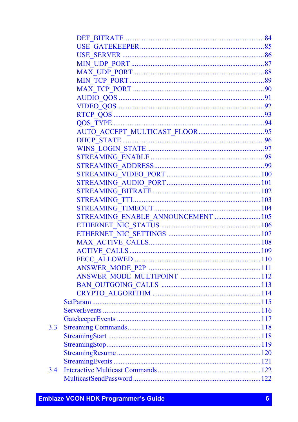| STREAMING ENABLE ANNOUNCEMENT  105 |  |
|------------------------------------|--|
|                                    |  |
|                                    |  |
|                                    |  |
|                                    |  |
|                                    |  |
|                                    |  |
|                                    |  |
|                                    |  |
|                                    |  |
|                                    |  |
|                                    |  |
|                                    |  |
|                                    |  |
|                                    |  |
|                                    |  |
|                                    |  |
|                                    |  |
|                                    |  |
|                                    |  |

 $3.3$ 

 $3.4$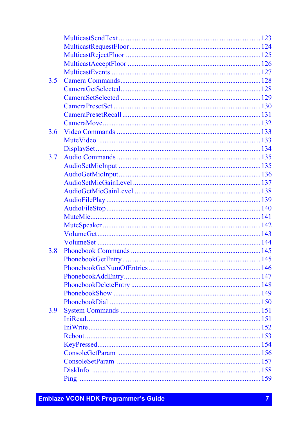| 3.5 |  |
|-----|--|
|     |  |
|     |  |
|     |  |
|     |  |
|     |  |
| 3.6 |  |
|     |  |
|     |  |
| 3.7 |  |
|     |  |
|     |  |
|     |  |
|     |  |
|     |  |
|     |  |
|     |  |
|     |  |
|     |  |
|     |  |
| 3.8 |  |
|     |  |
|     |  |
|     |  |
|     |  |
|     |  |
|     |  |
| 3.9 |  |
|     |  |
|     |  |
|     |  |
|     |  |
|     |  |
|     |  |
|     |  |
|     |  |
|     |  |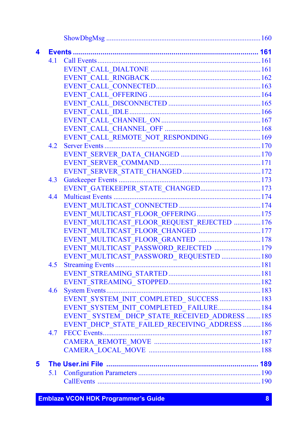| 4 |     |                                                |  |
|---|-----|------------------------------------------------|--|
|   | 4.1 |                                                |  |
|   |     |                                                |  |
|   |     |                                                |  |
|   |     |                                                |  |
|   |     |                                                |  |
|   |     |                                                |  |
|   |     |                                                |  |
|   |     |                                                |  |
|   |     |                                                |  |
|   |     | EVENT CALL REMOTE NOT RESPONDING 169           |  |
|   | 4.2 |                                                |  |
|   |     |                                                |  |
|   |     |                                                |  |
|   |     |                                                |  |
|   | 4.3 |                                                |  |
|   |     | EVENT_GATEKEEPER_STATE_CHANGED173              |  |
|   | 4.4 |                                                |  |
|   |     |                                                |  |
|   |     |                                                |  |
|   |     | EVENT MULTICAST FLOOR REQUEST REJECTED 176     |  |
|   |     |                                                |  |
|   |     |                                                |  |
|   |     | EVENT MULTICAST PASSWORD REJECTED  179         |  |
|   |     | EVENT_MULTICAST_PASSWORD_REQUESTED  180        |  |
|   | 4.5 |                                                |  |
|   |     |                                                |  |
|   |     |                                                |  |
|   | 4.6 |                                                |  |
|   |     | EVENT_SYSTEM_INIT_COMPLETED_SUCCESS  183       |  |
|   |     | EVENT_SYSTEM_INIT_COMPLETED_FAILURE 184        |  |
|   |     | EVENT SYSTEM DHCP STATE RECEIVED ADDRESS  185  |  |
|   |     | EVENT DHCP STATE FAILED RECEIVING ADDRESS  186 |  |
|   | 4.7 |                                                |  |
|   |     |                                                |  |
|   |     |                                                |  |
| 5 |     |                                                |  |
|   | 5.1 |                                                |  |
|   |     |                                                |  |
|   |     |                                                |  |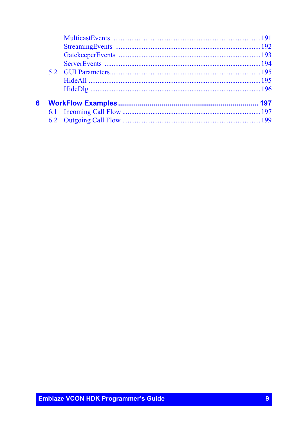| 6 |  |  |
|---|--|--|
|   |  |  |
|   |  |  |
|   |  |  |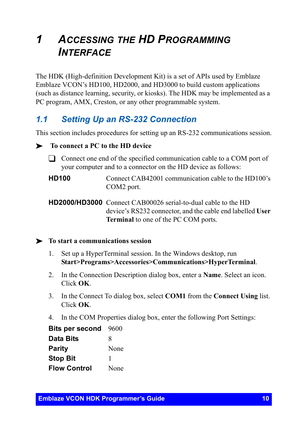## <span id="page-9-0"></span>*1 ACCESSING THE HD PROGRAMMING INTERFACE*

The HDK (High-definition Development Kit) is a set of APIs used by Emblaze Emblaze VCON's HD100, HD2000, and HD3000 to build custom applications (such as distance learning, security, or kiosks). The HDK may be implemented as a PC program, AMX, Creston, or any other programmable system.

## <span id="page-9-1"></span>*1.1 Setting Up an RS-232 Connection*

This section includes procedures for setting up an RS-232 communications session.

#### $\blacktriangleright$  To connect a PC to the HD device

- $\Box$  Connect one end of the specified communication cable to a COM port of your computer and to a connector on the HD device as follows:
- **HD100** Connect CAB42001 communication cable to the HD100's COM2 port.

**HD2000/HD3000** Connect CAB00026 serial-to-dual cable to the HD device's RS232 connector, and the cable end labelled **User Terminal** to one of the PC COM ports.

#### ³ **To start a communications session**

- 1. Set up a HyperTerminal session. In the Windows desktop, run **Start>Programs>Accessories>Communications>HyperTerminal**.
- 2. In the Connection Description dialog box, enter a **Name**. Select an icon. Click **OK**.
- 3. In the Connect To dialog box, select **COM1** from the **Connect Using** list. Click **OK**.
- 4. In the COM Properties dialog box, enter the following Port Settings:

| <b>Bits per second</b> | 9600 |
|------------------------|------|
| <b>Data Bits</b>       | 8    |
| <b>Parity</b>          | None |
| <b>Stop Bit</b>        | ı    |
| <b>Flow Control</b>    | None |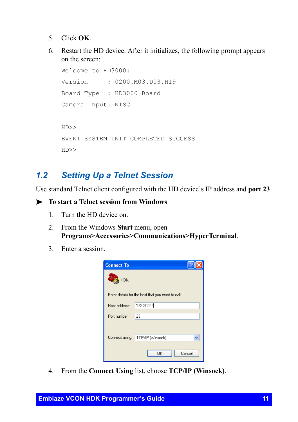- 5. Click **OK**.
- 6. Restart the HD device. After it initializes, the following prompt appears on the screen:

Welcome to HD3000: Version : 0200.M03.D03.H19 Board Type : HD3000 Board Camera Input: NTSC HD>> EVENT\_SYSTEM\_INIT\_COMPLETED\_SUCCESS HD>>

### <span id="page-10-0"></span>*1.2 Setting Up a Telnet Session*

Use standard Telnet client configured with the HD device's IP address and **port 23**.

#### ³ **To start a Telnet session from Windows**

- 1. Turn the HD device on.
- 2. From the Windows **Start** menu, open **Programs>Accessories>Communications>HyperTerminal**.
- 3. Enter a session.

| <b>Connect To</b> |                                                   |  |
|-------------------|---------------------------------------------------|--|
| <b>HDK</b>        |                                                   |  |
|                   | Enter details for the host that you want to call: |  |
| Host address:     | 172.20.2.2                                        |  |
| Port number:      | 23                                                |  |
|                   |                                                   |  |
| Connect using:    | TCP/IP (Winsock)                                  |  |
|                   | Cancel<br>OK                                      |  |

4. From the **Connect Using** list, choose **TCP/IP (Winsock)**.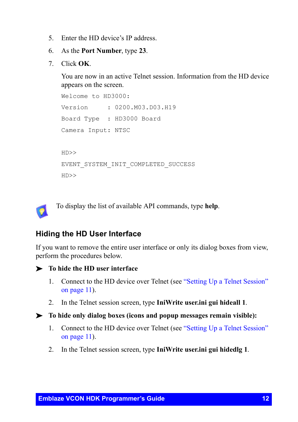- 5. Enter the HD device's IP address.
- 6. As the **Port Number**, type **23**.
- 7. Click **OK**.

You are now in an active Telnet session. Information from the HD device appears on the screen.

```
Welcome to HD3000:
Version : 0200.M03.D03.H19
Board Type : HD3000 Board
Camera Input: NTSC
HD>>
EVENT_SYSTEM_INIT_COMPLETED_SUCCESS
HD>>
```
To display the list of available API commands, type **help**.

#### <span id="page-11-0"></span>**Hiding the HD User Interface**

If you want to remove the entire user interface or only its dialog boxes from view, perform the procedures below.

- ³ **To hide the HD user interface**
	- 1. Connect to the HD device over Telnet (see ["Setting Up a Telnet Session"](#page-10-0)  [on page 11\)](#page-10-0).
	- 2. In the Telnet session screen, type **IniWrite user.ini gui hideall 1**.
- ³ **To hide only dialog boxes (icons and popup messages remain visible):**
	- 1. Connect to the HD device over Telnet (see ["Setting Up a Telnet Session"](#page-10-0)  [on page 11\)](#page-10-0).
	- 2. In the Telnet session screen, type **IniWrite user.ini gui hidedlg 1**.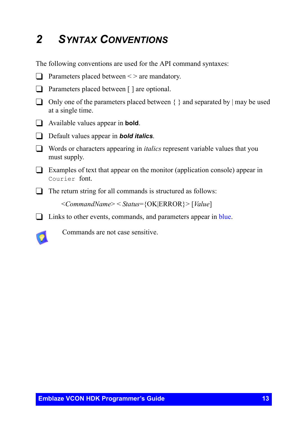# <span id="page-12-0"></span>*2 SYNTAX CONVENTIONS*

The following conventions are used for the API command syntaxes:

- $\Box$  Parameters placed between  $\leq$  are mandatory.
- □ Parameters placed between [ ] are optional.
- $\Box$  Only one of the parameters placed between  $\{\}$  and separated by  $\vert$  may be used at a single time.
- **T** Available values appear in **bold**.
- **T** Default values appear in **bold italics**.
- T Words or characters appearing in *italics* represent variable values that you must supply.
- $\Box$  Examples of text that appear on the monitor (application console) appear in Courier font.
- $\Box$  The return string for all commands is structured as follows:

<*CommandName*> < *Status*={OK|ERROR}> [*Value*]

 $\Box$  Links to other events, commands, and parameters appear in blue.



Commands are not case sensitive.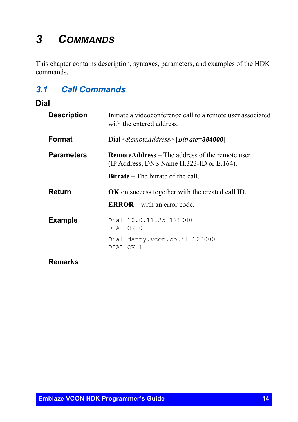# <span id="page-13-0"></span>*3 COMMANDS*

This chapter contains description, syntaxes, parameters, and examples of the HDK commands.

## <span id="page-13-1"></span>*3.1 Call Commands*

#### <span id="page-13-2"></span>**Dial**

| <b>Description</b> | Initiate a videoconference call to a remote user associated<br>with the entered address.           |
|--------------------|----------------------------------------------------------------------------------------------------|
| Format             | Dial <remoteaddress> [Bitrate=384000]</remoteaddress>                                              |
| <b>Parameters</b>  | <b>RemoteAddress</b> – The address of the remote user<br>(IP Address, DNS Name H.323-ID or E.164). |
|                    | <b>Bitrate</b> – The bitrate of the call.                                                          |
| Return             | <b>OK</b> on success together with the created call ID.                                            |
|                    | $\mathbf{ERROR}$ – with an error code.                                                             |
| <b>Example</b>     | Dial 10.0.11.25 128000<br>DIAL OK 0                                                                |
|                    | Dial danny.vcon.co.il 128000<br>DIAL OK 1                                                          |
| <b>Remarks</b>     |                                                                                                    |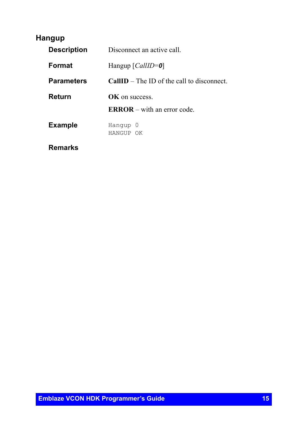### <span id="page-14-0"></span>**Hangup**

| <b>Description</b> | Disconnect an active call                   |  |
|--------------------|---------------------------------------------|--|
| <b>Format</b>      | Hangup $\lceil \text{CallID} = 0 \rceil$    |  |
| <b>Parameters</b>  | $CallID$ – The ID of the call to disconnect |  |
| Return             | <b>OK</b> on success                        |  |
|                    | $\mathbf{ERROR}$ – with an error code.      |  |
| <b>Example</b>     | Hanqup 0<br>HANGUP OK                       |  |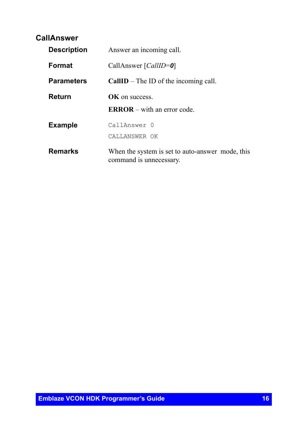#### <span id="page-15-0"></span>**CallAnswer**

| <b>Description</b> | Answer an incoming call.                                                    |
|--------------------|-----------------------------------------------------------------------------|
| <b>Format</b>      | CallAnswer [ <i>CallID</i> =0]                                              |
| <b>Parameters</b>  | $CallID$ – The ID of the incoming call.                                     |
| Return             | <b>OK</b> on success.                                                       |
|                    | $\mathbf{ERROR}$ – with an error code                                       |
| <b>Example</b>     | CallAnswer 0                                                                |
|                    | CALLANSWER OK                                                               |
| <b>Remarks</b>     | When the system is set to auto-answer mode, this<br>command is unnecessary. |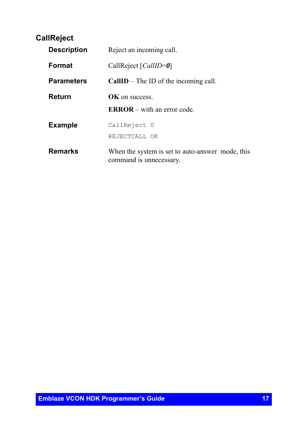### <span id="page-16-0"></span>**CallReject**

| <b>Description</b> | Reject an incoming call.                                                    |
|--------------------|-----------------------------------------------------------------------------|
| Format             | CallReject [ <i>CallID</i> =0]                                              |
| <b>Parameters</b>  | $CallID$ – The ID of the incoming call.                                     |
| Return             | <b>OK</b> on success                                                        |
|                    | $\mathbf{ERROR}$ – with an error code                                       |
| <b>Example</b>     | CallReject 0                                                                |
|                    | REJECTCALL OK                                                               |
| <b>Remarks</b>     | When the system is set to auto-answer mode, this<br>command is unnecessary. |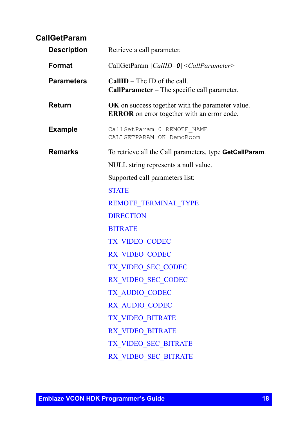<span id="page-17-0"></span>

|        | <b>CallGetParam</b> |                                                                                                        |
|--------|---------------------|--------------------------------------------------------------------------------------------------------|
|        | <b>Description</b>  | Retrieve a call parameter.                                                                             |
| Format |                     | CallGetParam [CallID=0] <callparameter></callparameter>                                                |
|        | <b>Parameters</b>   | $CallID$ – The ID of the call.<br>CallParameter - The specific call parameter.                         |
|        | Return              | OK on success together with the parameter value.<br><b>ERROR</b> on error together with an error code. |
|        | <b>Example</b>      | CallGetParam 0 REMOTE NAME<br>CALLGETPARAM OK DemoRoom                                                 |
|        | <b>Remarks</b>      | To retrieve all the Call parameters, type GetCallParam.                                                |
|        |                     | NULL string represents a null value.                                                                   |
|        |                     | Supported call parameters list:                                                                        |
|        |                     | <b>STATE</b>                                                                                           |
|        |                     | REMOTE TERMINAL TYPE                                                                                   |
|        |                     | <b>DIRECTION</b>                                                                                       |
|        |                     | <b>BITRATE</b>                                                                                         |
|        |                     | TX VIDEO CODEC                                                                                         |
|        |                     | RX VIDEO CODEC                                                                                         |
|        |                     | TX VIDEO SEC CODEC                                                                                     |
|        |                     | RX VIDEO SEC CODEC                                                                                     |
|        |                     | <b>TX AUDIO CODEC</b>                                                                                  |
|        |                     | RX AUDIO CODEC                                                                                         |
|        |                     | TX VIDEO BITRATE                                                                                       |
|        |                     | RX VIDEO BITRATE                                                                                       |
|        |                     | TX VIDEO SEC BITRATE                                                                                   |
|        |                     | RX VIDEO SEC BITRATE                                                                                   |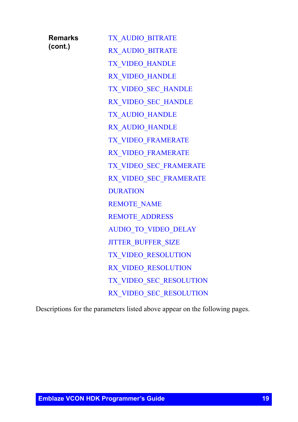| Remarks | <b>TX AUDIO BITRATE</b>     |
|---------|-----------------------------|
| (cont.) | RX AUDIO BITRATE            |
|         | TX VIDEO HANDLE             |
|         | RX VIDEO HANDLE             |
|         | TX VIDEO SEC HANDLE         |
|         | RX_VIDEO_SEC_HANDLE         |
|         | TX AUDIO_HANDLE             |
|         | RX AUDIO HANDLE             |
|         | TX VIDEO_FRAMERATE          |
|         | RX VIDEO FRAMERATE          |
|         | TX VIDEO SEC FRAMERATE      |
|         | RX VIDEO SEC FRAMERATE      |
|         | <b>DURATION</b>             |
|         | <b>REMOTE NAME</b>          |
|         | <b>REMOTE ADDRESS</b>       |
|         | <b>AUDIO_TO_VIDEO_DELAY</b> |
|         | <b>JITTER BUFFER SIZE</b>   |
|         | TX VIDEO RESOLUTION         |
|         | RX VIDEO RESOLUTION         |
|         | TX VIDEO SEC RESOLUTION     |
|         | RX VIDEO SEC RESOLUTION     |

Descriptions for the parameters listed above appear on the following pages.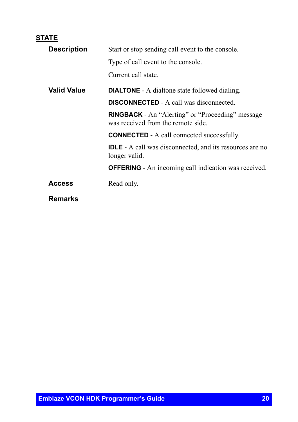### <span id="page-19-0"></span>**STATE**

| <b>Description</b> | Start or stop sending call event to the console.                                              |
|--------------------|-----------------------------------------------------------------------------------------------|
|                    | Type of call event to the console.                                                            |
|                    | Current call state.                                                                           |
| <b>Valid Value</b> | <b>DIALTONE</b> - A dialtone state followed dialing.                                          |
|                    | <b>DISCONNECTED</b> - A call was disconnected.                                                |
|                    | <b>RINGBACK</b> - An "Alerting" or "Proceeding" message<br>was received from the remote side. |
|                    | <b>CONNECTED</b> - A call connected successfully.                                             |
|                    | <b>IDLE</b> - A call was disconnected, and its resources are no<br>longer valid.              |
|                    | <b>OFFERING</b> - An incoming call indication was received.                                   |
| <b>Access</b>      | Read only.                                                                                    |
| <b>Remarks</b>     |                                                                                               |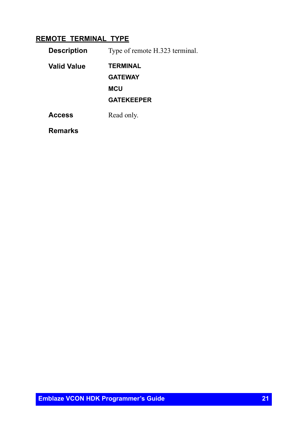### <span id="page-20-0"></span>**REMOTE\_TERMINAL\_TYPE**

| <b>Description</b> | Type of remote H.323 terminal. |
|--------------------|--------------------------------|
| <b>Valid Value</b> | <b>TERMINAL</b>                |
|                    | <b>GATEWAY</b>                 |
|                    | <b>MCU</b>                     |
|                    | <b>GATEKEEPER</b>              |
| <b>Access</b>      | Read only.                     |
|                    |                                |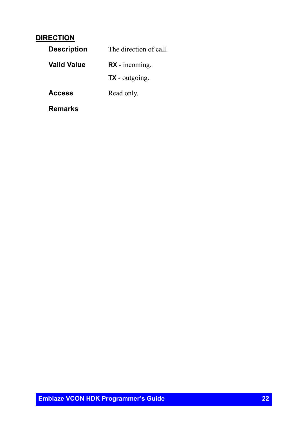#### <span id="page-21-0"></span>**DIRECTION**

| <b>Description</b> | The direction of call. |
|--------------------|------------------------|
| <b>Valid Value</b> | $RX - incoming$ .      |
|                    | <b>TX</b> - outgoing.  |
| <b>Access</b>      | Read only.             |
| Remarks            |                        |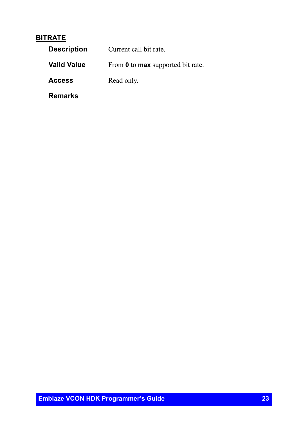#### <span id="page-22-0"></span>**BITRATE**

| <b>Description</b> | Current call bit rate.                          |
|--------------------|-------------------------------------------------|
| <b>Valid Value</b> | From <b>0</b> to <b>max</b> supported bit rate. |
| <b>Access</b>      | Read only.                                      |
| Remarks            |                                                 |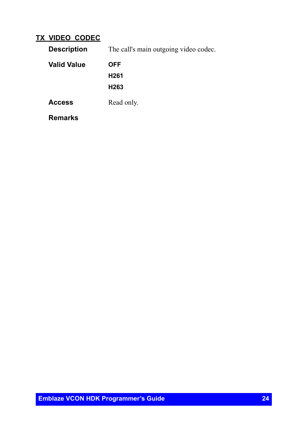#### <span id="page-23-0"></span>**TX\_VIDEO\_CODEC**

| <b>Description</b> | The call's main outgoing video codec. |
|--------------------|---------------------------------------|
| <b>Valid Value</b> | <b>OFF</b>                            |
|                    | H <sub>261</sub>                      |
|                    | H <sub>263</sub>                      |
| <b>Access</b>      | Read only.                            |
| <b>Remarks</b>     |                                       |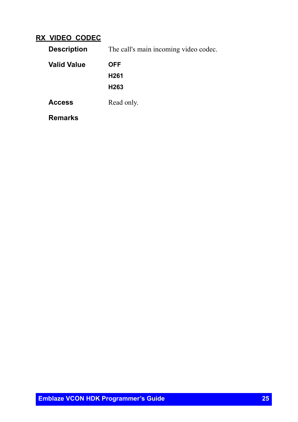#### <span id="page-24-0"></span>**RX\_VIDEO\_CODEC**

| <b>Description</b> | The call's main incoming video codec. |
|--------------------|---------------------------------------|
| <b>Valid Value</b> | OFF                                   |
|                    | H <sub>261</sub>                      |
|                    | H <sub>263</sub>                      |
| <b>Access</b>      | Read only.                            |
| <b>Remarks</b>     |                                       |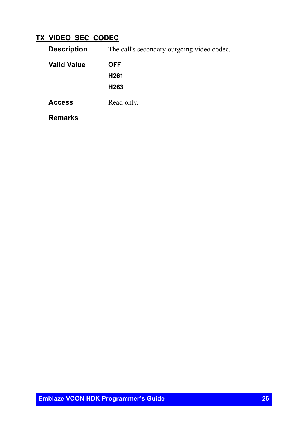#### <span id="page-25-0"></span>**TX\_VIDEO\_SEC\_CODEC**

| <b>Description</b> | The call's secondary outgoing video codec. |
|--------------------|--------------------------------------------|
| <b>Valid Value</b> | <b>OFF</b>                                 |
|                    | H <sub>261</sub>                           |
|                    | H <sub>263</sub>                           |
| <b>Access</b>      | Read only.                                 |
| <b>Remarks</b>     |                                            |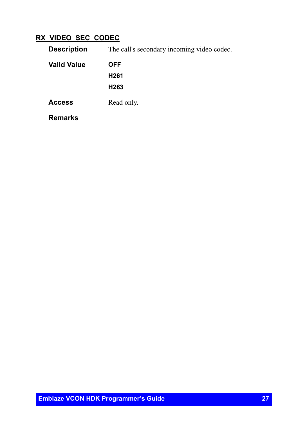#### <span id="page-26-0"></span>**RX\_VIDEO\_SEC\_CODEC**

| The call's secondary incoming video codec.<br><b>Description</b> |                  |
|------------------------------------------------------------------|------------------|
| <b>Valid Value</b>                                               | <b>OFF</b>       |
|                                                                  | H <sub>261</sub> |
|                                                                  | H <sub>263</sub> |
| <b>Access</b>                                                    | Read only.       |
| <b>Remarks</b>                                                   |                  |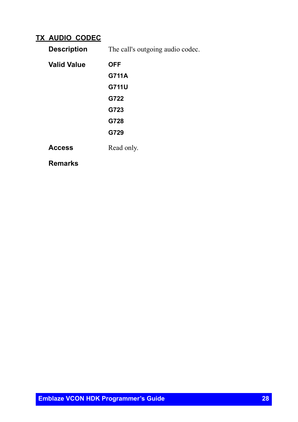#### <span id="page-27-0"></span>**TX\_AUDIO\_CODEC**

**Description** The call's outgoing audio codec.

| <b>Valid Value</b> | <b>OFF</b> |
|--------------------|------------|
|                    | G711A      |
|                    | G711U      |
|                    | G722       |
|                    | G723       |
|                    | G728       |
|                    | G729       |
| <b>Access</b>      | Read only. |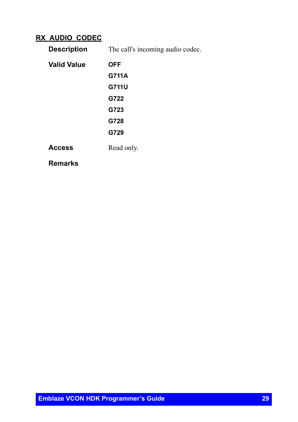#### <span id="page-28-0"></span>**RX\_AUDIO\_CODEC**

**Description** The call's incoming audio codec.

| Valid Value | <b>OFF</b> |
|-------------|------------|
|             | G711A      |
|             | G711U      |
|             | G722       |
|             | G723       |
|             | G728       |
|             | G729       |
| Access      | Read only. |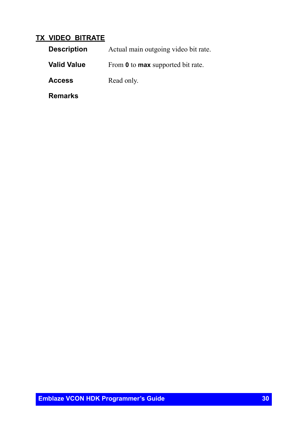#### <span id="page-29-0"></span>**TX\_VIDEO\_BITRATE**

| <b>Description</b> | Actual main outgoing video bit rate.            |
|--------------------|-------------------------------------------------|
| <b>Valid Value</b> | From <b>0</b> to <b>max</b> supported bit rate. |
| <b>Access</b>      | Read only.                                      |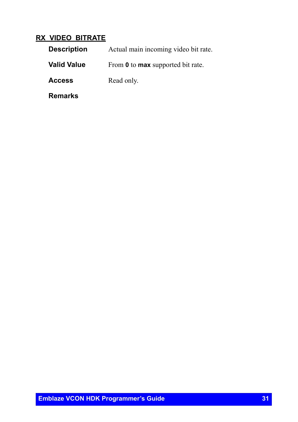#### <span id="page-30-0"></span>**RX\_VIDEO\_BITRATE**

| <b>Description</b> | Actual main incoming video bit rate.            |
|--------------------|-------------------------------------------------|
| <b>Valid Value</b> | From <b>0</b> to <b>max</b> supported bit rate. |
| <b>Access</b>      | Read only.                                      |
| <b>Remarks</b>     |                                                 |

**Emblaze VCON HDK Programmer's Guide 31**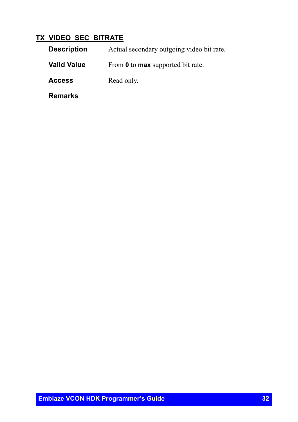#### <span id="page-31-0"></span>**TX\_VIDEO\_SEC\_BITRATE**

| <b>Description</b> | Actual secondary outgoing video bit rate.       |
|--------------------|-------------------------------------------------|
| <b>Valid Value</b> | From <b>0</b> to <b>max</b> supported bit rate. |
| <b>Access</b>      | Read only.                                      |
| <b>Remarks</b>     |                                                 |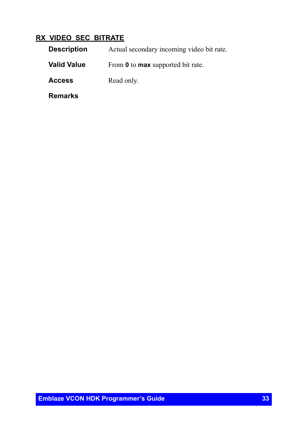#### <span id="page-32-0"></span>**RX\_VIDEO\_SEC\_BITRATE**

| <b>Description</b> | Actual secondary incoming video bit rate.       |
|--------------------|-------------------------------------------------|
| <b>Valid Value</b> | From <b>0</b> to <b>max</b> supported bit rate. |
| <b>Access</b>      | Read only.                                      |
| <b>Remarks</b>     |                                                 |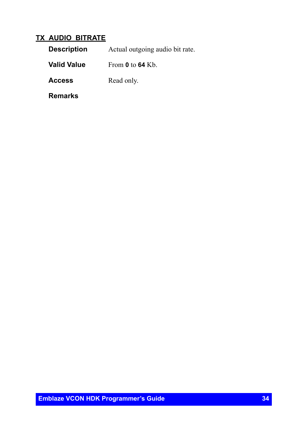#### <span id="page-33-0"></span>**TX\_AUDIO\_BITRATE**

**Valid Value** From **0** to **64** Kb.

Access Read only.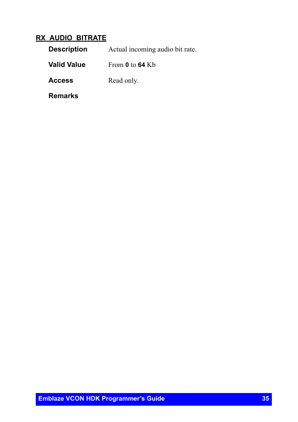#### <span id="page-34-0"></span>**RX\_AUDIO\_BITRATE**

| <b>Description</b> | Actual incoming audio bit rate. |
|--------------------|---------------------------------|
| <b>Valid Value</b> | From 0 to 64 Kb                 |
| <b>Access</b>      | Read only.                      |
| Remarks            |                                 |

**Emblaze VCON HDK Programmer's Guide 35**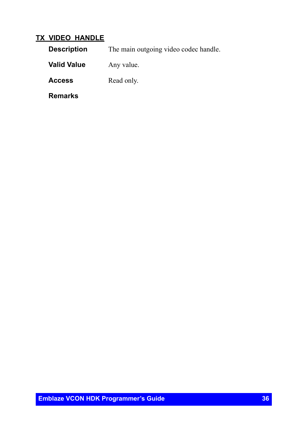#### <span id="page-35-0"></span>**TX\_VIDEO\_HANDLE**

**Description** The main outgoing video codec handle.

**Valid Value** Any value.

Access Read only.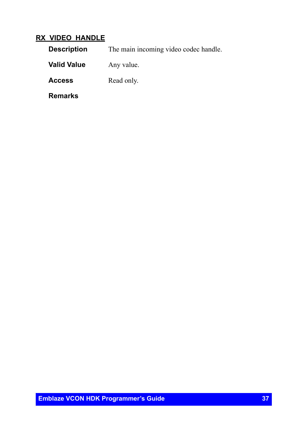### **RX\_VIDEO\_HANDLE**

**Description** The main incoming video codec handle.

**Valid Value** Any value.

Access Read only.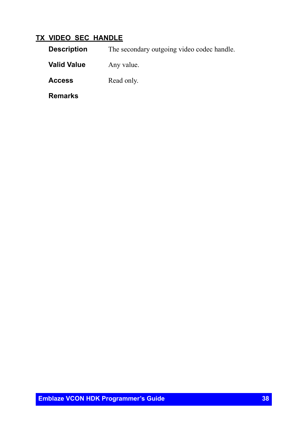# **TX\_VIDEO\_SEC\_HANDLE**

| <b>Description</b> | The secondary outgoing video codec handle. |
|--------------------|--------------------------------------------|
| <b>Valid Value</b> | Any value.                                 |
| <b>Access</b>      | Read only.                                 |
| <b>Remarks</b>     |                                            |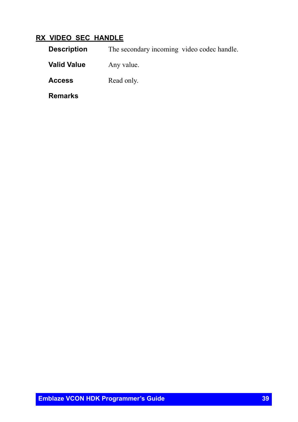## **RX\_VIDEO\_SEC\_HANDLE**

| <b>Description</b> | The secondary incoming video codec handle. |
|--------------------|--------------------------------------------|
| <b>Valid Value</b> | Any value.                                 |
| <b>Access</b>      | Read only.                                 |
| <b>Remarks</b>     |                                            |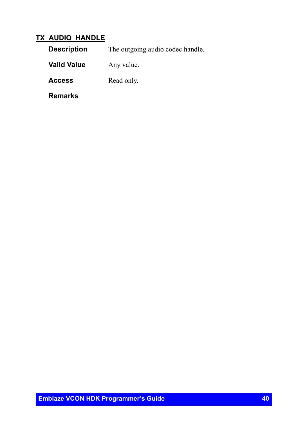### **TX\_AUDIO\_HANDLE**

**Description** The outgoing audio codec handle.

**Valid Value** Any value.

Access Read only.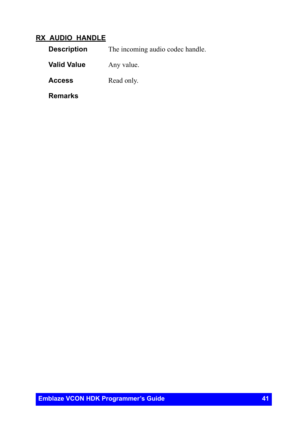### **RX\_AUDIO\_HANDLE**

**Description** The incoming audio codec handle.

**Valid Value** Any value.

Access Read only.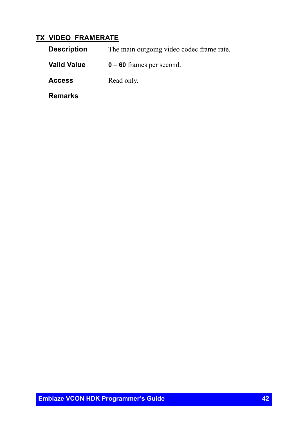#### **TX\_VIDEO\_FRAMERATE**

**Description** The main outgoing video codec frame rate.

**Valid Value 0** – **60** frames per second.

Access Read only.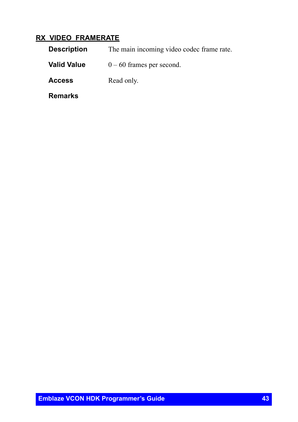## **RX\_VIDEO\_FRAMERATE**

| <b>Description</b> | The main incoming video codec frame rate. |
|--------------------|-------------------------------------------|
| <b>Valid Value</b> | $0 - 60$ frames per second.               |
| <b>Access</b>      | Read only.                                |
| Remarks            |                                           |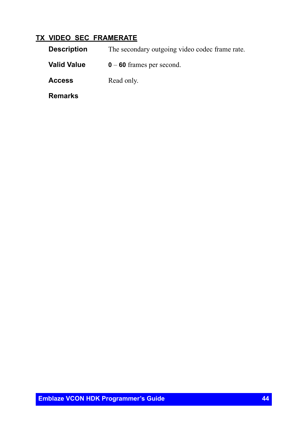# **TX\_VIDEO\_SEC\_FRAMERATE**

**Description** The secondary outgoing video codec frame rate. **Valid Value 0** – **60** frames per second. Access Read only. **Remarks**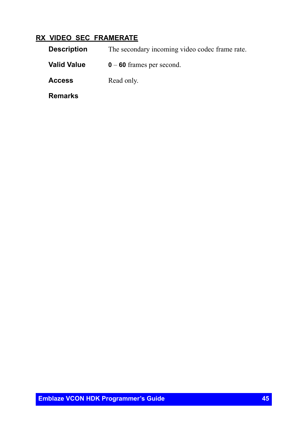# **RX\_VIDEO\_SEC\_FRAMERATE**

**Description** The secondary incoming video codec frame rate. **Valid Value 0** – **60** frames per second. Access Read only. **Remarks**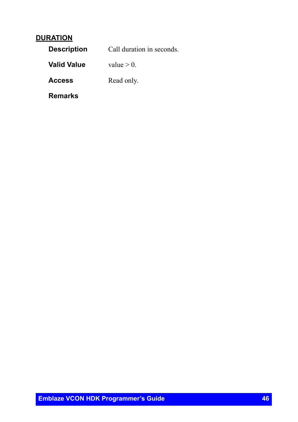### **DURATION**

| <b>Description</b> | Call duration in seconds. |
|--------------------|---------------------------|
| <b>Valid Value</b> | value $> 0$ .             |
| <b>Access</b>      | Read only.                |
| Remarks            |                           |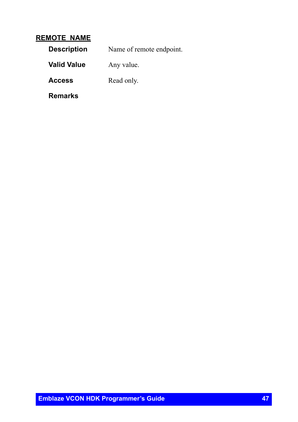#### **REMOTE\_NAME**

| <b>Description</b> | Name of remote endpoint. |
|--------------------|--------------------------|
| <b>Valid Value</b> | Any value.               |
| <b>Access</b>      | Read only.               |
| Remarks            |                          |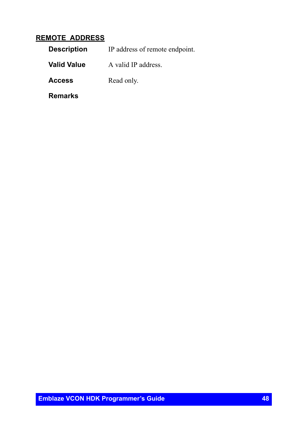### **REMOTE\_ADDRESS**

| <b>Description</b> | IP address of remote endpoint. |
|--------------------|--------------------------------|
| <b>Valid Value</b> | A valid IP address.            |
| <b>Access</b>      | Read only.                     |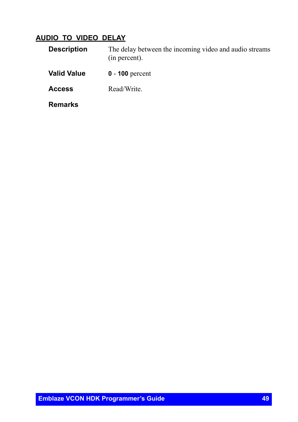## **AUDIO\_TO\_VIDEO\_DELAY**

| <b>Description</b> | The delay between the incoming video and audio streams<br>(in percent). |
|--------------------|-------------------------------------------------------------------------|
| <b>Valid Value</b> | $0 - 100$ percent                                                       |
| Access             | Read/Write.                                                             |
| <b>Remarks</b>     |                                                                         |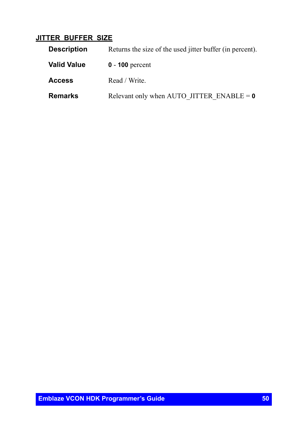### **JITTER\_BUFFER\_SIZE**

| <b>Description</b> | Returns the size of the used jitter buffer (in percent). |
|--------------------|----------------------------------------------------------|
| <b>Valid Value</b> | $0 - 100$ percent                                        |
| <b>Access</b>      | Read / Write.                                            |
| <b>Remarks</b>     | Relevant only when AUTO JITTER ENABLE = $\theta$         |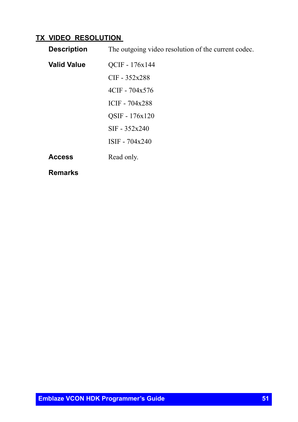# **TX\_VIDEO\_RESOLUTION**

| <b>Description</b> | The outgoing video resolution of the current codec. |
|--------------------|-----------------------------------------------------|
| <b>Valid Value</b> | QCIF - 176x144                                      |
|                    | $CIF - 352x288$                                     |
|                    | $4CIF - 704x576$                                    |
|                    | ICIF - 704x288                                      |
|                    | OSIF - 176x120                                      |
|                    | $SIF - 352x240$                                     |
|                    | ISIF - 704x240                                      |
| <b>Access</b>      | Read only.                                          |
| <b>Remarks</b>     |                                                     |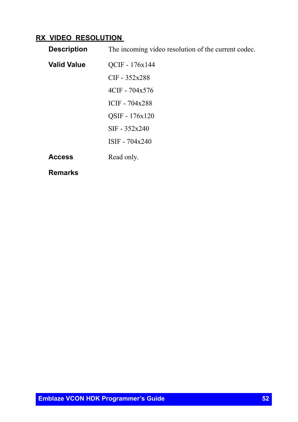# **RX\_VIDEO\_RESOLUTION**

| <b>Description</b> | The incoming video resolution of the current codec. |
|--------------------|-----------------------------------------------------|
| <b>Valid Value</b> | QCIF - 176x144                                      |
|                    | $CIF - 352x288$                                     |
|                    | $4CIF - 704x576$                                    |
|                    | ICIF - 704x288                                      |
|                    | OSIF - 176x120                                      |
|                    | $SIF - 352x240$                                     |
|                    | ISIF - 704x240                                      |
| <b>Access</b>      | Read only.                                          |
| <b>Remarks</b>     |                                                     |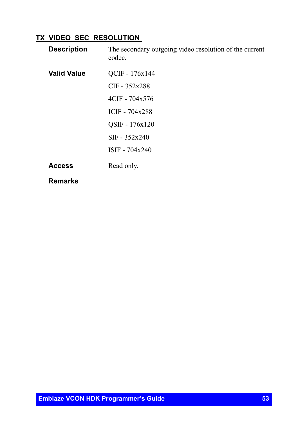## **TX\_VIDEO\_SEC\_RESOLUTION**

| <b>Description</b> | The secondary outgoing video resolution of the current<br>codec. |
|--------------------|------------------------------------------------------------------|
| <b>Valid Value</b> | OCIF - 176x144                                                   |
|                    | $CIF - 352x288$                                                  |
|                    | $4CIF - 704x576$                                                 |
|                    | ICIF - 704x288                                                   |
|                    | QSIF - 176x120                                                   |
|                    | $SIF - 352x240$                                                  |
|                    | ISIF - 704x240                                                   |
| <b>Access</b>      | Read only.                                                       |
|                    |                                                                  |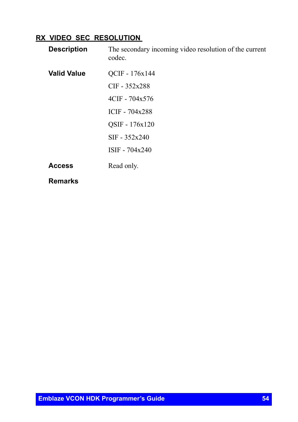## **RX\_VIDEO\_SEC\_RESOLUTION**

| <b>Description</b> | The secondary incoming video resolution of the current<br>codec. |
|--------------------|------------------------------------------------------------------|
| <b>Valid Value</b> | QCIF - 176x144                                                   |
|                    | $CIF - 352x288$                                                  |
|                    | 4CIF - 704x576                                                   |
|                    | ICIF $-704x288$                                                  |
|                    | QSIF - 176x120                                                   |
|                    | $SIF - 352x240$                                                  |
|                    | $ISIF - 704x240$                                                 |
| <b>Access</b>      | Read only.                                                       |
|                    |                                                                  |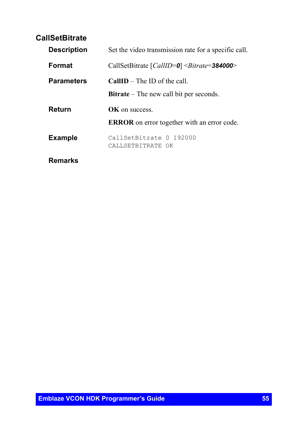# **CallSetBitrate**

| <b>Description</b> | Set the video transmission rate for a specific call.     |
|--------------------|----------------------------------------------------------|
| <b>Format</b>      | CallSetBitrate $\left[CallID=0\right]$ < Bitrate=384000> |
| <b>Parameters</b>  | <b>CallID</b> – The ID of the call                       |
|                    | <b>Bitrate</b> – The new call bit per seconds.           |
| Return             | <b>OK</b> on success                                     |
|                    | <b>ERROR</b> on error together with an error code.       |
| <b>Example</b>     | CallSetBitrate 0 192000<br>CALLSETBITRATE OK             |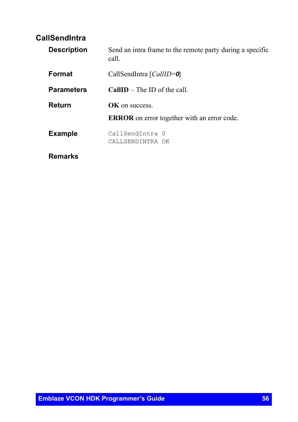# **CallSendIntra**

| <b>Description</b> | Send an intra frame to the remote party during a specific<br>call. |
|--------------------|--------------------------------------------------------------------|
| Format             | CallSendIntra [CallID=0]                                           |
| <b>Parameters</b>  | <b>CallID</b> – The ID of the call                                 |
| Return             | <b>OK</b> on success                                               |
|                    | <b>ERROR</b> on error together with an error code.                 |
| <b>Example</b>     | CallSendIntra 0<br>CALLSENDINTRA OK                                |
| Remarks            |                                                                    |

**Emblaze VCON HDK Programmer's Guide 56**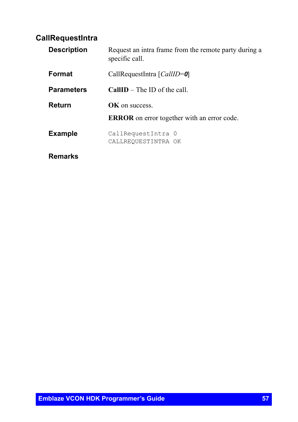# **CallRequestIntra**

| <b>Description</b> | Request an intra frame from the remote party during a<br>specific call. |
|--------------------|-------------------------------------------------------------------------|
| Format             | CallRequestIntra [CallID=0]                                             |
| <b>Parameters</b>  | <b>CallID</b> – The ID of the call                                      |
| Return             | <b>OK</b> on success.                                                   |
|                    | <b>ERROR</b> on error together with an error code.                      |
| <b>Example</b>     | CallRequestIntra 0<br>CALLREQUESTINTRA OK                               |
| Remarks            |                                                                         |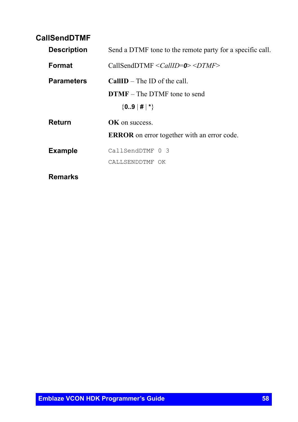# **CallSendDTMF**

| <b>Description</b> | Send a DTMF tone to the remote party for a specific call. |
|--------------------|-----------------------------------------------------------|
| Format             | CallSendDTMF $\le$ CallID=0> $\le$ DTMF>                  |
| <b>Parameters</b>  | <b>CallID</b> – The ID of the call                        |
|                    | <b>DTMF</b> – The DTMF tone to send                       |
|                    | $\{09 \mid # \mid * \}$                                   |
| Return             | <b>OK</b> on success.                                     |
|                    | <b>ERROR</b> on error together with an error code.        |
| <b>Example</b>     | CallSendDTMF 0 3                                          |
|                    | CALLSENDDTMF OK                                           |
| Remarks            |                                                           |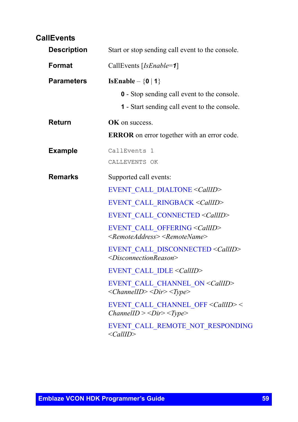# **CallEvents**

| <b>Description</b> | Start or stop sending call event to the console.                                                                                                                                                                                                                                                                                                                                                                                                                                                                                                                                                                                                                                                 |
|--------------------|--------------------------------------------------------------------------------------------------------------------------------------------------------------------------------------------------------------------------------------------------------------------------------------------------------------------------------------------------------------------------------------------------------------------------------------------------------------------------------------------------------------------------------------------------------------------------------------------------------------------------------------------------------------------------------------------------|
| Format             | CallEvents [IsEnable=1]                                                                                                                                                                                                                                                                                                                                                                                                                                                                                                                                                                                                                                                                          |
| <b>Parameters</b>  | IsEnable – $\{0   1\}$<br><b>0</b> - Stop sending call event to the console.<br><b>1</b> - Start sending call event to the console.                                                                                                                                                                                                                                                                                                                                                                                                                                                                                                                                                              |
| <b>Return</b>      | <b>OK</b> on success.<br><b>ERROR</b> on error together with an error code.                                                                                                                                                                                                                                                                                                                                                                                                                                                                                                                                                                                                                      |
| <b>Example</b>     | CallEvents 1<br>CALLEVENTS OK                                                                                                                                                                                                                                                                                                                                                                                                                                                                                                                                                                                                                                                                    |
| <b>Remarks</b>     | Supported call events:<br>EVENT CALL DIALTONE < CallID><br>EVENT CALL RINGBACK < CallID><br>EVENT CALL CONNECTED <callid><br/>EVENT CALL OFFERING &lt; CallID&gt;<br/><remoteaddress> <remotename><br/>EVENT CALL DISCONNECTED <callid><br/><disconnectionreason><br/>EVENT CALL IDLE <callid><br/>EVENT CALL CHANNEL ON &lt; CallID&gt;<br/><math>&lt;</math>ChannelID&gt;<math>&lt;</math>Dir&gt;<math>&lt;</math>Type&gt;<br/>EVENT CALL CHANNEL OFF &lt; CallID&gt; &lt;<br/><math>ChannelID \ge <dir> \le Type</dir></math><br/>EVENT CALL REMOTE NOT RESPONDING<br/><math>\langle\text{CallID}\rangle</math></callid></disconnectionreason></callid></remotename></remoteaddress></callid> |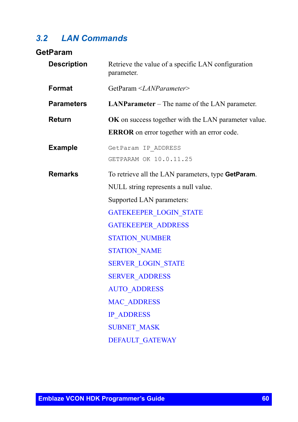# *3.2 LAN Commands*

# **GetParam**

| <b>Description</b> | Retrieve the value of a specific LAN configuration<br>parameter. |
|--------------------|------------------------------------------------------------------|
| Format             | GetParam <lanparameter></lanparameter>                           |
| <b>Parameters</b>  | <b>LANParameter</b> – The name of the LAN parameter.             |
| <b>Return</b>      | OK on success together with the LAN parameter value.             |
|                    | <b>ERROR</b> on error together with an error code.               |
| <b>Example</b>     | GetParam IP ADDRESS                                              |
|                    | GETPARAM OK 10.0.11.25                                           |
| <b>Remarks</b>     | To retrieve all the LAN parameters, type GetParam.               |
|                    | NULL string represents a null value.                             |
|                    | Supported LAN parameters:                                        |
|                    | <b>GATEKEEPER LOGIN STATE</b>                                    |
|                    | <b>GATEKEEPER ADDRESS</b>                                        |
|                    | <b>STATION NUMBER</b>                                            |
|                    | <b>STATION NAME</b>                                              |
|                    | <b>SERVER LOGIN STATE</b>                                        |
|                    | <b>SERVER ADDRESS</b>                                            |
|                    | <b>AUTO ADDRESS</b>                                              |
|                    | <b>MAC ADDRESS</b>                                               |
|                    | <b>IP ADDRESS</b>                                                |
|                    | <b>SUBNET MASK</b>                                               |
|                    | <b>DEFAULT GATEWAY</b>                                           |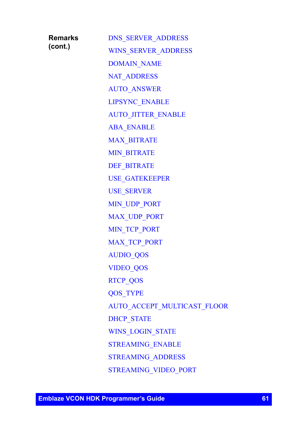| <b>Remarks</b> |  |
|----------------|--|
| (cont.)        |  |

[DNS\\_SERVER\\_ADDRESS](#page-73-0) [WINS\\_SERVER\\_ADDRESS](#page-74-0) [DOMAIN\\_NAME](#page-75-0) [NAT\\_ADDRESS](#page-76-0) [AUTO\\_ANSWER](#page-77-0) [LIPSYNC\\_ENABLE](#page-78-0) [AUTO\\_JITTER\\_ENABLE](#page-79-0) [ABA\\_ENABLE](#page-80-0) [MAX\\_BITRATE](#page-81-0) [MIN\\_BITRATE](#page-82-0) [DEF\\_BITRATE](#page-83-0) [USE\\_GATEKEEPER](#page-84-0) [USE\\_SERVER](#page-85-0) [MIN\\_UDP\\_PORT](#page-86-0) [MAX\\_UDP\\_PORT](#page-87-0) [MIN\\_TCP\\_PORT](#page-88-0) [MAX\\_TCP\\_PORT](#page-89-0) [AUDIO\\_QOS](#page-90-0) [VIDEO\\_QOS](#page-91-0) [RTCP\\_QOS](#page-92-0) [QOS\\_TYPE](#page-93-0) [AUTO\\_ACCEPT\\_MULTICAST\\_FLOOR](#page-94-0) [DHCP\\_STATE](#page-95-0) [WINS\\_LOGIN\\_STATE](#page-96-0) [STREAMING\\_ENABLE](#page-97-0) [STREAMING\\_ADDRESS](#page-98-0) [STREAMING\\_VIDEO\\_PORT](#page-99-0)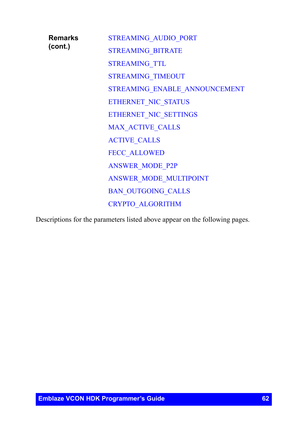| Remarks<br>(cont.) | <b>STREAMING AUDIO PORT</b>   |
|--------------------|-------------------------------|
|                    | <b>STREAMING BITRATE</b>      |
|                    | <b>STREAMING TTL</b>          |
|                    | <b>STREAMING TIMEOUT</b>      |
|                    | STREAMING ENABLE ANNOUNCEMENT |
|                    | ETHERNET NIC STATUS           |
|                    | ETHERNET NIC SETTINGS         |
|                    | <b>MAX ACTIVE CALLS</b>       |
|                    | <b>ACTIVE CALLS</b>           |
|                    | <b>FECC ALLOWED</b>           |
|                    | <b>ANSWER MODE P2P</b>        |
|                    | ANSWER MODE MULTIPOINT        |
|                    | <b>BAN OUTGOING CALLS</b>     |
|                    | <b>CRYPTO ALGORITHM</b>       |
|                    |                               |

Descriptions for the parameters listed above appear on the following pages.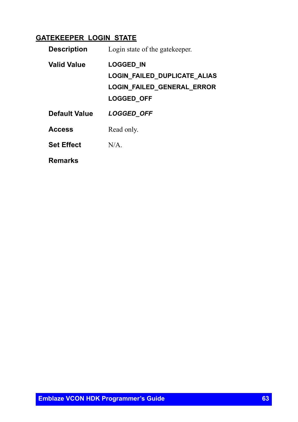# <span id="page-62-0"></span>**GATEKEEPER\_LOGIN\_STATE**

| <b>Description</b>   | Login state of the gate keeper.                                                                     |
|----------------------|-----------------------------------------------------------------------------------------------------|
| <b>Valid Value</b>   | <b>LOGGED IN</b><br>LOGIN_FAILED_DUPLICATE_ALIAS<br>LOGIN_FAILED_GENERAL_ERROR<br><b>LOGGED OFF</b> |
| <b>Default Value</b> | <b>LOGGED OFF</b>                                                                                   |
| <b>Access</b>        | Read only.                                                                                          |
| <b>Set Effect</b>    | N/A                                                                                                 |
| Remarks              |                                                                                                     |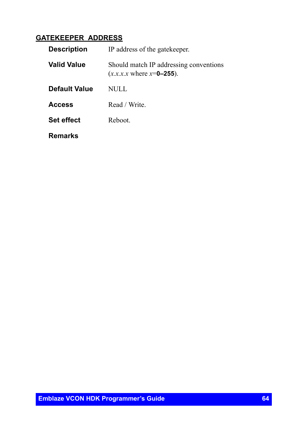# <span id="page-63-0"></span>**GATEKEEPER\_ADDRESS**

| <b>Description</b> | IP address of the gate keeper.                                                    |
|--------------------|-----------------------------------------------------------------------------------|
| <b>Valid Value</b> | Should match IP addressing conventions<br>$(x.x.x.x \text{ where } x = 0 - 255).$ |
| Default Value      | NULL                                                                              |
| <b>Access</b>      | Read / Write.                                                                     |
| <b>Set effect</b>  | Reboot                                                                            |
| <b>Remarks</b>     |                                                                                   |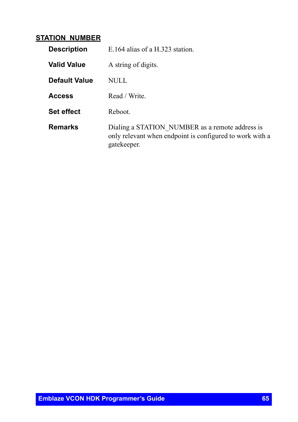### <span id="page-64-0"></span>**STATION\_NUMBER**

| <b>Description</b> | E.164 alias of a H.323 station.                                                                                            |
|--------------------|----------------------------------------------------------------------------------------------------------------------------|
| <b>Valid Value</b> | A string of digits.                                                                                                        |
| Default Value      | NULL.                                                                                                                      |
| <b>Access</b>      | Read / Write.                                                                                                              |
| <b>Set effect</b>  | Reboot.                                                                                                                    |
| <b>Remarks</b>     | Dialing a STATION NUMBER as a remote address is<br>only relevant when endpoint is configured to work with a<br>gatekeeper. |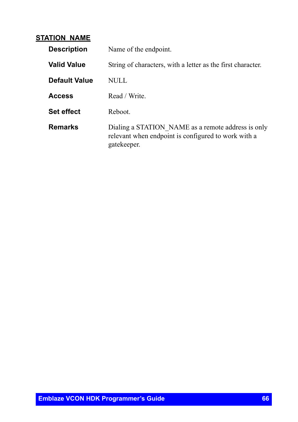### <span id="page-65-0"></span>**STATION\_NAME**

| <b>Description</b> | Name of the endpoint.                                                                                                    |
|--------------------|--------------------------------------------------------------------------------------------------------------------------|
| <b>Valid Value</b> | String of characters, with a letter as the first character.                                                              |
| Default Value      | NULL                                                                                                                     |
| <b>Access</b>      | Read / Write.                                                                                                            |
| <b>Set effect</b>  | Reboot                                                                                                                   |
| <b>Remarks</b>     | Dialing a STATION NAME as a remote address is only<br>relevant when endpoint is configured to work with a<br>gatekeeper. |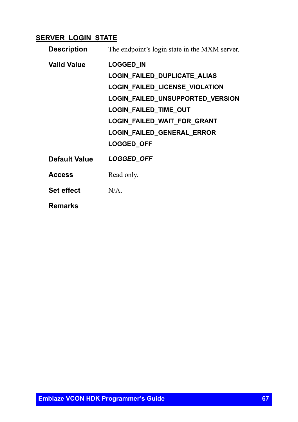# <span id="page-66-0"></span>**SERVER\_LOGIN\_STATE**

| <b>Description</b> | The endpoint's login state in the MXM server. |
|--------------------|-----------------------------------------------|
| <b>Valid Value</b> | <b>LOGGED IN</b>                              |
|                    | LOGIN_FAILED_DUPLICATE_ALIAS                  |
|                    | <b>LOGIN FAILED LICENSE VIOLATION</b>         |
|                    | LOGIN_FAILED_UNSUPPORTED_VERSION              |
|                    | <b>LOGIN FAILED TIME OUT</b>                  |
|                    | LOGIN_FAILED_WAIT_FOR_GRANT                   |
|                    | LOGIN_FAILED_GENERAL_ERROR                    |
|                    | LOGGED_OFF                                    |
| Default Value      | LOGGED_OFF                                    |
| <b>Access</b>      | Read only.                                    |
| <b>Set effect</b>  | $N/A$ .                                       |
| <b>Remarks</b>     |                                               |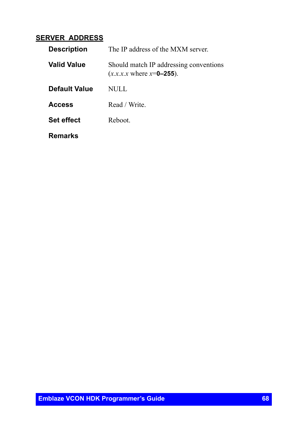### <span id="page-67-0"></span>**SERVER\_ADDRESS**

| <b>Description</b> | The IP address of the MXM server.                                                 |
|--------------------|-----------------------------------------------------------------------------------|
| <b>Valid Value</b> | Should match IP addressing conventions<br>$(x.x.x.x \text{ where } x = 0 - 255).$ |
| Default Value      | NULL                                                                              |
| <b>Access</b>      | Read / Write.                                                                     |
| <b>Set effect</b>  | Reboot                                                                            |
| <b>Remarks</b>     |                                                                                   |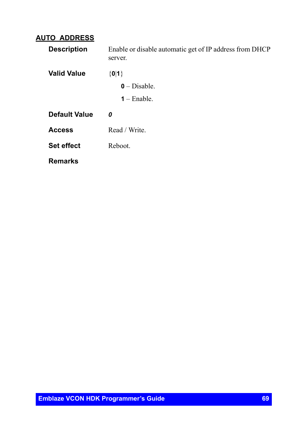# <span id="page-68-0"></span>**AUTO\_ADDRESS**

| <b>Description</b> | Enable or disable automatic get of IP address from DHCP<br>server. |
|--------------------|--------------------------------------------------------------------|
| <b>Valid Value</b> | ${0 1}$                                                            |
|                    | $0$ – Disable.                                                     |
|                    | $1 -$ Enable.                                                      |
| Default Value      | 0                                                                  |
| <b>Access</b>      | Read / Write.                                                      |
| <b>Set effect</b>  | Reboot.                                                            |
| <b>Remarks</b>     |                                                                    |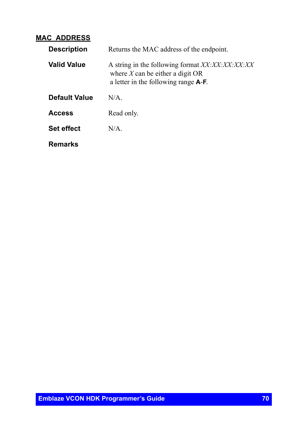## <span id="page-69-0"></span>**MAC\_ADDRESS**

| <b>Description</b> | Returns the MAC address of the endpoint.                                                                                              |
|--------------------|---------------------------------------------------------------------------------------------------------------------------------------|
| <b>Valid Value</b> | A string in the following format XX:XX:XX:XX:XX<br>where $X$ can be either a digit OR<br>a letter in the following range <b>A-F</b> . |
| Default Value      | N/A                                                                                                                                   |
| <b>Access</b>      | Read only.                                                                                                                            |
| <b>Set effect</b>  | $N/A$ .                                                                                                                               |
| Remarks            |                                                                                                                                       |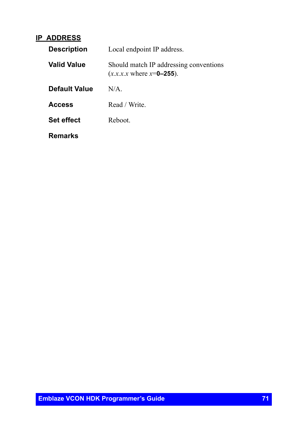### <span id="page-70-0"></span>**IP\_ADDRESS**

| <b>Description</b> | Local endpoint IP address.                                                        |
|--------------------|-----------------------------------------------------------------------------------|
| Valid Value        | Should match IP addressing conventions<br>$(x.x.x.x \text{ where } x = 0 - 255).$ |
| Default Value      | N/A                                                                               |
| <b>Access</b>      | Read / Write.                                                                     |
| <b>Set effect</b>  | Reboot.                                                                           |
| <b>Remarks</b>     |                                                                                   |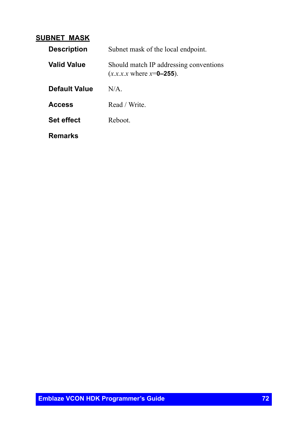### <span id="page-71-0"></span>**SUBNET\_MASK**

| <b>Description</b> | Subnet mask of the local endpoint.                                                |
|--------------------|-----------------------------------------------------------------------------------|
| <b>Valid Value</b> | Should match IP addressing conventions<br>$(x.x.x.x \text{ where } x = 0 - 255).$ |
| Default Value      | N/A                                                                               |
| <b>Access</b>      | Read / Write.                                                                     |
| <b>Set effect</b>  | Reboot.                                                                           |
| Remarks            |                                                                                   |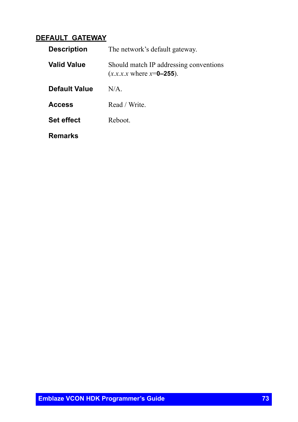### **DEFAULT\_GATEWAY**

| <b>Description</b> | The network's default gateway.                                                |
|--------------------|-------------------------------------------------------------------------------|
| <b>Valid Value</b> | Should match IP addressing conventions<br>$(x.x.x.x \text{ where } x=0-255).$ |
| Default Value      | N/A                                                                           |
| <b>Access</b>      | Read / Write.                                                                 |
| <b>Set effect</b>  | Reboot                                                                        |
| <b>Remarks</b>     |                                                                               |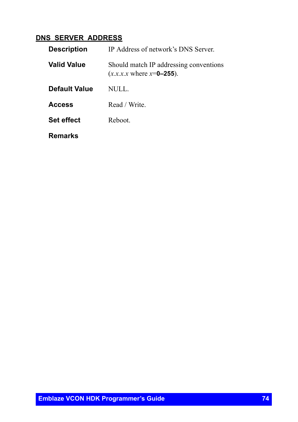### **DNS\_SERVER\_ADDRESS**

| <b>Description</b>   | IP Address of network's DNS Server.                                               |
|----------------------|-----------------------------------------------------------------------------------|
| <b>Valid Value</b>   | Should match IP addressing conventions<br>$(x.x.x.x \text{ where } x = 0 - 255).$ |
| <b>Default Value</b> | NULL.                                                                             |
| <b>Access</b>        | Read / Write.                                                                     |
| <b>Set effect</b>    | Reboot.                                                                           |
| Remarks              |                                                                                   |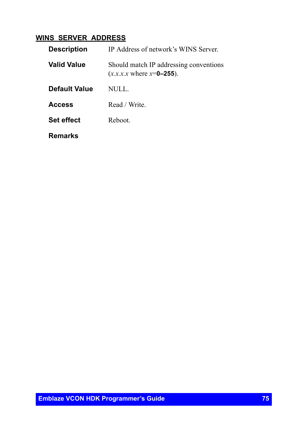### **WINS\_SERVER\_ADDRESS**

| <b>Description</b>   | IP Address of network's WINS Server.                                              |
|----------------------|-----------------------------------------------------------------------------------|
| Valid Value          | Should match IP addressing conventions<br>$(x.x.x.x \text{ where } x = 0 - 255).$ |
| <b>Default Value</b> | NULL.                                                                             |
| <b>Access</b>        | Read / Write.                                                                     |
| <b>Set effect</b>    | Reboot                                                                            |
| Remarks              |                                                                                   |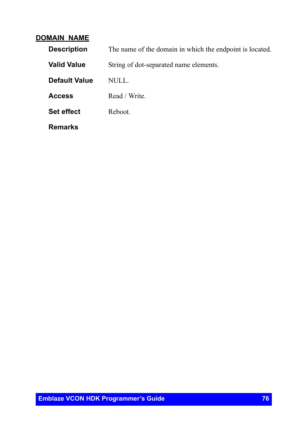#### **DOMAIN\_NAME**

| <b>Description</b>   | The name of the domain in which the endpoint is located. |
|----------------------|----------------------------------------------------------|
| <b>Valid Value</b>   | String of dot-separated name elements.                   |
| <b>Default Value</b> | NULL.                                                    |
| <b>Access</b>        | Read / Write.                                            |
| <b>Set effect</b>    | Reboot.                                                  |
| <b>Remarks</b>       |                                                          |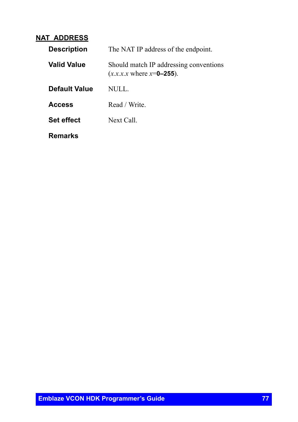#### **NAT\_ADDRESS**

| <b>Description</b> | The NAT IP address of the endpoint.                                                |
|--------------------|------------------------------------------------------------------------------------|
| <b>Valid Value</b> | Should match IP addressing conventions<br>$(x.x.x.x \text{ where } x = 0 - 255)$ . |
| Default Value      | NULL.                                                                              |
| <b>Access</b>      | Read / Write.                                                                      |
| <b>Set effect</b>  | Next Call                                                                          |
| Remarks            |                                                                                    |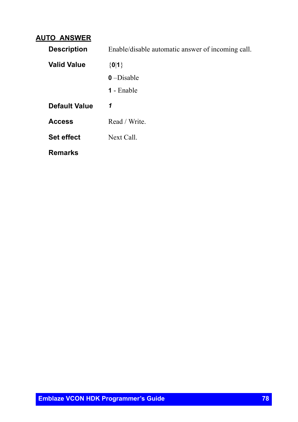#### **AUTO\_ANSWER**

| <b>Description</b>   | Enable/disable automatic answer of incoming call. |
|----------------------|---------------------------------------------------|
| <b>Valid Value</b>   | ${0 1}$                                           |
|                      | $0$ –Disable                                      |
|                      | 1 - Enable                                        |
| <b>Default Value</b> | 1                                                 |
| <b>Access</b>        | Read / Write.                                     |
| <b>Set effect</b>    | Next Call.                                        |
|                      |                                                   |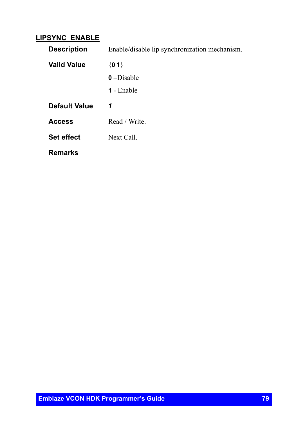#### **LIPSYNC\_ENABLE**

| <b>Description</b>   | Enable/disable lip synchronization mechanism. |
|----------------------|-----------------------------------------------|
| Valid Value          | ${0 1}$                                       |
|                      | $0$ –Disable                                  |
|                      | 1 - Enable                                    |
| <b>Default Value</b> | 1                                             |
| <b>Access</b>        | Read / Write.                                 |
| <b>Set effect</b>    | Next Call                                     |
| <b>Remarks</b>       |                                               |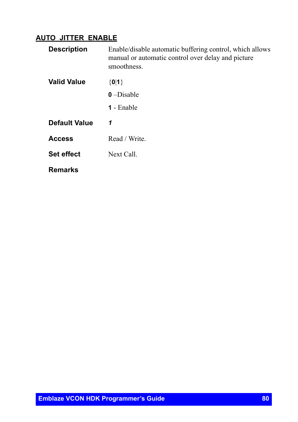### **AUTO\_JITTER\_ENABLE**

| <b>Description</b>   | Enable/disable automatic buffering control, which allows<br>manual or automatic control over delay and picture<br>smoothness. |
|----------------------|-------------------------------------------------------------------------------------------------------------------------------|
| <b>Valid Value</b>   | ${0 1}$                                                                                                                       |
|                      | $0$ –Disable                                                                                                                  |
|                      | <b>1</b> - Enable                                                                                                             |
| <b>Default Value</b> | 1                                                                                                                             |
| <b>Access</b>        | Read / Write.                                                                                                                 |
| <b>Set effect</b>    | Next Call.                                                                                                                    |
| <b>Remarks</b>       |                                                                                                                               |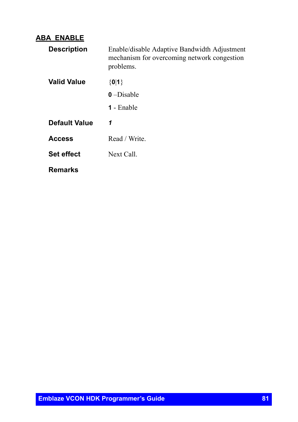#### **ABA\_ENABLE**

| <b>Description</b> | Enable/disable Adaptive Bandwidth Adjustment<br>mechanism for overcoming network congestion<br>problems. |
|--------------------|----------------------------------------------------------------------------------------------------------|
| <b>Valid Value</b> | ${0 1}$                                                                                                  |
|                    | $0$ –Disable                                                                                             |
|                    | <b>1</b> - Enable                                                                                        |
| Default Value      | 1                                                                                                        |
| <b>Access</b>      | Read / Write.                                                                                            |
| <b>Set effect</b>  | Next Call                                                                                                |
| <b>Remarks</b>     |                                                                                                          |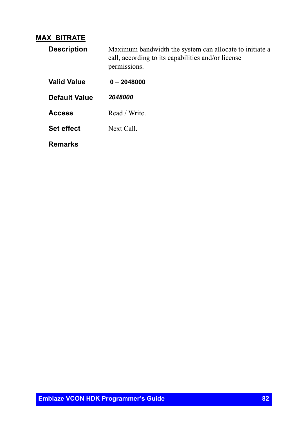### **MAX\_BITRATE**

| <b>Description</b> | Maximum bandwidth the system can allocate to initiate a<br>call, according to its capabilities and/or license<br>permissions. |
|--------------------|-------------------------------------------------------------------------------------------------------------------------------|
| Valid Value        | $0 - 2048000$                                                                                                                 |
| Default Value      | 2048000                                                                                                                       |
| <b>Access</b>      | Read / Write.                                                                                                                 |
| <b>Set effect</b>  | Next Call                                                                                                                     |
| Remarks            |                                                                                                                               |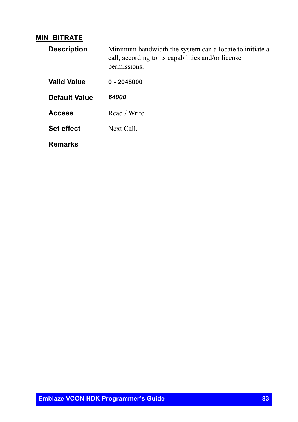#### **MIN\_BITRATE**

| <b>Description</b> | Minimum bandwidth the system can allocate to initiate a<br>call, according to its capabilities and/or license<br>permissions. |
|--------------------|-------------------------------------------------------------------------------------------------------------------------------|
| <b>Valid Value</b> | $0 - 2048000$                                                                                                                 |
| Default Value      | 64000                                                                                                                         |
| <b>Access</b>      | Read / Write.                                                                                                                 |
| <b>Set effect</b>  | Next Call                                                                                                                     |
| Remarks            |                                                                                                                               |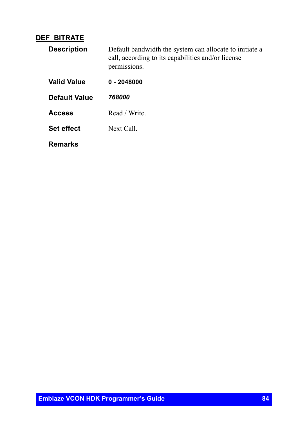#### **DEF\_BITRATE**

| <b>Description</b> | Default bandwidth the system can allocate to initiate a<br>call, according to its capabilities and/or license<br>permissions. |
|--------------------|-------------------------------------------------------------------------------------------------------------------------------|
| Valid Value        | $0 - 2048000$                                                                                                                 |
| Default Value      | 768000                                                                                                                        |
| <b>Access</b>      | Read / Write.                                                                                                                 |
| <b>Set effect</b>  | Next Call                                                                                                                     |
| Remarks            |                                                                                                                               |

**Emblaze VCON HDK Programmer's Guide 84**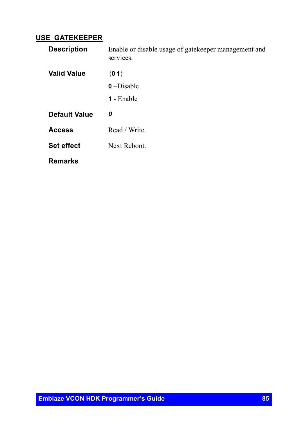#### **USE\_GATEKEEPER**

| <b>Description</b>   | Enable or disable usage of gatekeeper management and<br>services. |
|----------------------|-------------------------------------------------------------------|
| <b>Valid Value</b>   | ${0 1}$                                                           |
|                      | $0$ –Disable                                                      |
|                      | <b>1</b> - Enable                                                 |
|                      |                                                                   |
| <b>Default Value</b> | 0                                                                 |
| <b>Access</b>        | Read / Write.                                                     |
| <b>Set effect</b>    | Next Reboot.                                                      |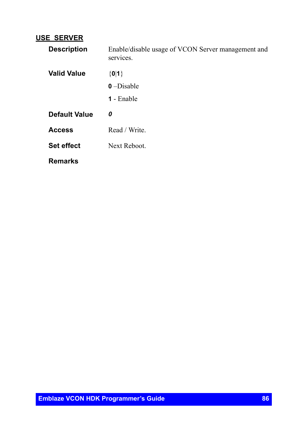#### **USE\_SERVER**

| <b>Description</b>   | Enable/disable usage of VCON Server management and<br>services. |
|----------------------|-----------------------------------------------------------------|
| <b>Valid Value</b>   | ${0 1}$<br>$0$ –Disable                                         |
|                      |                                                                 |
|                      | 1 - Enable                                                      |
|                      |                                                                 |
| <b>Default Value</b> | 0                                                               |
| <b>Access</b>        | Read / Write.                                                   |
| <b>Set effect</b>    | Next Reboot.                                                    |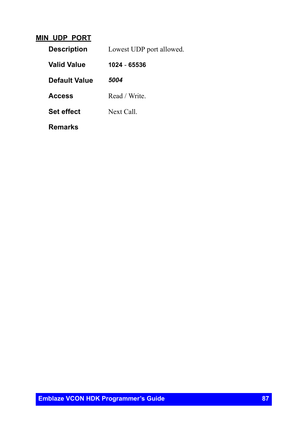#### **MIN\_UDP\_PORT**

| <b>Description</b> | Lowest UDP port allowed. |
|--------------------|--------------------------|
| <b>Valid Value</b> | 1024 - 65536             |
| Default Value      | 5004                     |
| <b>Access</b>      | Read / Write.            |
| <b>Set effect</b>  | Next Call                |
| Remarks            |                          |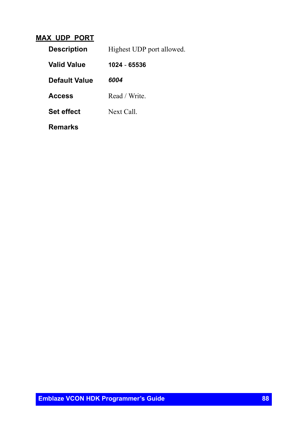#### **MAX\_UDP\_PORT**

| <b>Description</b>   | Highest UDP port allowed. |
|----------------------|---------------------------|
| <b>Valid Value</b>   | 1024 - 65536              |
| <b>Default Value</b> | 6004                      |
| <b>Access</b>        | Read / Write.             |
| <b>Set effect</b>    | Next Call.                |
| Remarks              |                           |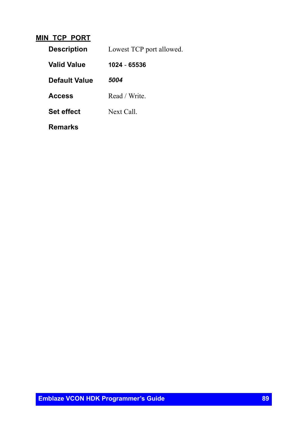#### **MIN\_TCP\_PORT**

| <b>Description</b>   | Lowest TCP port allowed. |
|----------------------|--------------------------|
| Valid Value          | 1024 - 65536             |
| <b>Default Value</b> | 5004                     |
| <b>Access</b>        | Read / Write.            |
| <b>Set effect</b>    | Next Call                |
| Remarks              |                          |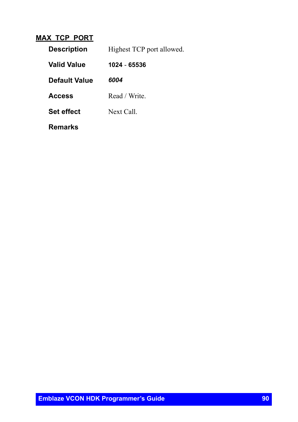#### **MAX\_TCP\_PORT**

| <b>Description</b>   | Highest TCP port allowed. |
|----------------------|---------------------------|
| <b>Valid Value</b>   | 1024 - 65536              |
| <b>Default Value</b> | 6004                      |
| <b>Access</b>        | Read / Write.             |
| <b>Set effect</b>    | Next Call                 |
| Remarks              |                           |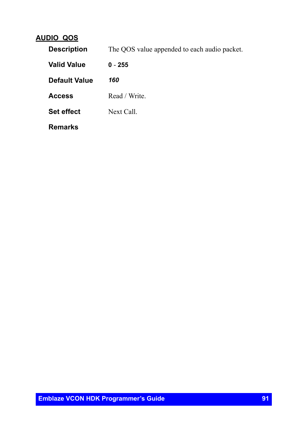## **AUDIO\_QOS**

| <b>Description</b>   | The QOS value appended to each audio packet. |
|----------------------|----------------------------------------------|
| <b>Valid Value</b>   | $0 - 255$                                    |
| <b>Default Value</b> | 160                                          |
| <b>Access</b>        | Read / Write.                                |
| <b>Set effect</b>    | Next Call.                                   |
| <b>Remarks</b>       |                                              |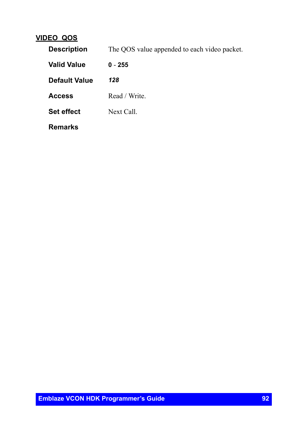### **VIDEO\_QOS**

| <b>Description</b>   | The QOS value appended to each video packet. |
|----------------------|----------------------------------------------|
| <b>Valid Value</b>   | $0 - 255$                                    |
| <b>Default Value</b> | 128                                          |
| <b>Access</b>        | Read / Write.                                |
| <b>Set effect</b>    | Next Call.                                   |
| <b>Remarks</b>       |                                              |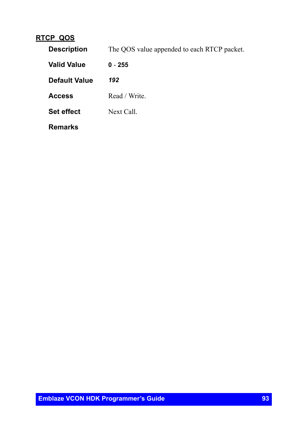### **RTCP\_QOS**

| <b>Description</b>   | The QOS value appended to each RTCP packet. |
|----------------------|---------------------------------------------|
| <b>Valid Value</b>   | $0 - 255$                                   |
| <b>Default Value</b> | 192                                         |
| <b>Access</b>        | Read / Write.                               |
| <b>Set effect</b>    | Next Call.                                  |
| <b>Remarks</b>       |                                             |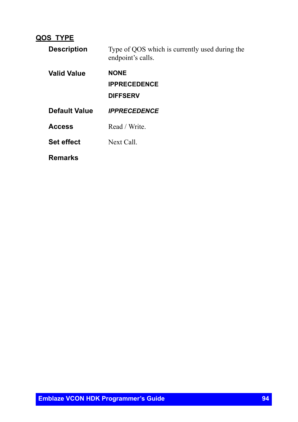## **QOS\_TYPE**

| <b>Description</b> | Type of QOS which is currently used during the<br>endpoint's calls. |
|--------------------|---------------------------------------------------------------------|
| <b>Valid Value</b> | <b>NONE</b><br><b>IPPRECEDENCE</b><br><b>DIFFSERV</b>               |
| Default Value      | <b>IPPRECEDENCE</b>                                                 |
| <b>Access</b>      | Read / Write                                                        |
| <b>Set effect</b>  | Next Call                                                           |
| Remarks            |                                                                     |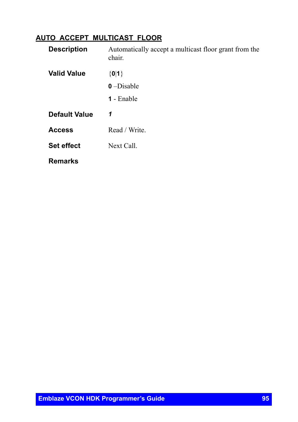## **AUTO\_ACCEPT\_MULTICAST\_FLOOR**

| <b>Description</b>   | Automatically accept a multicast floor grant from the<br>chair. |
|----------------------|-----------------------------------------------------------------|
| <b>Valid Value</b>   | ${0 1}$                                                         |
|                      | $0$ –Disable                                                    |
|                      | 1 - Enable                                                      |
| <b>Default Value</b> | 1                                                               |
| <b>Access</b>        | Read / Write.                                                   |
| <b>Set effect</b>    | Next Call.                                                      |
| <b>Remarks</b>       |                                                                 |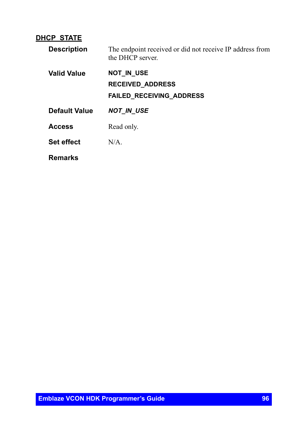#### **DHCP\_STATE**

| <b>Description</b> | The endpoint received or did not receive IP address from<br>the DHCP server.    |
|--------------------|---------------------------------------------------------------------------------|
| <b>Valid Value</b> | <b>NOT IN USE</b><br><b>RECEIVED ADDRESS</b><br><b>FAILED RECEIVING ADDRESS</b> |
| Default Value      | <b>NOT IN USE</b>                                                               |
| <b>Access</b>      | Read only.                                                                      |
| <b>Set effect</b>  | N/A                                                                             |
| <b>Remarks</b>     |                                                                                 |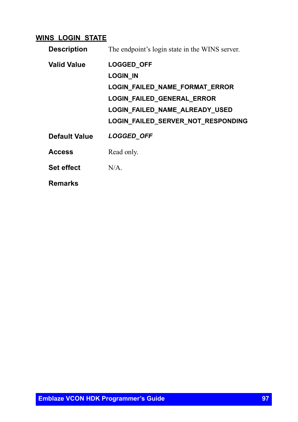### **WINS\_LOGIN\_STATE**

| <b>Description</b> | The endpoint's login state in the WINS server. |
|--------------------|------------------------------------------------|
| <b>Valid Value</b> | <b>LOGGED_OFF</b>                              |
|                    | LOGIN_IN                                       |
|                    | LOGIN_FAILED_NAME_FORMAT_ERROR                 |
|                    | LOGIN_FAILED_GENERAL_ERROR                     |
|                    | <b>LOGIN FAILED NAME ALREADY USED</b>          |
|                    | LOGIN_FAILED_SERVER_NOT_RESPONDING             |
| Default Value      | <b>LOGGED OFF</b>                              |
| <b>Access</b>      | Read only.                                     |
| <b>Set effect</b>  | $N/A$ .                                        |
| Remarks            |                                                |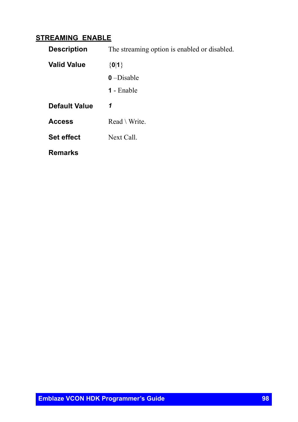### **STREAMING\_ENABLE**

| <b>Description</b> | The streaming option is enabled or disabled. |
|--------------------|----------------------------------------------|
| <b>Valid Value</b> | ${0 1}$                                      |
|                    | $0$ –Disable                                 |
|                    | <b>1</b> - Enable                            |
| Default Value      | 1                                            |
| <b>Access</b>      | $Read \setminus Write$ .                     |
| <b>Set effect</b>  | Next Call.                                   |
| Remarks            |                                              |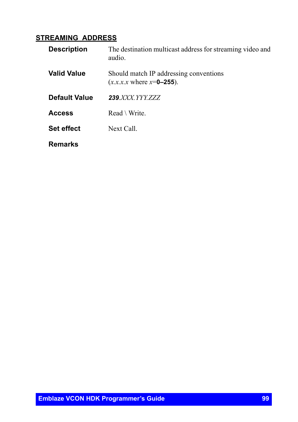# **STREAMING\_ADDRESS**

| <b>Description</b> | The destination multicast address for streaming video and<br>audio.                |
|--------------------|------------------------------------------------------------------------------------|
| <b>Valid Value</b> | Should match IP addressing conventions<br>$(x.x.x.x \text{ where } x = 0 - 255)$ . |
| Default Value      | <b>239</b> XXX YYY ZZZ                                                             |
| <b>Access</b>      | $Read \setminus Write$                                                             |
| <b>Set effect</b>  | Next Call.                                                                         |
| Remarks            |                                                                                    |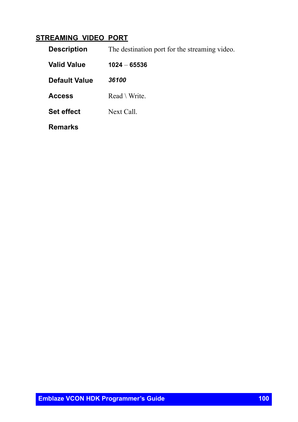## **STREAMING\_VIDEO\_PORT**

| <b>Description</b>   | The destination port for the streaming video. |
|----------------------|-----------------------------------------------|
| <b>Valid Value</b>   | $1024 - 65536$                                |
| <b>Default Value</b> | 36100                                         |
| <b>Access</b>        | $Read \setminus Write$ .                      |
| <b>Set effect</b>    | Next Call.                                    |
| <b>Remarks</b>       |                                               |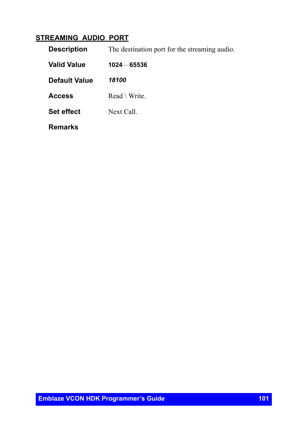## **STREAMING\_AUDIO\_PORT**

| <b>Description</b>   | The destination port for the streaming audio. |
|----------------------|-----------------------------------------------|
| <b>Valid Value</b>   | $1024 - 65536$                                |
| <b>Default Value</b> | 18100                                         |
| <b>Access</b>        | $Read \setminus Write$ .                      |
| <b>Set effect</b>    | Next Call.                                    |
| <b>Remarks</b>       |                                               |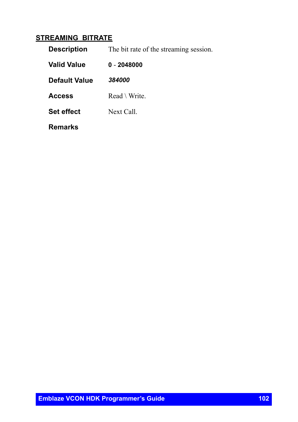# **STREAMING\_BITRATE**

| <b>Description</b>   | The bit rate of the streaming session. |
|----------------------|----------------------------------------|
| <b>Valid Value</b>   | $0 - 2048000$                          |
| <b>Default Value</b> | 384000                                 |
| <b>Access</b>        | $Read \setminus Write$ .               |
| <b>Set effect</b>    | Next Call.                             |
| Remarks              |                                        |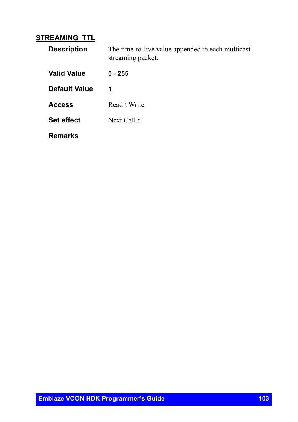### **STREAMING\_TTL**

| <b>Description</b>   | The time-to-live value appended to each multicast<br>streaming packet. |
|----------------------|------------------------------------------------------------------------|
| <b>Valid Value</b>   | $0 - 255$                                                              |
| <b>Default Value</b> | 1                                                                      |
| <b>Access</b>        | $Read \setminus Write$                                                 |
| <b>Set effect</b>    | Next Call.d                                                            |
| Remarks              |                                                                        |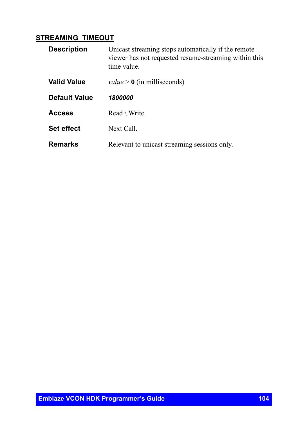#### **STREAMING\_TIMEOUT**

| <b>Description</b>   | Unicast streaming stops automatically if the remote<br>viewer has not requested resume-streaming within this<br>time value. |
|----------------------|-----------------------------------------------------------------------------------------------------------------------------|
| <b>Valid Value</b>   | <i>value</i> $> 0$ (in milliseconds)                                                                                        |
| <b>Default Value</b> | 1800000                                                                                                                     |
| <b>Access</b>        | $Read \setminus Write$                                                                                                      |
| <b>Set effect</b>    | Next Call.                                                                                                                  |
| <b>Remarks</b>       | Relevant to unicast streaming sessions only.                                                                                |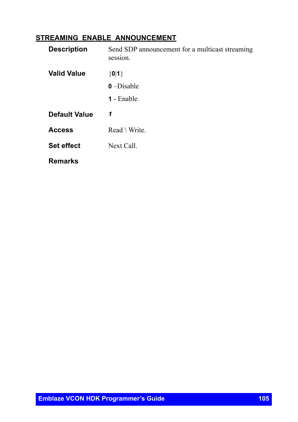### **STREAMING\_ENABLE\_ANNOUNCEMENT**

| <b>Description</b>   | Send SDP announcement for a multicast streaming<br>session. |
|----------------------|-------------------------------------------------------------|
| <b>Valid Value</b>   | ${0 1}$                                                     |
|                      | $0$ –Disable                                                |
|                      | <b>1</b> - Enable                                           |
| <b>Default Value</b> | 1                                                           |
| <b>Access</b>        | $Read \setminus Write$                                      |
| <b>Set effect</b>    | Next Call.                                                  |
| <b>Remarks</b>       |                                                             |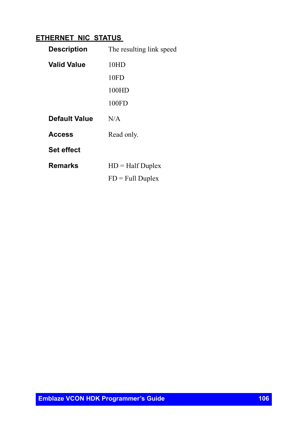## **ETHERNET\_NIC\_STATUS**

| <b>Description</b> | The resulting link speed |
|--------------------|--------------------------|
| Valid Value        | 10HD                     |
|                    | 10FD                     |
|                    | 100HD                    |
|                    | 100FD                    |
| Default Value      | N/A                      |
| Access             | Read only.               |
| <b>Set effect</b>  |                          |
| Remarks            | $HD = Half Duplex$       |
|                    | $FD = Full Duplex$       |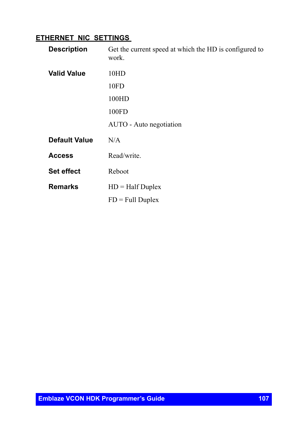### **ETHERNET\_NIC\_SETTINGS**

| <b>Description</b>   | Get the current speed at which the HD is configured to<br>work. |
|----------------------|-----------------------------------------------------------------|
| <b>Valid Value</b>   | 10HD                                                            |
|                      | 10FD                                                            |
|                      | 100HD                                                           |
|                      | 100FD                                                           |
|                      | AUTO - Auto negotiation                                         |
| <b>Default Value</b> | N/A                                                             |
| <b>Access</b>        | Read/write.                                                     |
| <b>Set effect</b>    | Reboot                                                          |
| <b>Remarks</b>       | $HD = Half Duplex$                                              |
|                      | $FD = Full Duplex$                                              |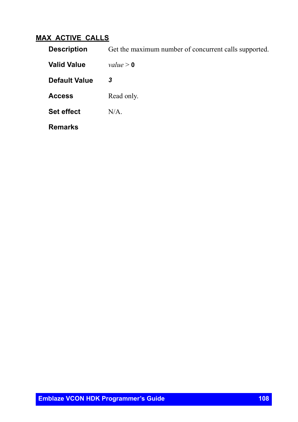## **MAX\_ACTIVE\_CALLS**

| <b>Description</b>   | Get the maximum number of concurrent calls supported. |
|----------------------|-------------------------------------------------------|
| <b>Valid Value</b>   | value > 0                                             |
| <b>Default Value</b> | 3                                                     |
| <b>Access</b>        | Read only.                                            |
| <b>Set effect</b>    | $N/A$ .                                               |
| <b>Remarks</b>       |                                                       |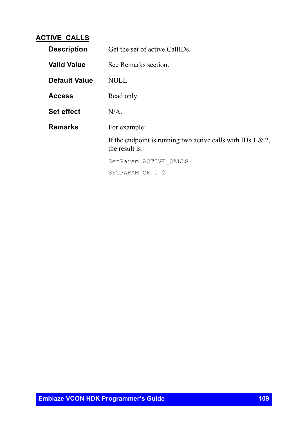#### **ACTIVE\_CALLS**

| <b>Description</b>   | Get the set of active CallIDs.                                                    |
|----------------------|-----------------------------------------------------------------------------------|
| <b>Valid Value</b>   | See Remarks section.                                                              |
| <b>Default Value</b> | NULL.                                                                             |
| <b>Access</b>        | Read only.                                                                        |
| <b>Set effect</b>    | $N/A$ .                                                                           |
| <b>Remarks</b>       | For example:                                                                      |
|                      | If the endpoint is running two active calls with IDs $1 \& 2$ ,<br>the result is: |
|                      | SetParam ACTIVE CALLS                                                             |
|                      | SETPARAM OK 1 2                                                                   |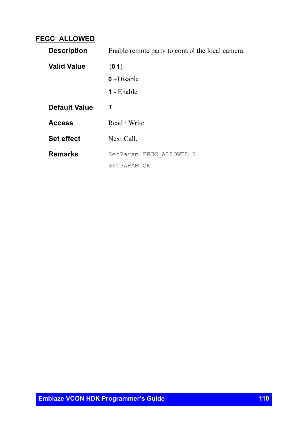#### **FECC\_ALLOWED**

| <b>Description</b>   | Enable remote party to control the local camera. |
|----------------------|--------------------------------------------------|
| <b>Valid Value</b>   | ${0 1}$                                          |
|                      | $0$ –Disable                                     |
|                      | <b>1</b> - Enable                                |
| <b>Default Value</b> | 1                                                |
| <b>Access</b>        | $Read \setminus Write$ .                         |
| <b>Set effect</b>    | Next Call.                                       |
| <b>Remarks</b>       | SetParam FECC ALLOWED 1                          |
|                      | SETPARAM OK                                      |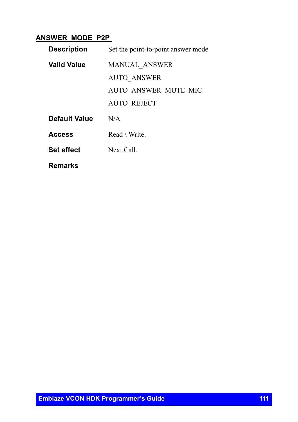#### **ANSWER\_MODE\_P2P**

| <b>Description</b> | Set the point-to-point answer mode |
|--------------------|------------------------------------|
| Valid Value        | <b>MANUAL ANSWER</b>               |
|                    | <b>AUTO ANSWER</b>                 |
|                    | AUTO ANSWER MUTE MIC               |
|                    | <b>AUTO REJECT</b>                 |
| Default Value      | N/A                                |
| <b>Access</b>      | $Read \setminus Write$             |
| <b>Set effect</b>  | Next Call.                         |
| Remarks            |                                    |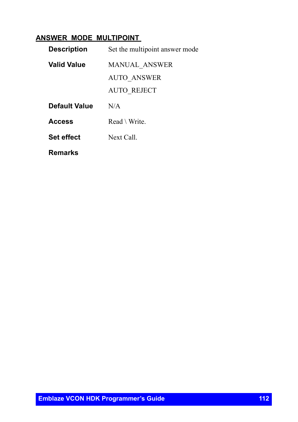#### **ANSWER\_MODE\_MULTIPOINT**

| <b>Description</b> | Set the multipoint answer mode |
|--------------------|--------------------------------|
| <b>Valid Value</b> | MANUAL ANSWER                  |
|                    | <b>AUTO ANSWER</b>             |
|                    | AUTO REJECT                    |
| Default Value      | N/A                            |
| <b>Access</b>      | $Read \setminus Write$         |
| <b>Set effect</b>  | Next Call.                     |
| Remarks            |                                |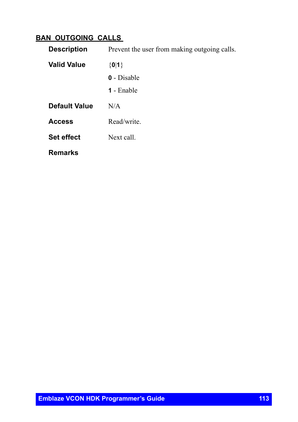### **BAN\_OUTGOING\_CALLS**

| <b>Description</b> | Prevent the user from making outgoing calls. |
|--------------------|----------------------------------------------|
| <b>Valid Value</b> | ${0 1}$                                      |
|                    | <b>0</b> - Disable                           |
|                    | <b>1</b> - Enable                            |
| Default Value      | N/A                                          |
| <b>Access</b>      | Read/write.                                  |
| <b>Set effect</b>  | Next call.                                   |
| <b>Remarks</b>     |                                              |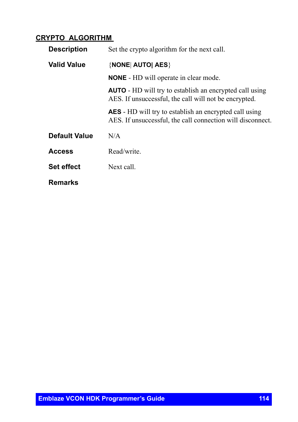#### **CRYPTO\_ALGORITHM**

| <b>Description</b> | Set the crypto algorithm for the next call.                                                                                 |
|--------------------|-----------------------------------------------------------------------------------------------------------------------------|
| <b>Valid Value</b> | {NONE  AUTO  AES}                                                                                                           |
|                    | <b>NONE</b> - HD will operate in clear mode.                                                                                |
|                    | <b>AUTO</b> - HD will try to establish an encrypted call using<br>AES. If unsuccessful, the call will not be encrypted.     |
|                    | <b>AES</b> - HD will try to establish an encrypted call using<br>AES. If unsuccessful, the call connection will disconnect. |
| Default Value      | N/A                                                                                                                         |
| <b>Access</b>      | Read/write.                                                                                                                 |
| <b>Set effect</b>  | Next call.                                                                                                                  |
| <b>Remarks</b>     |                                                                                                                             |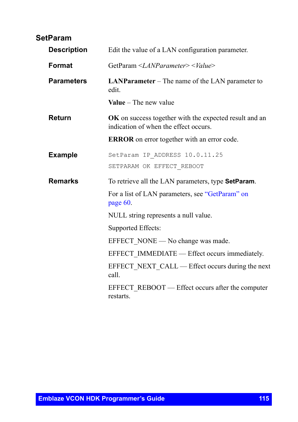### **SetParam**

| <b>Description</b> | Edit the value of a LAN configuration parameter.                                                       |
|--------------------|--------------------------------------------------------------------------------------------------------|
| Format             | GetParam < <i>LANParameter&gt;</i> < <i>Value&gt;</i>                                                  |
| <b>Parameters</b>  | <b>LANParameter</b> – The name of the LAN parameter to<br>edit.                                        |
|                    | <b>Value</b> – The new value                                                                           |
| Return             | <b>OK</b> on success together with the expected result and an<br>indication of when the effect occurs. |
|                    | <b>ERROR</b> on error together with an error code.                                                     |
| <b>Example</b>     | SetParam IP ADDRESS 10.0.11.25<br>SETPARAM OK EFFECT REBOOT                                            |
| <b>Remarks</b>     | To retrieve all the LAN parameters, type <b>SetParam</b> .                                             |
|                    | For a list of LAN parameters, see "GetParam" on<br>page 60.                                            |
|                    | NULL string represents a null value.                                                                   |
|                    | Supported Effects:                                                                                     |
|                    | EFFECT NONE — No change was made.                                                                      |
|                    | EFFECT IMMEDIATE — Effect occurs immediately.                                                          |
|                    | EFFECT NEXT CALL — Effect occurs during the next<br>call.                                              |
|                    | EFFECT_REBOOT — Effect occurs after the computer<br>restarts.                                          |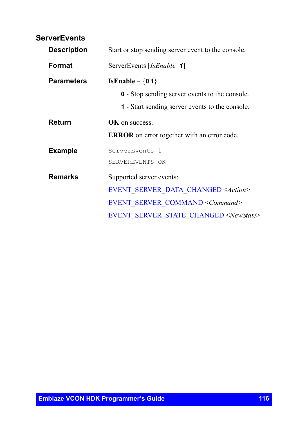| <b>ServerEvents</b> |                                                        |
|---------------------|--------------------------------------------------------|
| <b>Description</b>  | Start or stop sending server event to the console.     |
| Format              | ServerEvents [IsEnable=1]                              |
| <b>Parameters</b>   | IsEnable – $\{0 1\}$                                   |
|                     | <b>0</b> - Stop sending server events to the console.  |
|                     | <b>1</b> - Start sending server events to the console. |
| <b>Return</b>       | OK on success.                                         |
|                     | <b>ERROR</b> on error together with an error code.     |
| <b>Example</b>      | ServerEvents <sub>1</sub>                              |
|                     | SERVEREVENTS OK                                        |
| <b>Remarks</b>      | Supported server events:                               |
|                     | <b>EVENT SERVER DATA CHANGED <action></action></b>     |
|                     | EVENT SERVER COMMAND <command/>                        |
|                     | EVENT SERVER STATE CHANGED <newstate></newstate>       |
|                     |                                                        |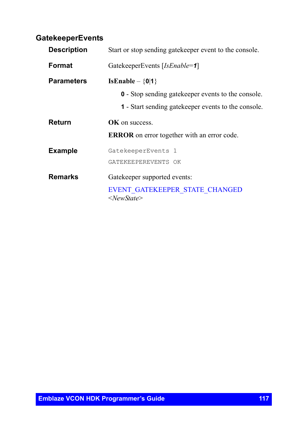### **GatekeeperEvents**

| <b>Description</b> | Start or stop sending gate keeper event to the console.        |
|--------------------|----------------------------------------------------------------|
| Format             | GatekeeperEvents [IsEnable=1]                                  |
| <b>Parameters</b>  | IsEnable $-\{0 1\}$                                            |
|                    | <b>0</b> - Stop sending gate keeper events to the console.     |
|                    | <b>1</b> - Start sending gate keeper events to the console.    |
| Return             | <b>OK</b> on success                                           |
|                    | <b>ERROR</b> on error together with an error code.             |
| <b>Example</b>     | GatekeeperEvents 1                                             |
|                    | GATEKEEPEREVENTS OK                                            |
| <b>Remarks</b>     | Gatekeeper supported events:                                   |
|                    | EVENT GATEKEEPER STATE CHANGED<br>$\langle$ NewState $\rangle$ |
|                    |                                                                |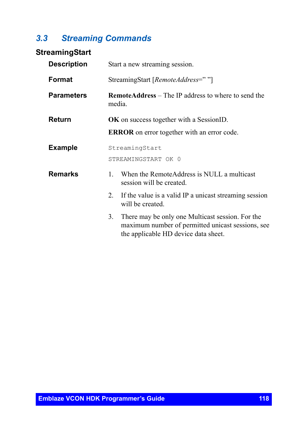# *3.3 Streaming Commands*

### **StreamingStart**

| <b>Description</b> | Start a new streaming session.                                                                                                                      |
|--------------------|-----------------------------------------------------------------------------------------------------------------------------------------------------|
| Format             | StreamingStart [RemoteAddress=""]                                                                                                                   |
| <b>Parameters</b>  | <b>RemoteAddress</b> – The IP address to where to send the<br>media.                                                                                |
| Return             | <b>OK</b> on success together with a SessionID.                                                                                                     |
|                    | <b>ERROR</b> on error together with an error code.                                                                                                  |
| <b>Example</b>     | StreamingStart                                                                                                                                      |
|                    | STREAMINGSTART OK 0                                                                                                                                 |
| <b>Remarks</b>     | When the RemoteAddress is NULL a multicast<br>$\mathbf{1}_{\cdot}$<br>session will be created.                                                      |
|                    | If the value is a valid IP a unicast streaming session<br>2<br>will be created.                                                                     |
|                    | There may be only one Multicast session. For the<br>3.<br>maximum number of permitted unicast sessions, see<br>the applicable HD device data sheet. |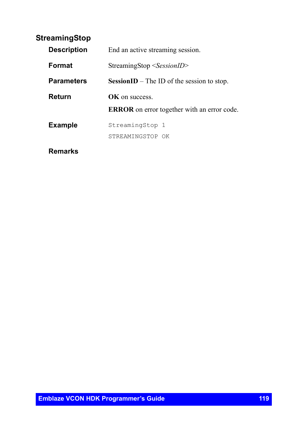### **StreamingStop**

| <b>Description</b> | End an active streaming session.                   |
|--------------------|----------------------------------------------------|
| <b>Format</b>      | $StreamingStop <$ SessionID>                       |
| <b>Parameters</b>  | <b>SessionID</b> – The ID of the session to stop.  |
| Return             | <b>OK</b> on success                               |
|                    | <b>ERROR</b> on error together with an error code. |
| <b>Example</b>     | StreamingStop 1                                    |
|                    | STREAMINGSTOP OK                                   |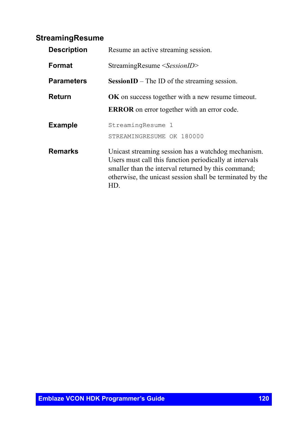### **StreamingResume**

| <b>Description</b> | Resume an active streaming session.                                                                                                                                                                                                       |
|--------------------|-------------------------------------------------------------------------------------------------------------------------------------------------------------------------------------------------------------------------------------------|
| Format             | StreamingResume <sessionid></sessionid>                                                                                                                                                                                                   |
| <b>Parameters</b>  | Session $ID$ – The ID of the streaming session.                                                                                                                                                                                           |
| Return             | <b>OK</b> on success together with a new resume timeout.<br><b>ERROR</b> on error together with an error code.                                                                                                                            |
| <b>Example</b>     | StreamingResume 1<br>STREAMINGRESUME OK 180000                                                                                                                                                                                            |
| <b>Remarks</b>     | Unicast streaming session has a watchdog mechanism.<br>Users must call this function periodically at intervals<br>smaller than the interval returned by this command;<br>otherwise, the unicast session shall be terminated by the<br>HD. |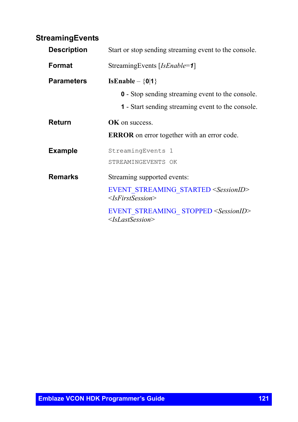### **StreamingEvents**

| <b>Description</b> | Start or stop sending streaming event to the console.                                   |
|--------------------|-----------------------------------------------------------------------------------------|
| Format             | StreamingEvents [IsEnable=1]                                                            |
| <b>Parameters</b>  | IsEnable $-$ {0 1}                                                                      |
|                    | <b>0</b> - Stop sending streaming event to the console.                                 |
|                    | <b>1</b> - Start sending streaming event to the console.                                |
| Return             | OK on success.                                                                          |
|                    | <b>ERROR</b> on error together with an error code.                                      |
| <b>Example</b>     | StreamingEvents 1                                                                       |
|                    | STREAMINGEVENTS OK                                                                      |
| <b>Remarks</b>     | Streaming supported events:                                                             |
|                    | EVENT STREAMING STARTED <sessionid><br/><math>\leq</math>IsFirstSession&gt;</sessionid> |
|                    | EVENT STREAMING STOPPED <sessionid><br/><math>\leq</math>IsLastSession&gt;</sessionid>  |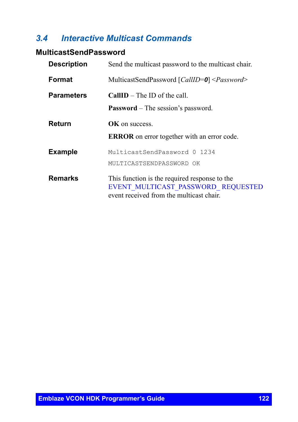## *3.4 Interactive Multicast Commands*

### **MulticastSendPassword**

| <b>Description</b> | Send the multicast password to the multicast chair.                                                                             |
|--------------------|---------------------------------------------------------------------------------------------------------------------------------|
| Format             | MulticastSendPassword [CallID=0] <password></password>                                                                          |
| <b>Parameters</b>  | <b>CallID</b> – The ID of the call.                                                                                             |
|                    | <b>Password</b> – The session's password.                                                                                       |
| Return             | <b>OK</b> on success                                                                                                            |
|                    | <b>ERROR</b> on error together with an error code.                                                                              |
| <b>Example</b>     | MulticastSendPassword 0 1234                                                                                                    |
|                    | MULTICASTSENDPASSWORD OK                                                                                                        |
| <b>Remarks</b>     | This function is the required response to the<br>EVENT MULTICAST PASSWORD REQUESTED<br>event received from the multicast chair. |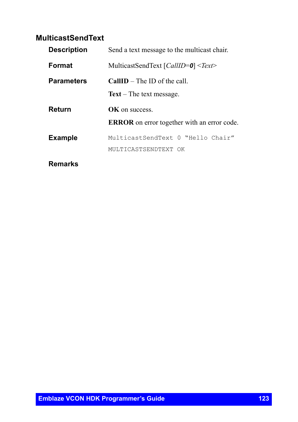## **MulticastSendText**

| <b>Description</b> | Send a text message to the multicast chair.                          |
|--------------------|----------------------------------------------------------------------|
| <b>Format</b>      | MulticastSendText $\lceil \text{CallID} = 0 \rceil \leq \text{Text}$ |
| <b>Parameters</b>  | $CallID$ – The ID of the call.                                       |
|                    | $Text$ – The text message.                                           |
| Return             | <b>OK</b> on success                                                 |
|                    | <b>ERROR</b> on error together with an error code.                   |
| <b>Example</b>     | MulticastSendText 0 "Hello Chair"                                    |
|                    | MULTICASTSENDTEXT OK                                                 |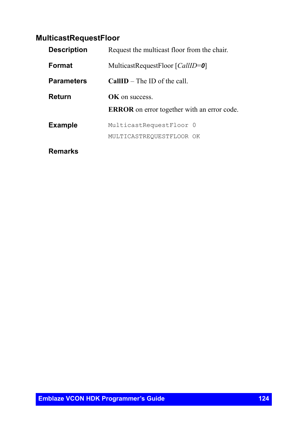# **MulticastRequestFloor**

| <b>Description</b> | Request the multicast floor from the chair.        |
|--------------------|----------------------------------------------------|
| <b>Format</b>      | MulticastRequestFloor [ <i>CallID</i> =0]          |
| <b>Parameters</b>  | <b>CallID</b> – The ID of the call                 |
| Return             | <b>OK</b> on success                               |
|                    | <b>ERROR</b> on error together with an error code. |
| <b>Example</b>     | MulticastRequestFloor 0                            |
|                    | MULTICASTREQUESTFLOOR OK                           |
|                    |                                                    |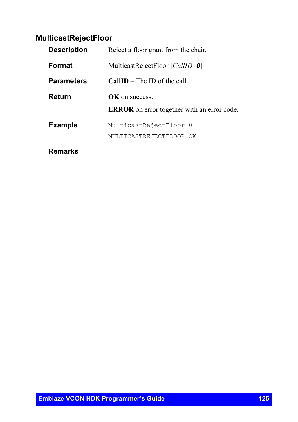### **MulticastRejectFloor**

| <b>Description</b> | Reject a floor grant from the chair.               |
|--------------------|----------------------------------------------------|
| <b>Format</b>      | MulticastRejectFloor [CallID=0]                    |
| <b>Parameters</b>  | $CallID$ – The ID of the call.                     |
| Return             | <b>OK</b> on success                               |
|                    | <b>ERROR</b> on error together with an error code. |
| <b>Example</b>     | MulticastRejectFloor 0                             |
|                    | MULTICASTREJECTFLOOR OK                            |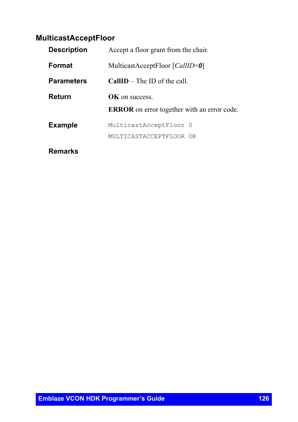### **MulticastAcceptFloor**

| <b>Description</b> | Accept a floor grant from the chair.               |
|--------------------|----------------------------------------------------|
| <b>Format</b>      | MulticastAcceptFloor [ <i>CallID</i> =0]           |
| <b>Parameters</b>  | <b>CallID</b> – The ID of the call                 |
| Return             | OK on success                                      |
|                    | <b>ERROR</b> on error together with an error code. |
| <b>Example</b>     | MulticastAcceptFloor 0                             |
|                    | MULTICASTACCEPTFLOOR OK                            |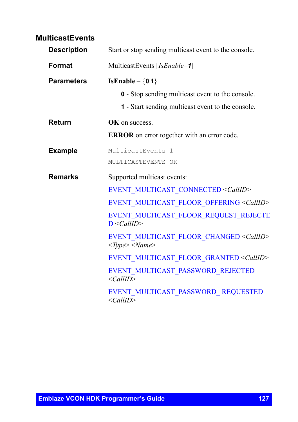### **MulticastEvents**

| <b>Description</b> | Start or stop sending multicast event to the console.                                                         |
|--------------------|---------------------------------------------------------------------------------------------------------------|
| Format             | MulticastEvents [IsEnable=1]                                                                                  |
| <b>Parameters</b>  | IsEnable $-\{0 1\}$                                                                                           |
|                    | <b>0</b> - Stop sending multicast event to the console.                                                       |
|                    | 1 - Start sending multicast event to the console.                                                             |
| Return             | OK on success.                                                                                                |
|                    | <b>ERROR</b> on error together with an error code.                                                            |
| <b>Example</b>     | MulticastEvents 1                                                                                             |
|                    | MULTICASTEVENTS OK                                                                                            |
| <b>Remarks</b>     | Supported multicast events:                                                                                   |
|                    | EVENT MULTICAST CONNECTED <callid></callid>                                                                   |
|                    | EVENT_MULTICAST_FLOOR_OFFERING <callid></callid>                                                              |
|                    | EVENT MULTICAST FLOOR REQUEST REJECTE<br>$D \leq CallID$                                                      |
|                    | EVENT MULTICAST FLOOR CHANGED <callid><br/><math>&lt;\!\!Type\!\!&gt;\!\!&lt;\!\!Name\!\!&gt;</math></callid> |
|                    | EVENT_MULTICAST_FLOOR_GRANTED <callid></callid>                                                               |
|                    | EVENT MULTICAST PASSWORD REJECTED<br>$\langle CallID \rangle$                                                 |
|                    | EVENT MULTICAST PASSWORD REQUESTED<br>$\le$ CallID>                                                           |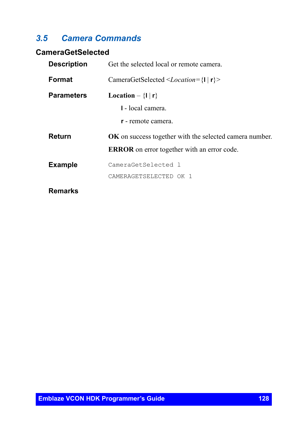## *3.5 Camera Commands*

## **CameraGetSelected**

| <b>Description</b> | Get the selected local or remote camera.                                     |
|--------------------|------------------------------------------------------------------------------|
| Format             | CameraGetSelected $\leq$ <i>Location</i> ={ $\vert \vert \mathbf{r} \vert$ > |
| <b>Parameters</b>  | Location $-\{1   r\}$                                                        |
|                    | 1 - local camera.                                                            |
|                    | <b>r</b> - remote camera.                                                    |
| Return             | <b>OK</b> on success together with the selected camera number.               |
|                    | <b>ERROR</b> on error together with an error code.                           |
| <b>Example</b>     | CameraGetSelected 1                                                          |
|                    | CAMERAGETSELECTED OK 1                                                       |
| <b>Remarks</b>     |                                                                              |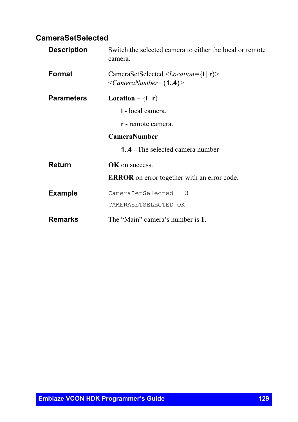### **CameraSetSelected**

| <b>Description</b> | Switch the selected camera to either the local or remote<br>camera.           |
|--------------------|-------------------------------------------------------------------------------|
| Format             | CameraSetSelected < <i>Location</i> ={ $I   r$ }<br>$\leq$ CameraNumber={14}> |
| <b>Parameters</b>  | Location $-\{1   r\}$                                                         |
|                    | 1 - local camera.                                                             |
|                    | <b>r</b> - remote camera.                                                     |
|                    | <b>CameraNumber</b>                                                           |
|                    | <b>1.4</b> - The selected camera number                                       |
| Return             | <b>OK</b> on success.                                                         |
|                    | <b>ERROR</b> on error together with an error code.                            |
| <b>Example</b>     | CameraSetSelected 1 3                                                         |
|                    | CAMERASETSELECTED OK                                                          |
| Remarks            | The "Main" camera's number is 1.                                              |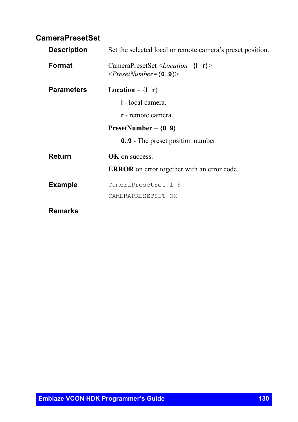### **CameraPresetSet**

| <b>Description</b> | Set the selected local or remote camera's preset position.                                                                      |
|--------------------|---------------------------------------------------------------------------------------------------------------------------------|
| Format             | CameraPresetSet <location={<math>\vert \vert \vert r \vert &gt;<br/><math>\langle</math>PresetNumber={09}&gt;</location={<math> |
| <b>Parameters</b>  | Location $-\{1   r\}$                                                                                                           |
|                    | 1 - local camera.                                                                                                               |
|                    | r - remote camera.                                                                                                              |
|                    | PresetNumber $-$ {09}                                                                                                           |
|                    | <b>0.9</b> - The preset position number                                                                                         |
| Return             | OK on success.                                                                                                                  |
|                    | <b>ERROR</b> on error together with an error code.                                                                              |
| <b>Example</b>     | CameraPresetSet 1 9                                                                                                             |
|                    | CAMERAPRESETSET OK                                                                                                              |
| <b>Remarks</b>     |                                                                                                                                 |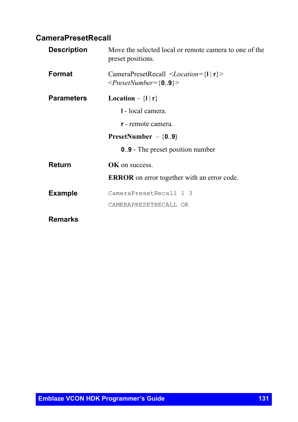# **CameraPresetRecall**

| <b>Description</b> | Move the selected local or remote camera to one of the<br>preset positions.                                |
|--------------------|------------------------------------------------------------------------------------------------------------|
| Format             | CameraPresetRecall $\leq$ <i>Location</i> ={ $\vert \vert \vert r \vert$ ><br>$\langle$ PresetNumber={09}> |
| <b>Parameters</b>  | Location $-\{1   r\}$                                                                                      |
|                    | 1 - local camera.                                                                                          |
|                    | <b>r</b> - remote camera.                                                                                  |
|                    | PresetNumber $-$ {09}                                                                                      |
|                    | <b>0.9</b> - The preset position number                                                                    |
| Return             | OK on success.                                                                                             |
|                    | <b>ERROR</b> on error together with an error code.                                                         |
| <b>Example</b>     | CameraPresetRecall 1 3                                                                                     |
|                    | CAMERAPRESETRECALL OK                                                                                      |
| Remarks            |                                                                                                            |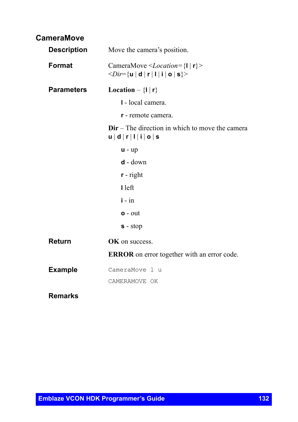| <b>CameraMove</b> |  |
|-------------------|--|
|-------------------|--|

| <b>Description</b> | Move the camera's position.                                                                                                 |
|--------------------|-----------------------------------------------------------------------------------------------------------------------------|
| Format             | CameraMove <location={<math>I   r}<br/><math>\langle Dir = \{ u   d   r   l   i   o   s \} \rangle</math></location={<math> |
| <b>Parameters</b>  | Location $- \{1   r\}$                                                                                                      |
|                    | I - local camera.                                                                                                           |
|                    | r - remote camera.                                                                                                          |
|                    | $Dir$ – The direction in which to move the camera<br>u   d   r   1   i   o   s                                              |
|                    | $u - up$                                                                                                                    |
|                    | $d - down$                                                                                                                  |
|                    | $r$ - right                                                                                                                 |
|                    | I left                                                                                                                      |
|                    | $i - in$                                                                                                                    |
|                    | $o$ - $out$                                                                                                                 |
|                    | $s - stop$                                                                                                                  |
| <b>Return</b>      | <b>OK</b> on success.                                                                                                       |
|                    | <b>ERROR</b> on error together with an error code.                                                                          |
| <b>Example</b>     | CameraMove 1 u<br>CAMERAMOVE OK                                                                                             |
|                    |                                                                                                                             |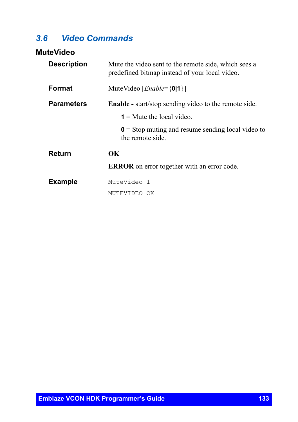# *3.6 Video Commands*

#### **MuteVideo**

| <b>Description</b> | Mute the video sent to the remote side, which sees a<br>predefined bitmap instead of your local video. |
|--------------------|--------------------------------------------------------------------------------------------------------|
| Format             | MuteVideo [ <i>Enable</i> ={0 1}]                                                                      |
| <b>Parameters</b>  | <b>Enable</b> - start/stop sending video to the remote side.                                           |
|                    | $1 =$ Mute the local video.                                                                            |
|                    | $\mathbf{0}$ = Stop muting and resume sending local video to<br>the remote side                        |
| Return             | OК                                                                                                     |
|                    | <b>ERROR</b> on error together with an error code.                                                     |
| <b>Example</b>     | MuteVideo 1                                                                                            |
|                    | MUTEVIDEO OK                                                                                           |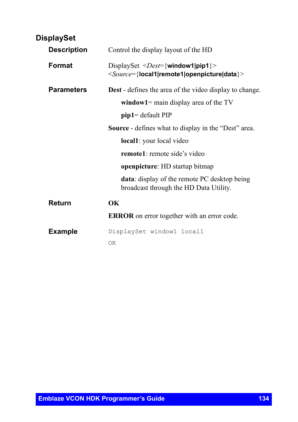| <b>DisplaySet</b>  |                                                                                                                                    |
|--------------------|------------------------------------------------------------------------------------------------------------------------------------|
| <b>Description</b> | Control the display layout of the HD                                                                                               |
| Format             | DisplaySet < <i>Dest</i> ={window1 pip1}><br><source={local1 remote1 openpicture data}></source={local1 remote1 openpicture data}> |
| <b>Parameters</b>  | <b>Dest</b> - defines the area of the video display to change.                                                                     |
|                    | window1= main display area of the $TV$                                                                                             |
|                    | $pip1 = default PIP$                                                                                                               |
|                    | <b>Source</b> - defines what to display in the "Dest" area.                                                                        |
|                    | local1: your local video                                                                                                           |
|                    | <b>remote1</b> : remote side's video                                                                                               |
|                    | openpicture: HD startup bitmap                                                                                                     |
|                    | <b>data:</b> display of the remote PC desktop being<br>broadcast through the HD Data Utility.                                      |
| Return             | OК                                                                                                                                 |
|                    | <b>ERROR</b> on error together with an error code.                                                                                 |
| <b>Example</b>     | DisplaySet window1 local1                                                                                                          |
|                    | OK                                                                                                                                 |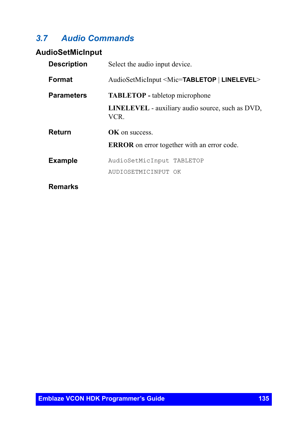# *3.7 Audio Commands*

### **AudioSetMicInput**

| <b>Description</b> | Select the audio input device.                                    |
|--------------------|-------------------------------------------------------------------|
| Format             | AudioSetMicInput <mic=<b>TABLETOP   <b>LINELEVEL</b>&gt;</mic=<b> |
| <b>Parameters</b>  | <b>TABLETOP</b> - tabletop microphone                             |
|                    | <b>LINELEVEL</b> - auxiliary audio source, such as DVD,<br>VCR.   |
| Return             | <b>OK</b> on success.                                             |
|                    | <b>ERROR</b> on error together with an error code.                |
| <b>Example</b>     | AudioSetMicInput TABLETOP                                         |
|                    | AUDIOSETMICINPUT OK                                               |
| Remarks            |                                                                   |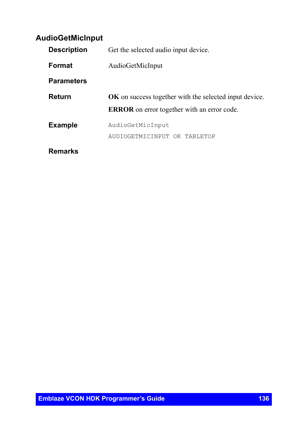### **AudioGetMicInput**

| <b>Description</b> | Get the selected audio input device.                          |
|--------------------|---------------------------------------------------------------|
| Format             | AudioGetMicInput                                              |
| <b>Parameters</b>  |                                                               |
| <b>Return</b>      | <b>OK</b> on success together with the selected input device. |
|                    | <b>ERROR</b> on error together with an error code.            |
| <b>Example</b>     | AudioGetMicInput                                              |
|                    | AUDIOGETMICINPUT OK TABLETOP                                  |
| Remarks            |                                                               |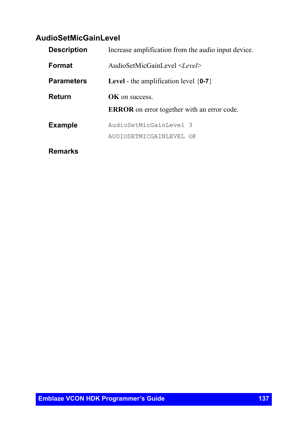# **AudioSetMicGainLevel**

| <b>Description</b> | Increase amplification from the audio input device. |
|--------------------|-----------------------------------------------------|
| Format             | AudioSetMicGainLevel <level></level>                |
| <b>Parameters</b>  | <b>Level</b> - the amplification level $\{0-7\}$    |
| Return             | <b>OK</b> on success                                |
|                    | <b>ERROR</b> on error together with an error code.  |
| <b>Example</b>     | AudioSetMicGainLevel 3                              |
|                    | AUDIOSETMICGAINLEVEL OK                             |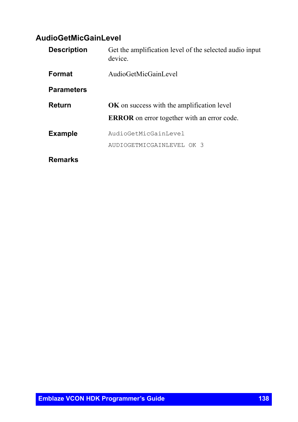# **AudioGetMicGainLevel**

| <b>Description</b> | Get the amplification level of the selected audio input<br>device |
|--------------------|-------------------------------------------------------------------|
| Format             | AudioGetMicGainLevel                                              |
| <b>Parameters</b>  |                                                                   |
| Return             | <b>OK</b> on success with the amplification level                 |
|                    | <b>ERROR</b> on error together with an error code.                |
| <b>Example</b>     | AudioGetMicGainLevel                                              |
|                    | AUDIOGETMICGAINLEVEL OK 3                                         |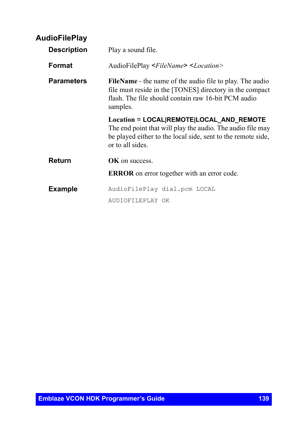| <b>AudioFilePlay</b> |                                                                                                                                                                                                |
|----------------------|------------------------------------------------------------------------------------------------------------------------------------------------------------------------------------------------|
| <b>Description</b>   | Play a sound file.                                                                                                                                                                             |
| <b>Format</b>        | AudioFilePlay < <i>FileName</i> > < <i>Location</i> >                                                                                                                                          |
| <b>Parameters</b>    | <b>FileName</b> - the name of the audio file to play. The audio<br>file must reside in the [TONES] directory in the compact<br>flash. The file should contain raw 16-bit PCM audio<br>samples. |
|                      | Location = LOCAL REMOTE LOCAL_AND_REMOTE<br>The end point that will play the audio. The audio file may<br>be played either to the local side, sent to the remote side,<br>or to all sides.     |
| Return               | OK on success.                                                                                                                                                                                 |
|                      | <b>ERROR</b> on error together with an error code.                                                                                                                                             |
| <b>Example</b>       | AudioFilePlay dial.pcm LOCAL                                                                                                                                                                   |
|                      | AUDIOFILEPLAY OK                                                                                                                                                                               |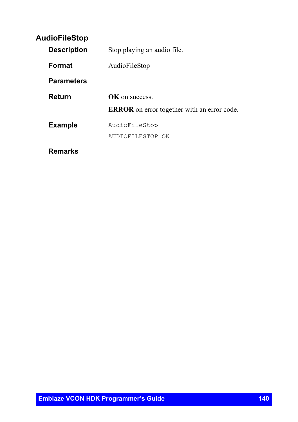## **AudioFileStop**

| <b>Description</b> | Stop playing an audio file.                        |
|--------------------|----------------------------------------------------|
| Format             | AudioFileStop                                      |
| <b>Parameters</b>  |                                                    |
| Return             | <b>OK</b> on success                               |
|                    | <b>ERROR</b> on error together with an error code. |
| <b>Example</b>     | AudioFileStop                                      |
|                    | AUDIOFILESTOP OK                                   |
| Remarks            |                                                    |

**Emblaze VCON HDK Programmer's Guide 140** 140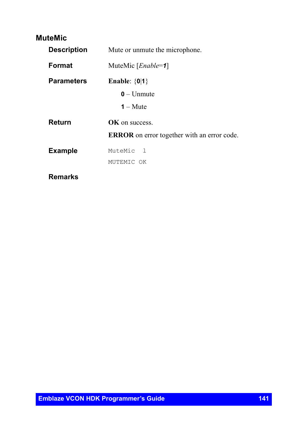### **MuteMic**

| <b>Description</b> | Mute or unmute the microphone.                     |
|--------------------|----------------------------------------------------|
| Format             | MuteMic [ <i>Enable</i> =1]                        |
| <b>Parameters</b>  | Enable: $\{0 1\}$                                  |
|                    | $0 -$ Unmute                                       |
|                    | $1 -$ Mute                                         |
| Return             | <b>OK</b> on success.                              |
|                    | <b>ERROR</b> on error together with an error code. |
| <b>Example</b>     | MuteMic 1                                          |
|                    | MUTEMIC OK                                         |
| Remarks            |                                                    |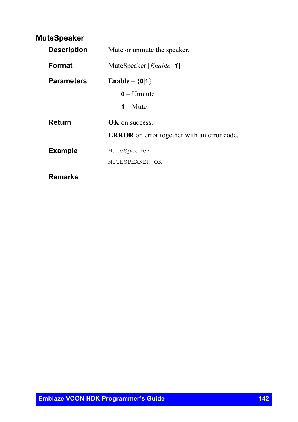### **MuteSpeaker**

| <b>Description</b> | Mute or unmute the speaker.                        |
|--------------------|----------------------------------------------------|
| Format             | MuteSpeaker [ <i>Enable</i> =1]                    |
| <b>Parameters</b>  | Enable $-\{0 1\}$                                  |
|                    | $0 -$ Unmute                                       |
|                    | $1 -$ Mute                                         |
| Return             | $\alpha$ K on success.                             |
|                    | <b>ERROR</b> on error together with an error code. |
| <b>Example</b>     | MuteSpeaker l                                      |
|                    | MUTESPEAKER OK                                     |
| Remarks            |                                                    |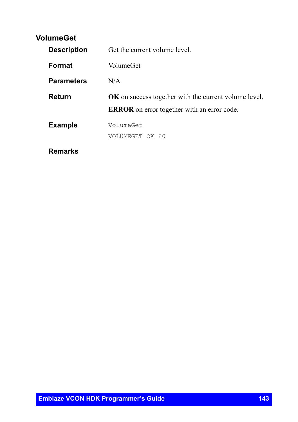### **VolumeGet**

| <b>Description</b> | Get the current volume level.                                |
|--------------------|--------------------------------------------------------------|
| <b>Format</b>      | VolumeGet                                                    |
| <b>Parameters</b>  | N/A                                                          |
| Return             | <b>OK</b> on success together with the current volume level. |
|                    | <b>ERROR</b> on error together with an error code.           |
| <b>Example</b>     | VolumeGet                                                    |
|                    | VOLUMEGET OK 60                                              |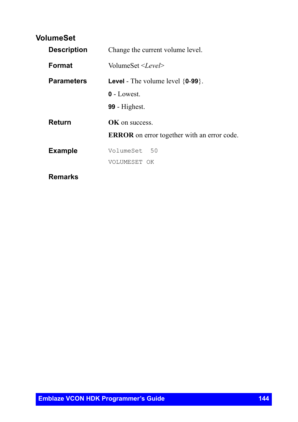### **VolumeSet**

| <b>Description</b> | Change the current volume level.                   |
|--------------------|----------------------------------------------------|
| Format             | VolumeSet <level></level>                          |
| <b>Parameters</b>  | <b>Level</b> - The volume level $\{0-99\}$ .       |
|                    | $0$ - Lowest.                                      |
|                    | $99$ - Highest.                                    |
| Return             | OK on success.                                     |
|                    | <b>ERROR</b> on error together with an error code. |
| <b>Example</b>     | VolumeSet 50                                       |
|                    | VOLUMESET OK                                       |
| Remarks            |                                                    |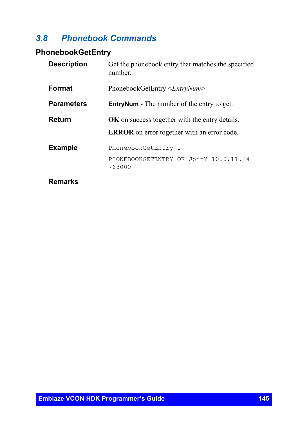#### *3.8 Phonebook Commands*

## **PhonebookGetEntry**

| <b>Description</b> | Get the phonebook entry that matches the specified<br>number.                                        |
|--------------------|------------------------------------------------------------------------------------------------------|
| <b>Format</b>      | PhonebookGetEntry <entrynum></entrynum>                                                              |
| <b>Parameters</b>  | <b>EntryNum</b> - The number of the entry to get.                                                    |
| Return             | OK on success together with the entry details.<br><b>ERROR</b> on error together with an error code. |
| <b>Example</b>     | PhonebookGetEntry 1<br>PHONEBOOKGETENTRY OK JohnY 10.0.11.24<br>768000                               |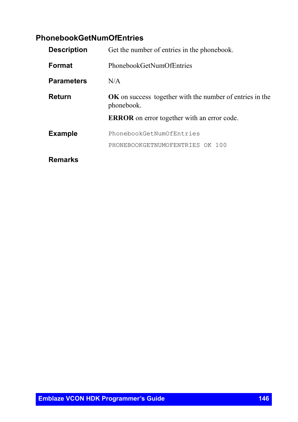## **PhonebookGetNumOfEntries**

| <b>Description</b> | Get the number of entries in the phonebook.                                   |  |
|--------------------|-------------------------------------------------------------------------------|--|
| Format             | PhonebookGetNumOfEntries                                                      |  |
| <b>Parameters</b>  | N/A                                                                           |  |
| Return             | <b>OK</b> on success together with the number of entries in the<br>phonebook. |  |
|                    | <b>ERROR</b> on error together with an error code.                            |  |
| <b>Example</b>     | PhonebookGetNumOfEntries                                                      |  |
|                    | PHONEBOOKGETNUMOFENTRIES OK 100                                               |  |
| Remarks            |                                                                               |  |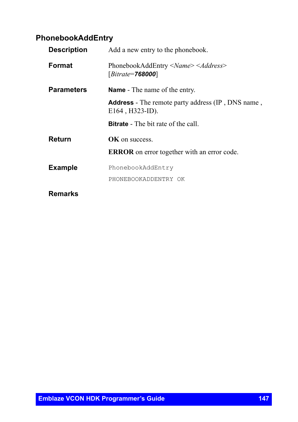## **PhonebookAddEntry**

| <b>Description</b> | Add a new entry to the phonebook.                                                 |
|--------------------|-----------------------------------------------------------------------------------|
| <b>Format</b>      | PhonebookAddEntry < <i>Name&gt;</i> < <i>Address&gt;</i><br>$[Bitrate = 768000]$  |
| <b>Parameters</b>  | <b>Name</b> - The name of the entry.                                              |
|                    | <b>Address</b> - The remote party address (IP, DNS name,<br>$E164$ , $H323$ -ID). |
|                    | <b>Bitrate</b> - The bit rate of the call.                                        |
| Return             | OK on success.                                                                    |
|                    | <b>ERROR</b> on error together with an error code.                                |
| <b>Example</b>     | PhonebookAddEntry                                                                 |
|                    | PHONEBOOKADDENTRY OK                                                              |
| Remarks            |                                                                                   |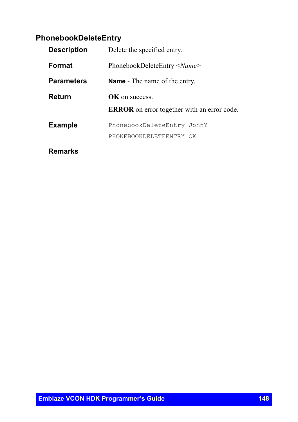## **PhonebookDeleteEntry**

| <b>Description</b> | Delete the specified entry.                        |  |
|--------------------|----------------------------------------------------|--|
| <b>Format</b>      | PhonebookDeleteEntry < <i>Name</i> >               |  |
| <b>Parameters</b>  | <b>Name</b> - The name of the entry.               |  |
| Return             | <b>OK</b> on success                               |  |
|                    | <b>ERROR</b> on error together with an error code. |  |
| <b>Example</b>     | PhonebookDeleteEntry JohnY                         |  |
|                    | PHONEBOOKDELETEENTRY OK                            |  |
|                    |                                                    |  |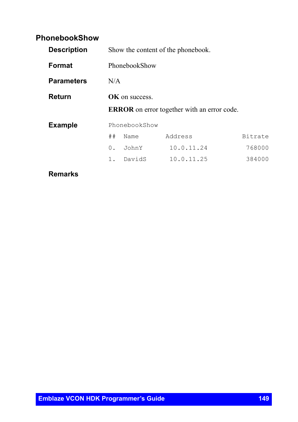## **PhonebookShow**

| <b>Description</b> |                       |               | Show the content of the phonebook.                 |         |
|--------------------|-----------------------|---------------|----------------------------------------------------|---------|
| <b>Format</b>      |                       | PhonebookShow |                                                    |         |
| <b>Parameters</b>  |                       | N/A           |                                                    |         |
| Return             | <b>OK</b> on success. |               |                                                    |         |
|                    |                       |               | <b>ERROR</b> on error together with an error code. |         |
| <b>Example</b>     |                       | PhonebookShow |                                                    |         |
|                    | ##                    | Name          | Address                                            | Bitrate |
|                    | 0.                    | JohnY         | 10.0.11.24                                         | 768000  |
|                    | 1.                    | DavidS        | 10.0.11.25                                         | 384000  |
|                    |                       |               |                                                    |         |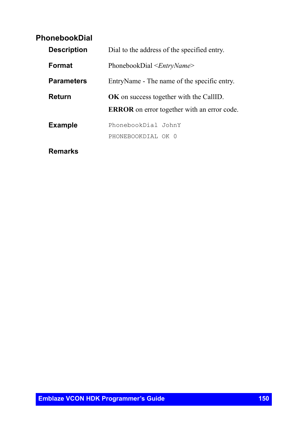### **PhonebookDial**

| <b>Description</b> | Dial to the address of the specified entry.        |  |
|--------------------|----------------------------------------------------|--|
| <b>Format</b>      | PhonebookDial $\leq$ <i>EntryName</i> >            |  |
| <b>Parameters</b>  | EntryName - The name of the specific entry.        |  |
| Return             | OK on success together with the CallID.            |  |
|                    | <b>ERROR</b> on error together with an error code. |  |
| <b>Example</b>     | PhonebookDial JohnY                                |  |
|                    | PHONEBOOKDIAL OK 0                                 |  |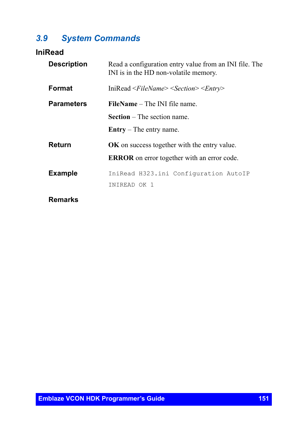## *3.9 System Commands*

## **IniRead**

| <b>Description</b> | Read a configuration entry value from an INI file. The<br>INI is in the HD non-volatile memory. |  |
|--------------------|-------------------------------------------------------------------------------------------------|--|
| Format             | IniRead <filename> <section> <entry></entry></section></filename>                               |  |
| <b>Parameters</b>  | <b>FileName</b> – The INI file name.                                                            |  |
|                    | <b>Section</b> $-$ The section name.                                                            |  |
|                    | $\text{Entry} - \text{The entry name.}$                                                         |  |
| Return             | <b>OK</b> on success together with the entry value.                                             |  |
|                    | <b>ERROR</b> on error together with an error code.                                              |  |
| <b>Example</b>     | IniRead H323.ini Configuration AutoIP                                                           |  |
|                    | INIREAD OK 1                                                                                    |  |
| <b>Remarks</b>     |                                                                                                 |  |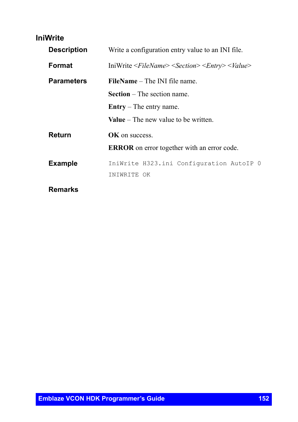#### **IniWrite**

| <b>Description</b> | Write a configuration entry value to an INI file.                                  |  |  |
|--------------------|------------------------------------------------------------------------------------|--|--|
| Format             | IniWrite <filename> <section> <entry> <value></value></entry></section></filename> |  |  |
| <b>Parameters</b>  | <b>FileName</b> – The INI file name.                                               |  |  |
|                    | <b>Section</b> – The section name.                                                 |  |  |
|                    | $\text{Entry} - \text{The entry name.}$                                            |  |  |
|                    | <b>Value</b> – The new value to be written.                                        |  |  |
| Return             | <b>OK</b> on success.                                                              |  |  |
|                    | <b>ERROR</b> on error together with an error code.                                 |  |  |
| <b>Example</b>     | IniWrite H323.ini Configuration AutoIP 0                                           |  |  |
|                    | INIWRITE OK                                                                        |  |  |
| Remarks            |                                                                                    |  |  |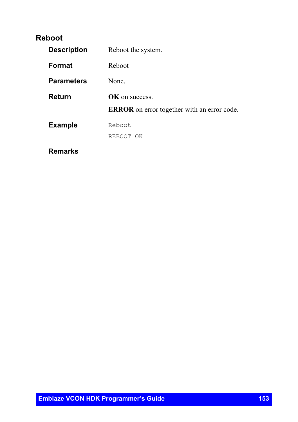#### **Reboot**

| <b>Description</b> | Reboot the system.                                 |
|--------------------|----------------------------------------------------|
| Format             | Reboot                                             |
| <b>Parameters</b>  | None.                                              |
| Return             | OK on success.                                     |
|                    | <b>ERROR</b> on error together with an error code. |
| <b>Example</b>     | Reboot                                             |
|                    | REBOOT OK                                          |
| Remarks            |                                                    |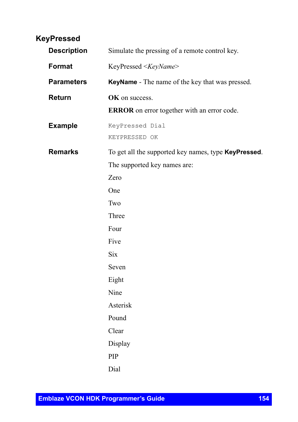## **KeyPressed**

| <b>Description</b> | Simulate the pressing of a remote control key.               |
|--------------------|--------------------------------------------------------------|
| Format             | KeyPressed <keyname></keyname>                               |
| <b>Parameters</b>  | KeyName - The name of the key that was pressed.              |
| Return             | OK on success.                                               |
|                    | ERROR on error together with an error code.                  |
| <b>Example</b>     | KeyPressed Dial<br>KEYPRESSED OK                             |
| <b>Remarks</b>     | To get all the supported key names, type <b>KeyPressed</b> . |
|                    | The supported key names are:                                 |
|                    | Zero                                                         |
|                    | One                                                          |
|                    | Two                                                          |
|                    | Three                                                        |
|                    | Four                                                         |
|                    | Five                                                         |
|                    | <b>Six</b>                                                   |
|                    | Seven                                                        |
|                    | Eight                                                        |
|                    | Nine                                                         |
|                    | Asterisk                                                     |
|                    | Pound                                                        |
|                    | Clear                                                        |
|                    | Display                                                      |
|                    | PIP                                                          |
|                    | Dial                                                         |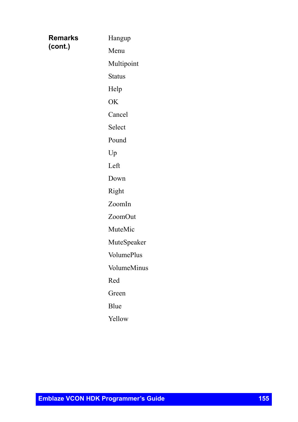| Remarks | Hangup            |
|---------|-------------------|
| (cont.) | Menu              |
|         | Multipoint        |
|         | <b>Status</b>     |
|         | Help              |
|         | OK                |
|         | Cancel            |
|         | Select            |
|         | Pound             |
|         | Up                |
|         | Left              |
|         | Down              |
|         | Right             |
|         | ZoomIn            |
|         | ZoomOut           |
|         | MuteMic           |
|         | MuteSpeaker       |
|         | <b>VolumePlus</b> |
|         | VolumeMinus       |
|         | Red               |
|         | Green             |
|         | Blue              |
|         | Yellow            |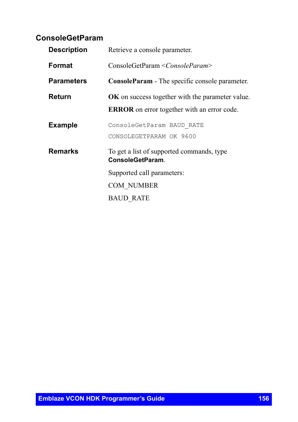## **ConsoleGetParam**

| <b>Description</b> | Retrieve a console parameter.                                       |  |
|--------------------|---------------------------------------------------------------------|--|
| Format             | ConsoleGetParam < ConsoleParam>                                     |  |
| <b>Parameters</b>  | <b>ConsoleParam</b> - The specific console parameter.               |  |
| Return             | <b>OK</b> on success together with the parameter value.             |  |
|                    | <b>ERROR</b> on error together with an error code.                  |  |
| <b>Example</b>     | ConsoleGetParam BAUD RATE                                           |  |
|                    | CONSOLEGETPARAM OK 9600                                             |  |
| Remarks            | To get a list of supported commands, type<br><b>ConsoleGetParam</b> |  |
|                    | Supported call parameters:                                          |  |
|                    | COM NUMBER                                                          |  |
|                    | <b>BAUD RATE</b>                                                    |  |
|                    |                                                                     |  |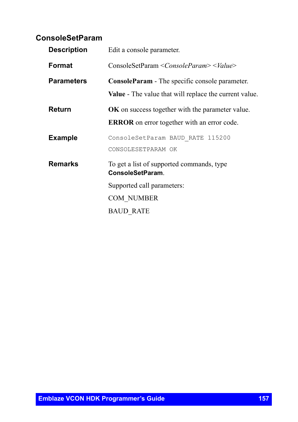#### **ConsoleSetParam**

| <b>Description</b> | Edit a console parameter.                                     |
|--------------------|---------------------------------------------------------------|
| Format             | ConsoleSetParam <consoleparam> <value></value></consoleparam> |
| <b>Parameters</b>  | <b>ConsoleParam</b> - The specific console parameter.         |
|                    | <b>Value</b> - The value that will replace the current value. |
| Return             | <b>OK</b> on success together with the parameter value.       |
|                    | <b>ERROR</b> on error together with an error code.            |
| <b>Example</b>     | ConsoleSetParam BAUD RATE 115200                              |
|                    | CONSOLESETPARAM OK                                            |
| Remarks            | To get a list of supported commands, type<br>ConsoleSetParam. |
|                    | Supported call parameters:                                    |
|                    | <b>COM NUMBER</b>                                             |
|                    | <b>BAUD RATE</b>                                              |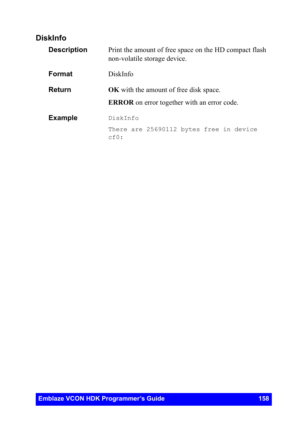## **DiskInfo**

| <b>Description</b> | Print the amount of free space on the HD compact flash<br>non-volatile storage device.              |
|--------------------|-----------------------------------------------------------------------------------------------------|
| Format             | DiskInfo                                                                                            |
| Return             | <b>OK</b> with the amount of free disk space.<br><b>ERROR</b> on error together with an error code. |
| <b>Example</b>     | DiskInfo                                                                                            |
|                    | There are 25690112 bytes free in device<br>cf():                                                    |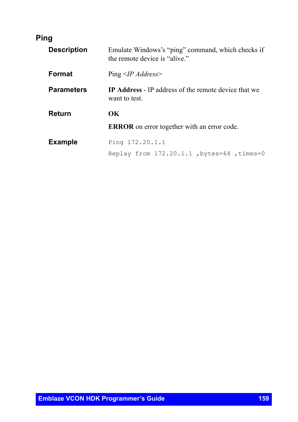## **Ping**

| <b>Description</b> | Emulate Windows's "ping" command, which checks if<br>the remote device is "alive." |
|--------------------|------------------------------------------------------------------------------------|
| <b>Format</b>      | $Ping < IPA$ <i>ddress</i>                                                         |
| <b>Parameters</b>  | <b>IP Address</b> - IP address of the remote device that we<br>want to test.       |
| Return             | OК                                                                                 |
|                    | <b>ERROR</b> on error together with an error code.                                 |
| <b>Example</b>     | Ping 172.20.1.1<br>Replay from 172.20.1.1, bytes=64, times=0                       |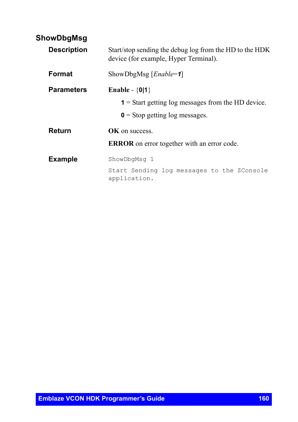#### **ShowDbgMsg**

| <b>Description</b> | Start/stop sending the debug log from the HD to the HDK<br>device (for example, Hyper Terminal). |
|--------------------|--------------------------------------------------------------------------------------------------|
| Format             | ShowDbgMsg [ $Enable = 1$ ]                                                                      |
| <b>Parameters</b>  | Enable - $\{0 1\}$                                                                               |
|                    | $\mathbf{1}$ = Start getting log messages from the HD device.                                    |
|                    | $\mathbf{0}$ = Stop getting log messages.                                                        |
| Return             | <b>OK</b> on success.                                                                            |
|                    | <b>ERROR</b> on error together with an error code.                                               |
| <b>Example</b>     | ShowDbqMsq 1                                                                                     |
|                    | Start Sending log messages to the ZConsole<br>application.                                       |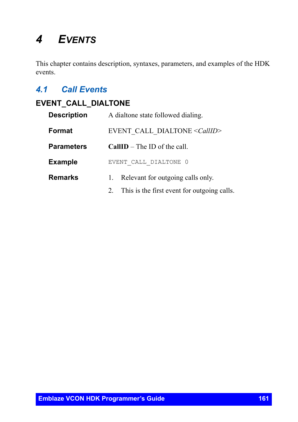# *4 EVENTS*

This chapter contains description, syntaxes, parameters, and examples of the HDK events.

## *4.1 Call Events*

## **EVENT\_CALL\_DIALTONE**

| <b>Description</b> | A dialtone state followed dialing.             |
|--------------------|------------------------------------------------|
| Format             | EVENT CALL DIALTONE <callid></callid>          |
| <b>Parameters</b>  | $CallID$ – The ID of the call.                 |
| <b>Example</b>     | EVENT CALL DIALTONE 0                          |
| Remarks            | Relevant for outgoing calls only.<br>1.        |
|                    | 2. This is the first event for outgoing calls. |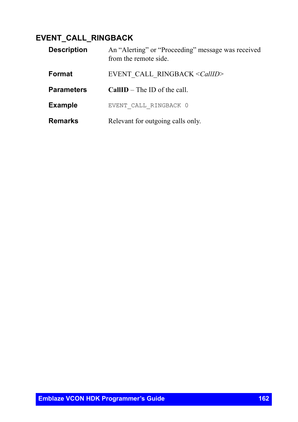## **EVENT\_CALL\_RINGBACK**

| <b>Description</b> | An "Alerting" or "Proceeding" message was received<br>from the remote side. |
|--------------------|-----------------------------------------------------------------------------|
| Format             | EVENT CALL RINGBACK < CallID>                                               |
| <b>Parameters</b>  | <b>CallID</b> – The ID of the call.                                         |
| <b>Example</b>     | EVENT CALL RINGBACK 0                                                       |
| <b>Remarks</b>     | Relevant for outgoing calls only.                                           |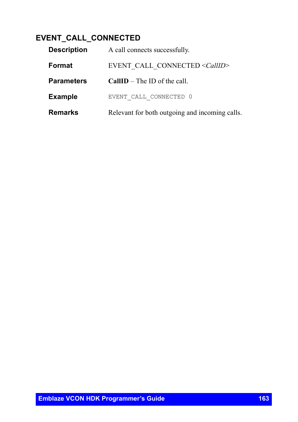## **EVENT\_CALL\_CONNECTED**

| <b>Description</b> | A call connects successfully.                  |
|--------------------|------------------------------------------------|
| Format             | EVENT CALL CONNECTED <callid></callid>         |
| <b>Parameters</b>  | $CallID$ – The ID of the call.                 |
| <b>Example</b>     | EVENT CALL CONNECTED 0                         |
| <b>Remarks</b>     | Relevant for both outgoing and incoming calls. |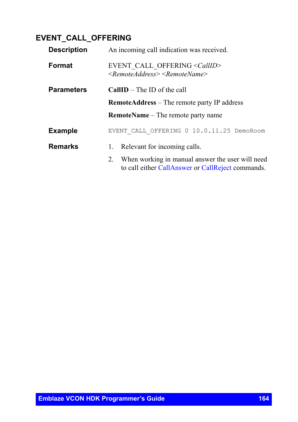## **EVENT\_CALL\_OFFERING**

| <b>Description</b> | An incoming call indication was received.                                                                                                |
|--------------------|------------------------------------------------------------------------------------------------------------------------------------------|
| Format             | EVENT CALL OFFERING <callid><br/><math>\leq</math>Remote Address<math>\geq</math> <math>\leq</math>Remote Name<math>\geq</math></callid> |
| <b>Parameters</b>  | <b>CallID</b> – The ID of the call                                                                                                       |
|                    | <b>RemoteAddress</b> – The remote party IP address                                                                                       |
|                    | <b>RemoteName</b> – The remote party name                                                                                                |
| <b>Example</b>     | EVENT CALL OFFERING 0 10.0.11.25 DemoRoom                                                                                                |
| <b>Remarks</b>     | Relevant for incoming calls.<br>1.                                                                                                       |
|                    | When working in manual answer the user will need<br>2.<br>to call either CallAnswer or CallReject commands.                              |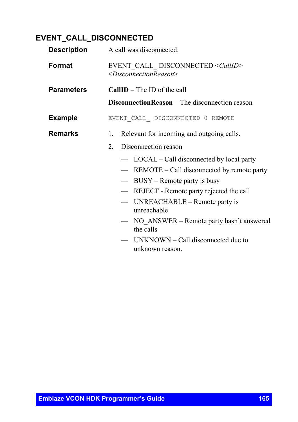## **EVENT\_CALL\_DISCONNECTED**

| <b>Description</b> | A call was disconnected.                                                                  |
|--------------------|-------------------------------------------------------------------------------------------|
| Format             | EVENT CALL DISCONNECTED <callid><br/><disconnectionreason></disconnectionreason></callid> |
| <b>Parameters</b>  | CallID - The ID of the call                                                               |
|                    | <b>DisconnectionReason</b> – The disconnection reason                                     |
| <b>Example</b>     | EVENT CALL DISCONNECTED 0 REMOTE                                                          |
| <b>Remarks</b>     | Relevant for incoming and outgoing calls.<br>1.                                           |
|                    | Disconnection reason<br>$2_{-}$                                                           |
|                    | LOCAL – Call disconnected by local party<br>$\frac{1}{2}$                                 |
|                    | REMOTE – Call disconnected by remote party                                                |
|                    | $BUSY -$ Remote party is busy                                                             |
|                    | REJECT - Remote party rejected the call                                                   |
|                    | UNREACHABLE – Remote party is<br>$\overline{\phantom{m}}$<br>unreachable                  |
|                    | NO ANSWER - Remote party hasn't answered<br>the calls                                     |
|                    | $UNKNOWN - Call$ disconnected due to<br>unknown reason.                                   |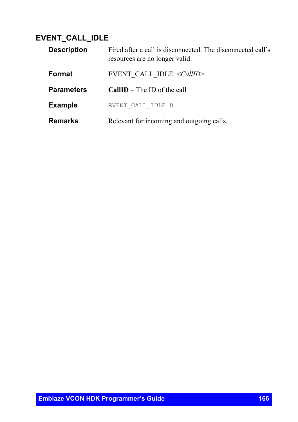## **EVENT\_CALL\_IDLE**

| <b>Description</b> | Fired after a call is disconnected. The disconnected call's<br>resources are no longer valid. |
|--------------------|-----------------------------------------------------------------------------------------------|
| Format             | EVENT CALL IDLE $\le$ CallID>                                                                 |
| <b>Parameters</b>  | <b>CallID</b> – The ID of the call                                                            |
| <b>Example</b>     | EVENT CALL IDLE 0                                                                             |
| <b>Remarks</b>     | Relevant for incoming and outgoing calls.                                                     |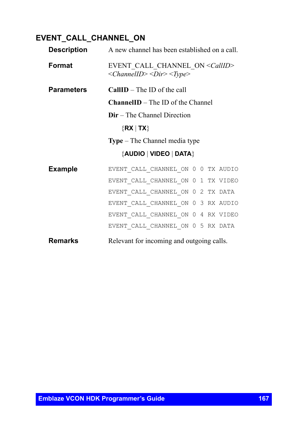## **EVENT\_CALL\_CHANNEL\_ON**

| Description       | A new channel has been established on a call.                                                                               |
|-------------------|-----------------------------------------------------------------------------------------------------------------------------|
| Format            | EVENT CALL CHANNEL ON <callid><br/><math>&lt;</math>ChannelID&gt;<math>&lt;</math>Dir&gt;<math>&lt;</math>Type&gt;</callid> |
| <b>Parameters</b> | $CallID$ – The ID of the call                                                                                               |
|                   | <b>ChannelID</b> – The ID of the Channel                                                                                    |
|                   | $Dir$ – The Channel Direction                                                                                               |
|                   | $\{RX   TX\}$                                                                                                               |
|                   | <b>Type</b> – The Channel media type                                                                                        |
|                   | {AUDIO   VIDEO   DATA}                                                                                                      |
| <b>Example</b>    | EVENT_CALL_CHANNEL_ON 0 0 TX AUDIO                                                                                          |
|                   | EVENT_CALL_CHANNEL ON 0 1 TX VIDEO                                                                                          |
|                   | EVENT CALL CHANNEL ON 0 2 TX DATA                                                                                           |
|                   | EVENT CALL CHANNEL ON 0 3 RX AUDIO                                                                                          |
|                   | EVENT CALL CHANNEL ON 0 4 RX VIDEO                                                                                          |
|                   | EVENT CALL CHANNEL ON 0 5 RX DATA                                                                                           |
| <b>Remarks</b>    | Relevant for incoming and outgoing calls.                                                                                   |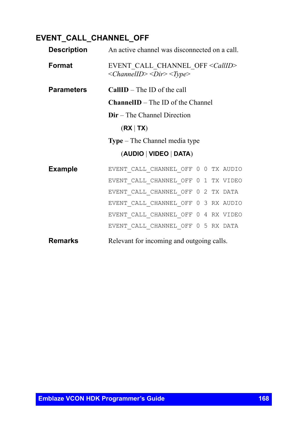## **EVENT\_CALL\_CHANNEL\_OFF**

|                   | <b>Description</b> An active channel was disconnected on a call.                      |
|-------------------|---------------------------------------------------------------------------------------|
| Format            | EVENT CALL CHANNEL OFF < CallID><br><channelid> <dir> <type></type></dir></channelid> |
| <b>Parameters</b> | $CallID$ – The ID of the call                                                         |
|                   | <b>ChannelID</b> – The ID of the Channel                                              |
|                   | $Dir$ – The Channel Direction                                                         |
|                   | (RX   TX)                                                                             |
|                   | <b>Type</b> – The Channel media type                                                  |
|                   | (AUDIO   VIDEO   DATA)                                                                |
| <b>Example</b>    | EVENT_CALL_CHANNEL_OFF 0 0 TX AUDIO                                                   |
|                   | EVENT CALL CHANNEL OFF 0 1 TX VIDEO                                                   |
|                   | EVENT CALL CHANNEL OFF 0 2 TX DATA                                                    |
|                   | EVENT CALL CHANNEL OFF 0 3 RX AUDIO                                                   |
|                   | EVENT CALL CHANNEL OFF 0 4 RX VIDEO                                                   |
|                   | EVENT CALL CHANNEL OFF 0 5 RX DATA                                                    |
| <b>Remarks</b>    | Relevant for incoming and outgoing calls.                                             |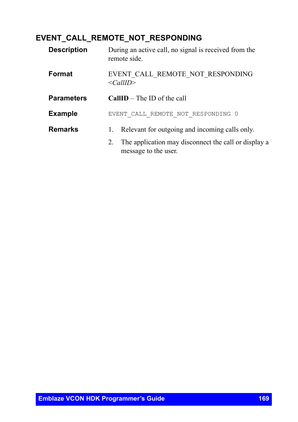#### **EVENT\_CALL\_REMOTE\_NOT\_RESPONDING**

| <b>Description</b> | During an active call, no signal is received from the<br>remote side.              |
|--------------------|------------------------------------------------------------------------------------|
| <b>Format</b>      | EVENT CALL REMOTE NOT RESPONDING<br>$\le$ CallID>                                  |
| <b>Parameters</b>  | $CallID$ – The ID of the call                                                      |
| <b>Example</b>     | EVENT CALL REMOTE NOT RESPONDING 0                                                 |
| <b>Remarks</b>     | Relevant for outgoing and incoming calls only.<br>1.                               |
|                    | The application may disconnect the call or display a<br>2.<br>message to the user. |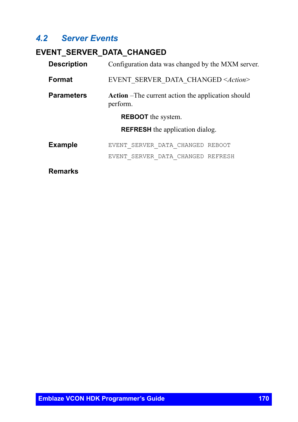#### *4.2 Server Events*

## **EVENT\_SERVER\_DATA\_CHANGED**

| <b>Description</b> | Configuration data was changed by the MXM server.              |
|--------------------|----------------------------------------------------------------|
| Format             | EVENT SERVER DATA CHANGED <action></action>                    |
| <b>Parameters</b>  | Action - The current action the application should<br>perform. |
|                    | <b>REBOOT</b> the system.                                      |
|                    | <b>REFRESH</b> the application dialog.                         |
| <b>Example</b>     | EVENT SERVER DATA CHANGED REBOOT                               |
|                    | EVENT SERVER DATA CHANGED REFRESH                              |
|                    |                                                                |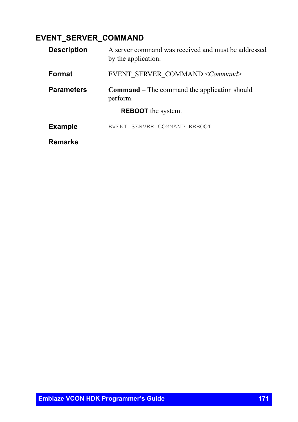## **EVENT\_SERVER\_COMMAND**

| <b>Description</b> | A server command was received and must be addressed<br>by the application. |
|--------------------|----------------------------------------------------------------------------|
| <b>Format</b>      | EVENT SERVER COMMAND < Command>                                            |
| <b>Parameters</b>  | <b>Command</b> – The command the application should<br>perform.            |
|                    | <b>REBOOT</b> the system.                                                  |
| <b>Example</b>     | EVENT SERVER COMMAND REBOOT                                                |
| Remarks            |                                                                            |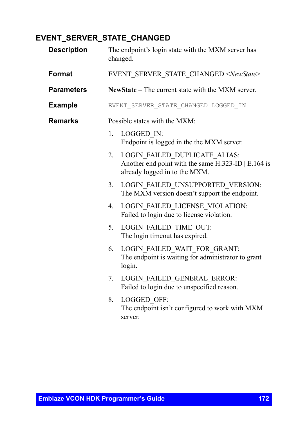## **EVENT\_SERVER\_STATE\_CHANGED**

| <b>Description</b> |         | The endpoint's login state with the MXM server has<br>changed.                                                           |
|--------------------|---------|--------------------------------------------------------------------------------------------------------------------------|
| Format             |         | EVENT SERVER STATE CHANGED <newstate></newstate>                                                                         |
| <b>Parameters</b>  |         | NewState – The current state with the MXM server.                                                                        |
| <b>Example</b>     |         | EVENT SERVER STATE CHANGED LOGGED IN                                                                                     |
| <b>Remarks</b>     |         | Possible states with the MXM:                                                                                            |
|                    | 1.      | LOGGED IN:<br>Endpoint is logged in the the MXM server.                                                                  |
|                    | $2_{1}$ | LOGIN FAILED DUPLICATE ALIAS:<br>Another end point with the same $H.323$ -ID   E.164 is<br>already logged in to the MXM. |
|                    | 3.      | LOGIN FAILED UNSUPPORTED VERSION:<br>The MXM version doesn't support the endpoint.                                       |
|                    | 4.      | LOGIN FAILED LICENSE VIOLATION:<br>Failed to login due to license violation.                                             |
|                    | 5.      | LOGIN FAILED TIME OUT:<br>The login timeout has expired.                                                                 |
|                    | 6.      | LOGIN FAILED WAIT FOR GRANT:<br>The endpoint is waiting for administrator to grant<br>login.                             |
|                    | 7.      | LOGIN FAILED GENERAL ERROR:<br>Failed to login due to unspecified reason.                                                |
|                    | 8.      | LOGGED OFF:<br>The endpoint isn't configured to work with MXM<br>server.                                                 |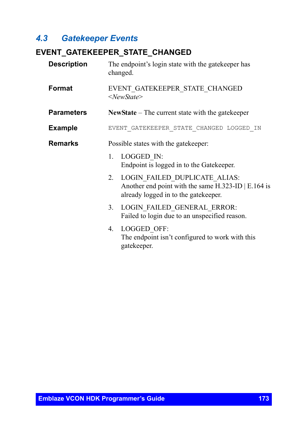## *4.3 Gatekeeper Events*

#### **EVENT\_GATEKEEPER\_STATE\_CHANGED**

| <b>Description</b> | The endpoint's login state with the gatekeeper has<br>changed.                                                                     |
|--------------------|------------------------------------------------------------------------------------------------------------------------------------|
| Format             | EVENT GATEKEEPER STATE CHANGED<br>$<$ NewState>                                                                                    |
| <b>Parameters</b>  | New State $-$ The current state with the gate keeper                                                                               |
| <b>Example</b>     | EVENT GATEKEEPER STATE CHANGED LOGGED IN                                                                                           |
| <b>Remarks</b>     | Possible states with the gate keeper:                                                                                              |
|                    | LOGGED IN:<br>$1_{-}$<br>Endpoint is logged in to the Gatekeeper.                                                                  |
|                    | LOGIN FAILED DUPLICATE ALIAS:<br>2.<br>Another end point with the same H.323-ID   E.164 is<br>already logged in to the gatekeeper. |
|                    | LOGIN FAILED GENERAL ERROR:<br>3.<br>Failed to login due to an unspecified reason.                                                 |
|                    | LOGGED OFF:<br>4.<br>The endpoint isn't configured to work with this<br>gatekeeper.                                                |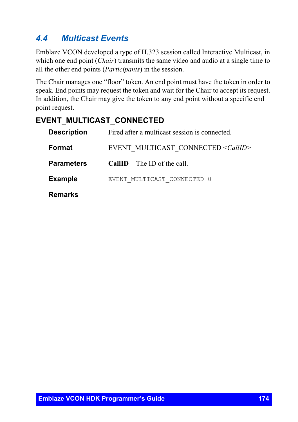## *4.4 Multicast Events*

Emblaze VCON developed a type of H.323 session called Interactive Multicast, in which one end point *(Chair)* transmits the same video and audio at a single time to all the other end points (*Participants*) in the session.

The Chair manages one "floor" token. An end point must have the token in order to speak. End points may request the token and wait for the Chair to accept its request. In addition, the Chair may give the token to any end point without a specific end point request.

## **EVENT\_MULTICAST\_CONNECTED**

| <b>Description</b> | Fired after a multicast session is connected. |
|--------------------|-----------------------------------------------|
| Format             | EVENT MULTICAST CONNECTED <callid></callid>   |
| <b>Parameters</b>  | $CallID$ – The ID of the call.                |
| <b>Example</b>     | EVENT MULTICAST CONNECTED 0                   |
| <b>Remarks</b>     |                                               |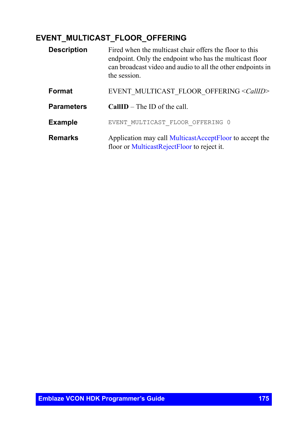## **EVENT\_MULTICAST\_FLOOR\_OFFERING**

| <b>Description</b> | Fired when the multicast chair offers the floor to this<br>endpoint. Only the endpoint who has the multicast floor<br>can broadcast video and audio to all the other endpoints in<br>the session. |
|--------------------|---------------------------------------------------------------------------------------------------------------------------------------------------------------------------------------------------|
| Format             | EVENT MULTICAST FLOOR OFFERING <callid></callid>                                                                                                                                                  |
| <b>Parameters</b>  | $CallID$ – The ID of the call                                                                                                                                                                     |
| <b>Example</b>     | EVENT MULTICAST FLOOR OFFERING 0                                                                                                                                                                  |
| <b>Remarks</b>     | Application may call MulticastAcceptFloor to accept the<br>floor or MulticastRejectFloor to reject it.                                                                                            |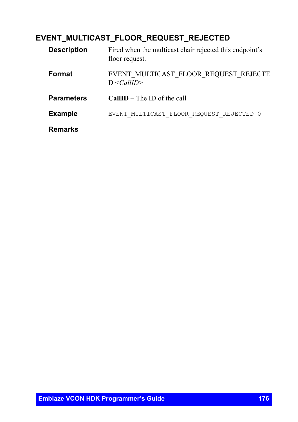## **EVENT\_MULTICAST\_FLOOR\_REQUEST\_REJECTED**

| <b>Description</b> | Fired when the multicast chair rejected this endpoint's<br>floor request. |
|--------------------|---------------------------------------------------------------------------|
| Format             | EVENT MULTICAST FLOOR REQUEST REJECTE<br>$D \leq CallID$                  |
| <b>Parameters</b>  | <b>CallID</b> – The ID of the call                                        |
| <b>Example</b>     | EVENT MULTICAST FLOOR REQUEST REJECTED 0                                  |
| <b>Remarks</b>     |                                                                           |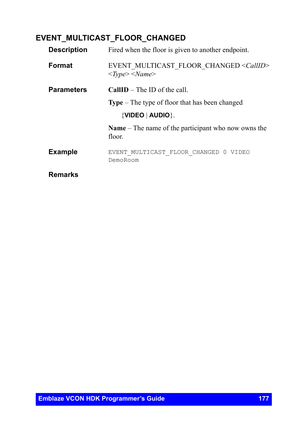## **EVENT\_MULTICAST\_FLOOR\_CHANGED**

| <b>Description</b> | Fired when the floor is given to another endpoint.                                                            |
|--------------------|---------------------------------------------------------------------------------------------------------------|
| Format             | EVENT MULTICAST FLOOR CHANGED <callid><br/><math>&lt;\!\!Type\!\!&gt;\!\!&lt;\!\!Name\!\!&gt;</math></callid> |
| <b>Parameters</b>  | $CallID$ – The ID of the call.                                                                                |
|                    | <b>Type</b> – The type of floor that has been changed                                                         |
|                    | $\{$ VIDEO $\ $ AUDIO $\}$ .                                                                                  |
|                    | <b>Name</b> – The name of the participant who now owns the<br>floor.                                          |
| <b>Example</b>     | EVENT MULTICAST FLOOR CHANGED 0 VIDEO<br>DemoRoom                                                             |
| <b>Remarks</b>     |                                                                                                               |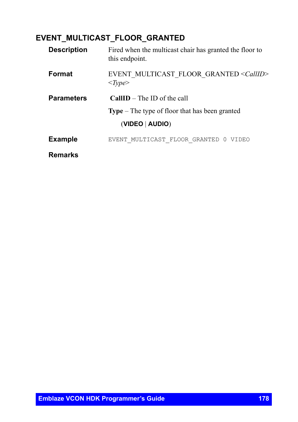## **EVENT\_MULTICAST\_FLOOR\_GRANTED**

| <b>Description</b> | Fired when the multicast chair has granted the floor to<br>this endpoint.             |
|--------------------|---------------------------------------------------------------------------------------|
| <b>Format</b>      | EVENT MULTICAST FLOOR GRANTED <callid><br/><math>&lt;\!\!Type\!\!&gt;</math></callid> |
| <b>Parameters</b>  | $CallID$ – The ID of the call                                                         |
|                    | <b>Type</b> $-$ The type of floor that has been granted                               |
|                    | (VIDEO   AUDIO)                                                                       |
| <b>Example</b>     | EVENT MULTICAST FLOOR GRANTED 0<br>VIDEO                                              |
| <b>Remarks</b>     |                                                                                       |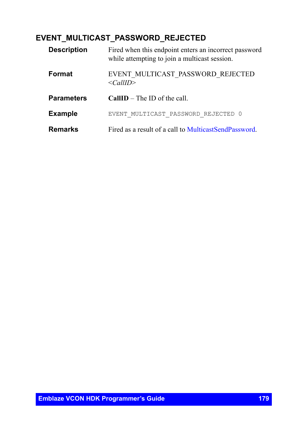#### **EVENT\_MULTICAST\_PASSWORD\_REJECTED**

| <b>Description</b> | Fired when this endpoint enters an incorrect password<br>while attempting to join a multicast session. |
|--------------------|--------------------------------------------------------------------------------------------------------|
| Format             | EVENT MULTICAST PASSWORD REJECTED<br>$\langle CallID \rangle$                                          |
| <b>Parameters</b>  | $CallID$ – The ID of the call.                                                                         |
| <b>Example</b>     | EVENT MULTICAST PASSWORD REJECTED 0                                                                    |
| Remarks            | Fired as a result of a call to MulticastSendPassword.                                                  |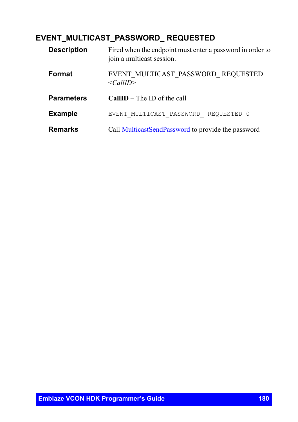## **EVENT\_MULTICAST\_PASSWORD\_ REQUESTED**

| <b>Description</b> | Fired when the endpoint must enter a password in order to<br>join a multicast session. |
|--------------------|----------------------------------------------------------------------------------------|
| Format             | EVENT MULTICAST PASSWORD REQUESTED<br>$\langle CallID \rangle$                         |
| <b>Parameters</b>  | <b>CallID</b> – The ID of the call                                                     |
| <b>Example</b>     | REOUESTED 0<br>EVENT MULTICAST PASSWORD                                                |
| <b>Remarks</b>     | Call MulticastSendPassword to provide the password                                     |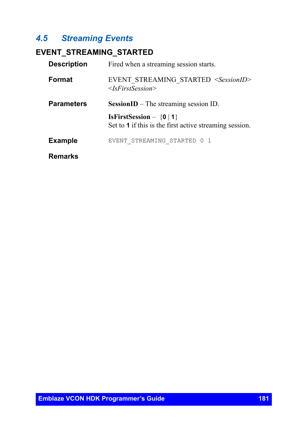# *4.5 Streaming Events*

# **EVENT\_STREAMING\_STARTED**

| <b>Description</b> | Fired when a streaming session starts.                                                         |  |
|--------------------|------------------------------------------------------------------------------------------------|--|
| Format             | EVENT STREAMING STARTED <sessionid><br/><math>\leq</math><i>IsFirstSession&gt;</i></sessionid> |  |
| <b>Parameters</b>  | <b>SessionID</b> – The streaming session ID.                                                   |  |
|                    | <b>IsFirstSession</b> – $\{0   1\}$<br>Set to 1 if this is the first active streaming session. |  |
| <b>Example</b>     | EVENT STREAMING STARTED 0 1                                                                    |  |
| <b>Remarks</b>     |                                                                                                |  |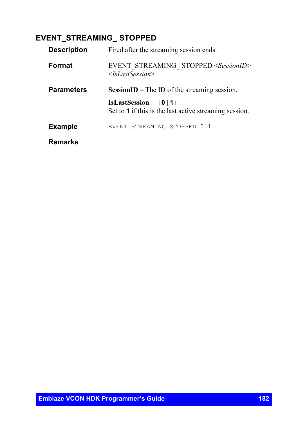# **EVENT\_STREAMING\_ STOPPED**

| <b>Description</b> | Fired after the streaming session ends.                                                   |
|--------------------|-------------------------------------------------------------------------------------------|
| Format             | EVENT STREAMING STOPPED <sessionid><br/><math>\langle</math>IsLastSession&gt;</sessionid> |
| <b>Parameters</b>  | <b>SessionID</b> – The ID of the streaming session.                                       |
|                    | IsLastSession - $\{0   1\}$<br>Set to 1 if this is the last active streaming session.     |
| <b>Example</b>     | EVENT STREAMING STOPPED 0 1                                                               |
| Remarks            |                                                                                           |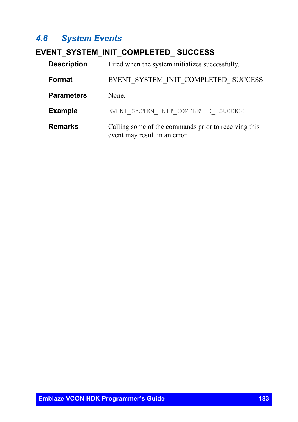# *4.6 System Events*

# <span id="page-182-0"></span>**EVENT\_SYSTEM\_INIT\_COMPLETED\_ SUCCESS**

| <b>Description</b> | Fired when the system initializes successfully.                                       |
|--------------------|---------------------------------------------------------------------------------------|
| Format             | EVENT SYSTEM INIT COMPLETED SUCCESS                                                   |
| <b>Parameters</b>  | None.                                                                                 |
| <b>Example</b>     | EVENT SYSTEM INIT COMPLETED<br><b>SUCCESS</b>                                         |
| <b>Remarks</b>     | Calling some of the commands prior to receiving this<br>event may result in an error. |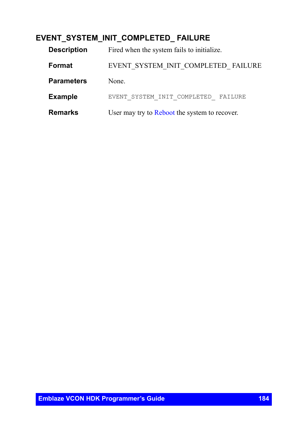# **EVENT\_SYSTEM\_INIT\_COMPLETED\_ FAILURE**

| <b>Description</b> | Fired when the system fails to initialize.    |
|--------------------|-----------------------------------------------|
| Format             | EVENT SYSTEM INIT COMPLETED FAILURE           |
| <b>Parameters</b>  | None.                                         |
| <b>Example</b>     | EVENT SYSTEM INIT COMPLETED FAILURE           |
| <b>Remarks</b>     | User may try to Reboot the system to recover. |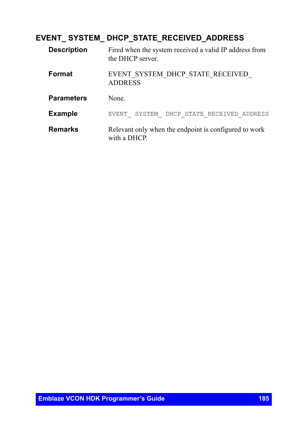# **EVENT\_ SYSTEM\_ DHCP\_STATE\_RECEIVED\_ADDRESS**

| <b>Description</b> | Fired when the system received a valid IP address from<br>the DHCP server. |
|--------------------|----------------------------------------------------------------------------|
| Format             | EVENT SYSTEM DHCP STATE RECEIVED<br><b>ADDRESS</b>                         |
| <b>Parameters</b>  | None                                                                       |
| <b>Example</b>     | EVENT SYSTEM DHCP STATE RECEIVED ADDRESS                                   |
| <b>Remarks</b>     | Relevant only when the endpoint is configured to work<br>with a DHCP.      |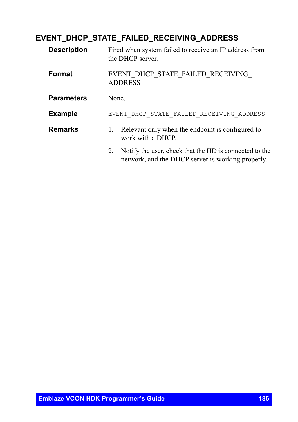### **EVENT\_DHCP\_STATE\_FAILED\_RECEIVING\_ADDRESS**

| <b>Description</b> | Fired when system failed to receive an IP address from<br>the DHCP server.                                        |  |
|--------------------|-------------------------------------------------------------------------------------------------------------------|--|
| Format             | EVENT DHCP STATE FAILED RECEIVING<br><b>ADDRESS</b>                                                               |  |
| <b>Parameters</b>  | None.                                                                                                             |  |
| <b>Example</b>     | EVENT DHCP STATE FAILED RECEIVING ADDRESS                                                                         |  |
| <b>Remarks</b>     | Relevant only when the endpoint is configured to<br>1.<br>work with a DHCP.                                       |  |
|                    | Notify the user, check that the HD is connected to the<br>2.<br>network, and the DHCP server is working properly. |  |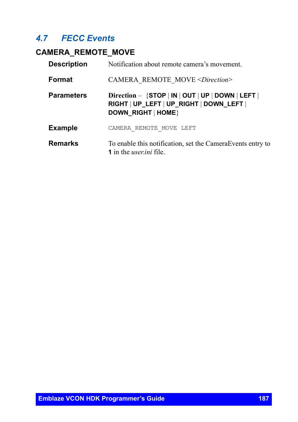# *4.7 FECC Events*

# **CAMERA\_REMOTE\_MOVE**

| <b>Description</b> | Notification about remote camera's movement.                                                                            |
|--------------------|-------------------------------------------------------------------------------------------------------------------------|
| Format             | CAMERA REMOTE MOVE <direction></direction>                                                                              |
| <b>Parameters</b>  | Direction - $\{STOP   IN   OUT   UP   DOMN   LEFT  $<br>RIGHT   UP_LEFT   UP_RIGHT   DOWN_LEFT  <br>DOWN RIGHT   HOME } |
| <b>Example</b>     | CAMERA REMOTE MOVE LEFT                                                                                                 |
| <b>Remarks</b>     | To enable this notification, set the Camera Events entry to<br><b>1</b> in the <i>user ini</i> file.                    |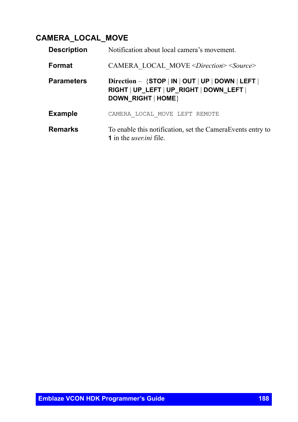# **CAMERA\_LOCAL\_MOVE**

| <b>Description</b> | Notification about local camera's movement.                                                                            |
|--------------------|------------------------------------------------------------------------------------------------------------------------|
| Format             | CAMERA LOCAL MOVE <direction> <source/></direction>                                                                    |
| <b>Parameters</b>  | Direction - $\{STOP   IN   OUT   UP   DOMN   LEFT  $<br>RIGHT   UP_LEFT   UP_RIGHT   DOWN_LEFT  <br>DOWN RIGHT   HOME} |
| <b>Example</b>     | CAMERA LOCAL MOVE LEFT REMOTE                                                                                          |
| Remarks            | To enable this notification, set the Camera Events entry to<br><b>1</b> in the <i>user ini</i> file.                   |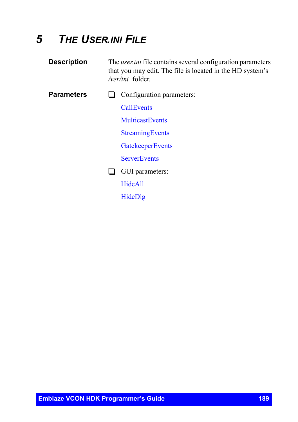# *5 THE USER.INI FILE*

| <b>Description</b> | The <i>user ini</i> file contains several configuration parameters<br>that you may edit. The file is located in the HD system's<br>/ <i>ver/ini</i> folder. |                           |
|--------------------|-------------------------------------------------------------------------------------------------------------------------------------------------------------|---------------------------|
| <b>Parameters</b>  |                                                                                                                                                             | Configuration parameters: |
|                    |                                                                                                                                                             | <b>CallEvents</b>         |
|                    |                                                                                                                                                             | <b>MulticastEvents</b>    |
|                    |                                                                                                                                                             | <b>StreamingEvents</b>    |
|                    |                                                                                                                                                             | <b>GatekeeperEvents</b>   |
|                    |                                                                                                                                                             | <b>ServerEvents</b>       |
|                    |                                                                                                                                                             |                           |

GUI parameters:

[HideAll](#page-194-0)

[HideDlg](#page-195-0)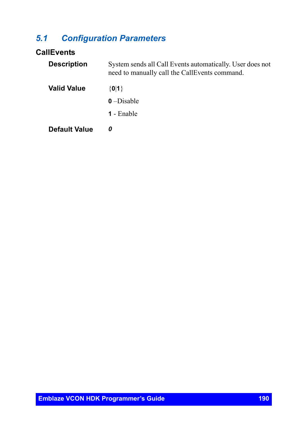# *5.1 Configuration Parameters*

#### <span id="page-189-0"></span>**CallEvents**

| <b>Description</b>   | System sends all Call Events automatically. User does not<br>need to manually call the CallEvents command. |
|----------------------|------------------------------------------------------------------------------------------------------------|
| <b>Valid Value</b>   | $\{0 1\}$                                                                                                  |
|                      | $0$ –Disable                                                                                               |
|                      | <b>1</b> - Enable                                                                                          |
| <b>Default Value</b> | 0                                                                                                          |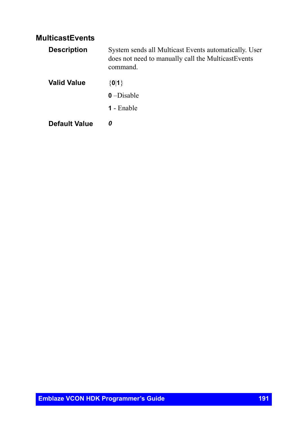#### <span id="page-190-0"></span>**MulticastEvents**

| <b>Description</b> | System sends all Multicast Events automatically. User<br>does not need to manually call the MulticastEvents<br>command. |
|--------------------|-------------------------------------------------------------------------------------------------------------------------|
| Valid Value        | ${0 1}$                                                                                                                 |
|                    | $0$ –Disable                                                                                                            |
|                    | <b>1</b> - Enable                                                                                                       |
| Default Value      | 0                                                                                                                       |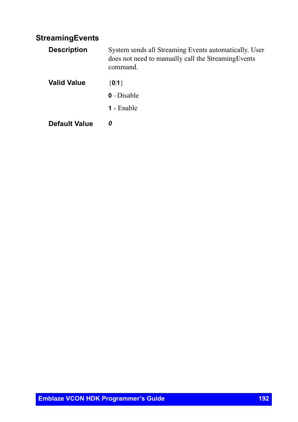### <span id="page-191-0"></span>**StreamingEvents**

| <b>Description</b>   | System sends all Streaming Events automatically. User<br>does not need to manually call the StreamingEvents<br>command. |
|----------------------|-------------------------------------------------------------------------------------------------------------------------|
| <b>Valid Value</b>   | $\{0 1\}$                                                                                                               |
|                      | $0$ –Disable                                                                                                            |
|                      | <b>1</b> - Enable                                                                                                       |
| <b>Default Value</b> | 0                                                                                                                       |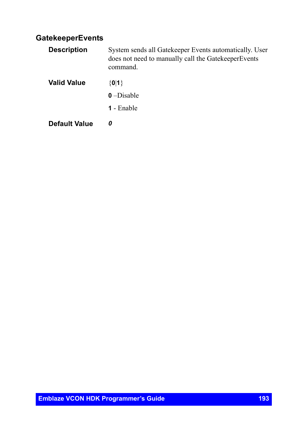#### <span id="page-192-0"></span>**GatekeeperEvents**

| <b>Description</b>   | System sends all Gatekeeper Events automatically. User<br>does not need to manually call the GatekeeperEvents<br>command. |
|----------------------|---------------------------------------------------------------------------------------------------------------------------|
| <b>Valid Value</b>   | $\{0 1\}$                                                                                                                 |
|                      | $0$ –Disable                                                                                                              |
|                      | <b>1</b> - Enable                                                                                                         |
| <b>Default Value</b> | 0                                                                                                                         |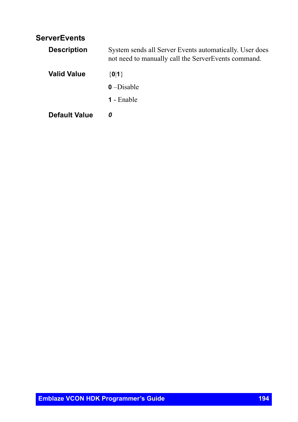#### <span id="page-193-0"></span>**ServerEvents**

| <b>Description</b>   | System sends all Server Events automatically. User does<br>not need to manually call the ServerEvents command. |  |
|----------------------|----------------------------------------------------------------------------------------------------------------|--|
| <b>Valid Value</b>   | $\{0 1\}$                                                                                                      |  |
|                      | $0$ –Disable                                                                                                   |  |
|                      | <b>1</b> - Enable                                                                                              |  |
| <b>Default Value</b> | 0                                                                                                              |  |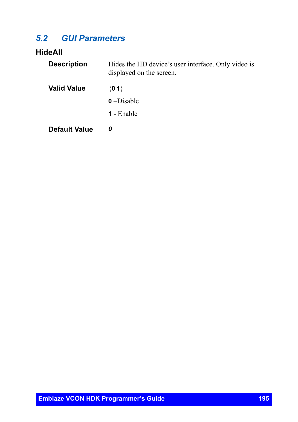# *5.2 GUI Parameters*

# <span id="page-194-0"></span>**HideAll**

| <b>Description</b>   | Hides the HD device's user interface. Only video is<br>displayed on the screen. |
|----------------------|---------------------------------------------------------------------------------|
| <b>Valid Value</b>   | $\{0 1\}$                                                                       |
|                      | $0$ –Disable                                                                    |
|                      | <b>1</b> - Enable                                                               |
| <b>Default Value</b> | 0                                                                               |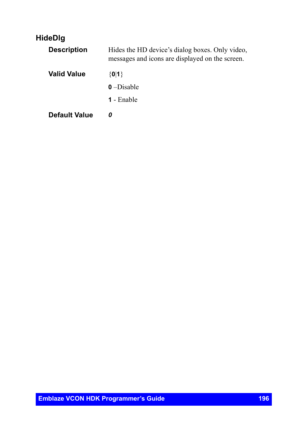## <span id="page-195-0"></span>**HideDlg**

| <b>Description</b>   | Hides the HD device's dialog boxes. Only video,<br>messages and icons are displayed on the screen. |
|----------------------|----------------------------------------------------------------------------------------------------|
| <b>Valid Value</b>   | ${0 1}$                                                                                            |
|                      | $0$ –Disable                                                                                       |
|                      | <b>1</b> - Enable                                                                                  |
| <b>Default Value</b> | n                                                                                                  |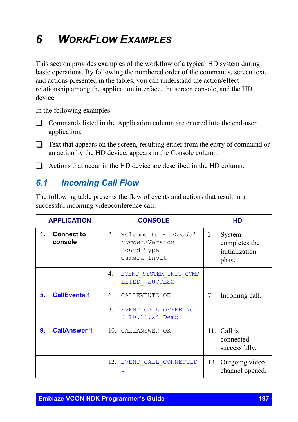# *6 WORKFLOW EXAMPLES*

This section provides examples of the workflow of a typical HD system during basic operations. By following the numbered order of the commands, screen text, and actions presented in the tables, you can understand the action/effect relationship among the application interface, the screen console, and the HD device.

In the following examples:

- $\Box$  Commands listed in the Application column are entered into the end-user application.
- $\Box$  Text that appears on the screen, resulting either from the entry of command or an action by the HD device, appears in the Console column.
- $\Box$  Actions that occur in the HD device are described in the HD column.

## *6.1 Incoming Call Flow*

The following table presents the flow of events and actions that result in a successful incoming videoconference call:

| <b>APPLICATION</b> |                              | <b>CONSOLE</b> |                                                                                      | HD |                                                     |
|--------------------|------------------------------|----------------|--------------------------------------------------------------------------------------|----|-----------------------------------------------------|
| 1.                 | <b>Connect to</b><br>console | 2.             | Welcome to HD <model<br>number&gt;Version<br/>Board Type<br/>Camera Input</model<br> | 3. | System<br>completes the<br>initialization<br>phase. |
|                    |                              | 4.             | EVENT SYSTEM INIT COMP<br>LETED SUCCESS                                              |    |                                                     |
| 5.                 | <b>CallEvents 1</b>          | 6.             | CALLEVENTS OK                                                                        | 7. | Incoming call.                                      |
|                    |                              | 8.             | EVENT CALL OFFERING<br>10.11.24 Demo                                                 |    |                                                     |
| 9.                 | <b>CallAnswer 1</b>          |                | 10. CALLANSWER OK                                                                    |    | 11. Call is<br>connected<br>successfully.           |
|                    |                              |                | 12. EVENT CALL CONNECTED                                                             |    | 13. Outgoing video<br>channel opened.               |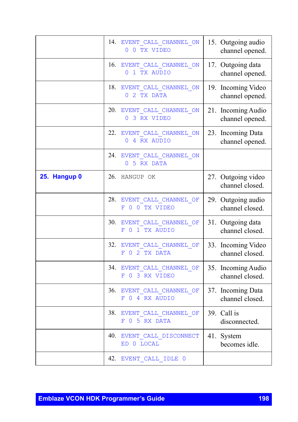|              | 14. EVENT CALL CHANNEL ON                   | 15. Outgoing audio                    |
|--------------|---------------------------------------------|---------------------------------------|
|              | 0 0 TX VIDEO                                | channel opened.                       |
|              | 16. EVENT CALL CHANNEL ON<br>0 1 TX AUDIO   | 17. Outgoing data<br>channel opened.  |
|              | 18. EVENT CALL CHANNEL ON<br>0 2 TX DATA    | 19. Incoming Video<br>channel opened. |
|              | 20. EVENT CALL CHANNEL ON<br>0 3 RX VIDEO   | 21. Incoming Audio<br>channel opened. |
|              | 22. EVENT CALL CHANNEL ON<br>0 4 RX AUDIO   | 23. Incoming Data<br>channel opened.  |
|              | 24. EVENT CALL CHANNEL ON<br>0 5 RX DATA    |                                       |
| 25. Hangup 0 | 26. HANGUP OK                               | 27. Outgoing video<br>channel closed. |
|              | 28. EVENT CALL CHANNEL OF<br>F 0 0 TX VIDEO | 29. Outgoing audio<br>channel closed. |
|              | 30. EVENT_CALL_CHANNEL_OF<br>F 0 1 TX AUDIO | 31. Outgoing data<br>channel closed.  |
|              | 32. EVENT CALL CHANNEL OF<br>F 0 2 TX DATA  | 33. Incoming Video<br>channel closed. |
|              | 34. EVENT CALL CHANNEL OF<br>F 0 3 RX VIDEO | 35. Incoming Audio<br>channel closed. |
|              | 36. EVENT CALL CHANNEL OF<br>F 0 4 RX AUDIO | 37. Incoming Data<br>channel closed.  |
|              | 38. EVENT_CALL_CHANNEL_OF<br>F 0 5 RX DATA  | 39. Call is<br>disconnected.          |
|              | 40. EVENT CALL DISCONNECT<br>ED 0 LOCAL     | 41. System<br>becomes idle.           |
|              | 42. EVENT CALL IDLE 0                       |                                       |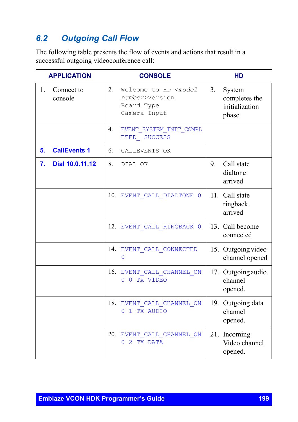# *6.2 Outgoing Call Flow*

The following table presents the flow of events and actions that result in a successful outgoing videoconference call:

| <b>APPLICATION</b>                      | <b>CONSOLE</b>                                                                             | <b>HD</b>                                                 |
|-----------------------------------------|--------------------------------------------------------------------------------------------|-----------------------------------------------------------|
| $\mathbf{1}$ .<br>Connect to<br>console | 2.<br>Welcome to HD <model<br>number&gt;Version<br/>Board Type<br/>Camera Input</model<br> | 3.<br>System<br>completes the<br>initialization<br>phase. |
|                                         | 4.<br>EVENT SYSTEM INIT COMPL<br>ETED SUCCESS                                              |                                                           |
| <b>CallEvents 1</b><br>5.               | 6.<br>CALLEVENTS OK                                                                        |                                                           |
| 7.<br>Dial 10.0.11.12                   | 8.<br>DIAL OK                                                                              | Call state<br>9.<br>dialtone<br>arrived                   |
|                                         | 10. EVENT CALL DIALTONE 0                                                                  | 11. Call state<br>ringback<br>arrived                     |
|                                         | 12. EVENT CALL_RINGBACK 0                                                                  | 13. Call become<br>connected                              |
|                                         | 14. EVENT CALL CONNECTED<br>0                                                              | 15. Outgoing video<br>channel opened                      |
|                                         | 16. EVENT CALL CHANNEL ON<br>0 0 TX VIDEO                                                  | 17. Outgoing audio<br>channel<br>opened.                  |
|                                         | 18. EVENT CALL CHANNEL ON<br>0 1 TX AUDIO                                                  | 19. Outgoing data<br>channel<br>opened.                   |
|                                         | 20. EVENT CALL CHANNEL ON<br>0 2 TX DATA                                                   | 21. Incoming<br>Video channel<br>opened.                  |